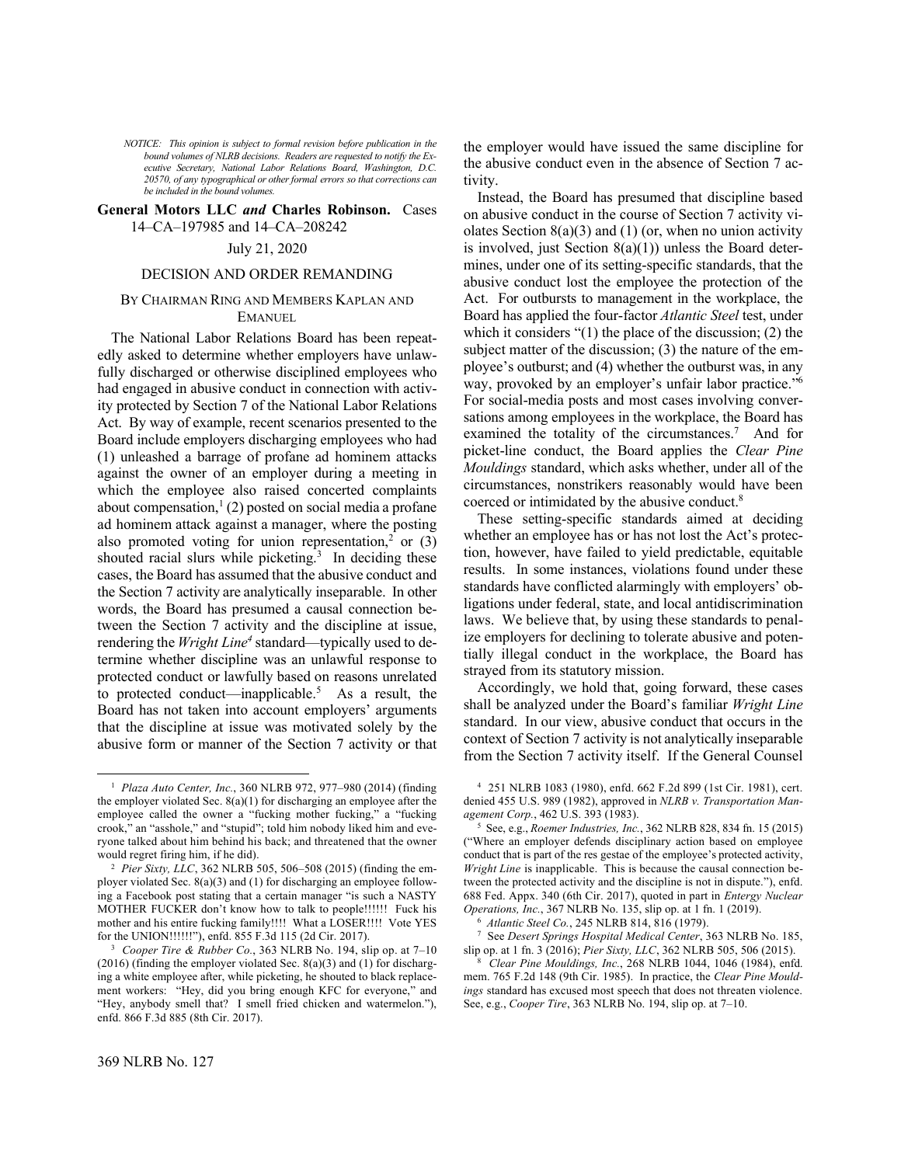*NOTICE: This opinion is subject to formal revision before publication in the bound volumes of NLRB decisions. Readers are requested to notify the Executive Secretary, National Labor Relations Board, Washington, D.C. 20570, of any typographical or other formal errors so that corrections can be included in the bound volumes.*

# **General Motors LLC** *and* **Charles Robinson.** Cases 14–CA–197985 and 14–CA–208242

# July 21, 2020

# DECISION AND ORDER REMANDING

# BY CHAIRMAN RING AND MEMBERS KAPLAN AND EMANUEL

The National Labor Relations Board has been repeatedly asked to determine whether employers have unlawfully discharged or otherwise disciplined employees who had engaged in abusive conduct in connection with activity protected by Section 7 of the National Labor Relations Act. By way of example, recent scenarios presented to the Board include employers discharging employees who had (1) unleashed a barrage of profane ad hominem attacks against the owner of an employer during a meeting in which the employee also raised concerted complaints about compensation,<sup>1</sup> (2) posted on social media a profane ad hominem attack against a manager, where the posting also promoted voting for union representation,<sup>2</sup> or  $(3)$ shouted racial slurs while picketing. $3$  In deciding these cases, the Board has assumed that the abusive conduct and the Section 7 activity are analytically inseparable. In other words, the Board has presumed a causal connection between the Section 7 activity and the discipline at issue, rendering the *Wright Line<sup>4</sup>* standard—typically used to determine whether discipline was an unlawful response to protected conduct or lawfully based on reasons unrelated to protected conduct—inapplicable.<sup>5</sup> As a result, the Board has not taken into account employers' arguments that the discipline at issue was motivated solely by the abusive form or manner of the Section 7 activity or that

the employer would have issued the same discipline for the abusive conduct even in the absence of Section 7 activity.

Instead, the Board has presumed that discipline based on abusive conduct in the course of Section 7 activity violates Section  $8(a)(3)$  and  $(1)$  (or, when no union activity is involved, just Section  $8(a)(1)$  unless the Board determines, under one of its setting-specific standards, that the abusive conduct lost the employee the protection of the Act. For outbursts to management in the workplace, the Board has applied the four-factor *Atlantic Steel* test, under which it considers "(1) the place of the discussion; (2) the subject matter of the discussion; (3) the nature of the employee's outburst; and (4) whether the outburst was, in any way, provoked by an employer's unfair labor practice." 6 For social-media posts and most cases involving conversations among employees in the workplace, the Board has examined the totality of the circumstances.<sup>7</sup> And for picket-line conduct, the Board applies the *Clear Pine Mouldings* standard, which asks whether, under all of the circumstances, nonstrikers reasonably would have been coerced or intimidated by the abusive conduct.<sup>8</sup>

These setting-specific standards aimed at deciding whether an employee has or has not lost the Act's protection, however, have failed to yield predictable, equitable results. In some instances, violations found under these standards have conflicted alarmingly with employers' obligations under federal, state, and local antidiscrimination laws. We believe that, by using these standards to penalize employers for declining to tolerate abusive and potentially illegal conduct in the workplace, the Board has strayed from its statutory mission.

Accordingly, we hold that, going forward, these cases shall be analyzed under the Board's familiar *Wright Line*  standard. In our view, abusive conduct that occurs in the context of Section 7 activity is not analytically inseparable from the Section 7 activity itself. If the General Counsel

<sup>1</sup> *Plaza Auto Center, Inc.*, 360 NLRB 972, 977–980 (2014) (finding the employer violated Sec. 8(a)(1) for discharging an employee after the employee called the owner a "fucking mother fucking," a "fucking crook," an "asshole," and "stupid"; told him nobody liked him and everyone talked about him behind his back; and threatened that the owner would regret firing him, if he did).

<sup>2</sup> *Pier Sixty, LLC*, 362 NLRB 505, 506–508 (2015) (finding the employer violated Sec. 8(a)(3) and (1) for discharging an employee following a Facebook post stating that a certain manager "is such a NASTY MOTHER FUCKER don't know how to talk to people!!!!!! Fuck his mother and his entire fucking family!!!! What a LOSER!!!! Vote YES for the UNION!!!!!!"), enfd. 855 F.3d 115 (2d Cir. 2017).

<sup>3</sup> *Cooper Tire & Rubber Co.*, 363 NLRB No. 194, slip op. at 7–10  $(2016)$  (finding the employer violated Sec.  $8(a)(3)$  and (1) for discharging a white employee after, while picketing, he shouted to black replacement workers: "Hey, did you bring enough KFC for everyone," and "Hey, anybody smell that? I smell fried chicken and watermelon."), enfd. 866 F.3d 885 (8th Cir. 2017).

<sup>4</sup> 251 NLRB 1083 (1980), enfd. 662 F.2d 899 (1st Cir. 1981), cert. denied 455 U.S. 989 (1982), approved in *NLRB v. Transportation Management Corp.*, 462 U.S. 393 (1983).

<sup>5</sup> See, e.g., *Roemer Industries, Inc.*, 362 NLRB 828, 834 fn. 15 (2015) ("Where an employer defends disciplinary action based on employee conduct that is part of the res gestae of the employee's protected activity, *Wright Line* is inapplicable. This is because the causal connection between the protected activity and the discipline is not in dispute."), enfd. 688 Fed. Appx. 340 (6th Cir. 2017), quoted in part in *Entergy Nuclear Operations, Inc.*, 367 NLRB No. 135, slip op. at 1 fn. 1 (2019).

<sup>6</sup> *Atlantic Steel Co.*, 245 NLRB 814, 816 (1979).

<sup>7</sup> See *Desert Springs Hospital Medical Center*, 363 NLRB No. 185, slip op. at 1 fn. 3 (2016); *Pier Sixty, LLC*, 362 NLRB 505, 506 (2015).

<sup>8</sup> *Clear Pine Mouldings, Inc.*, 268 NLRB 1044, 1046 (1984), enfd. mem. 765 F.2d 148 (9th Cir. 1985). In practice, the *Clear Pine Mouldings* standard has excused most speech that does not threaten violence. See, e.g., *Cooper Tire*, 363 NLRB No. 194, slip op. at 7–10.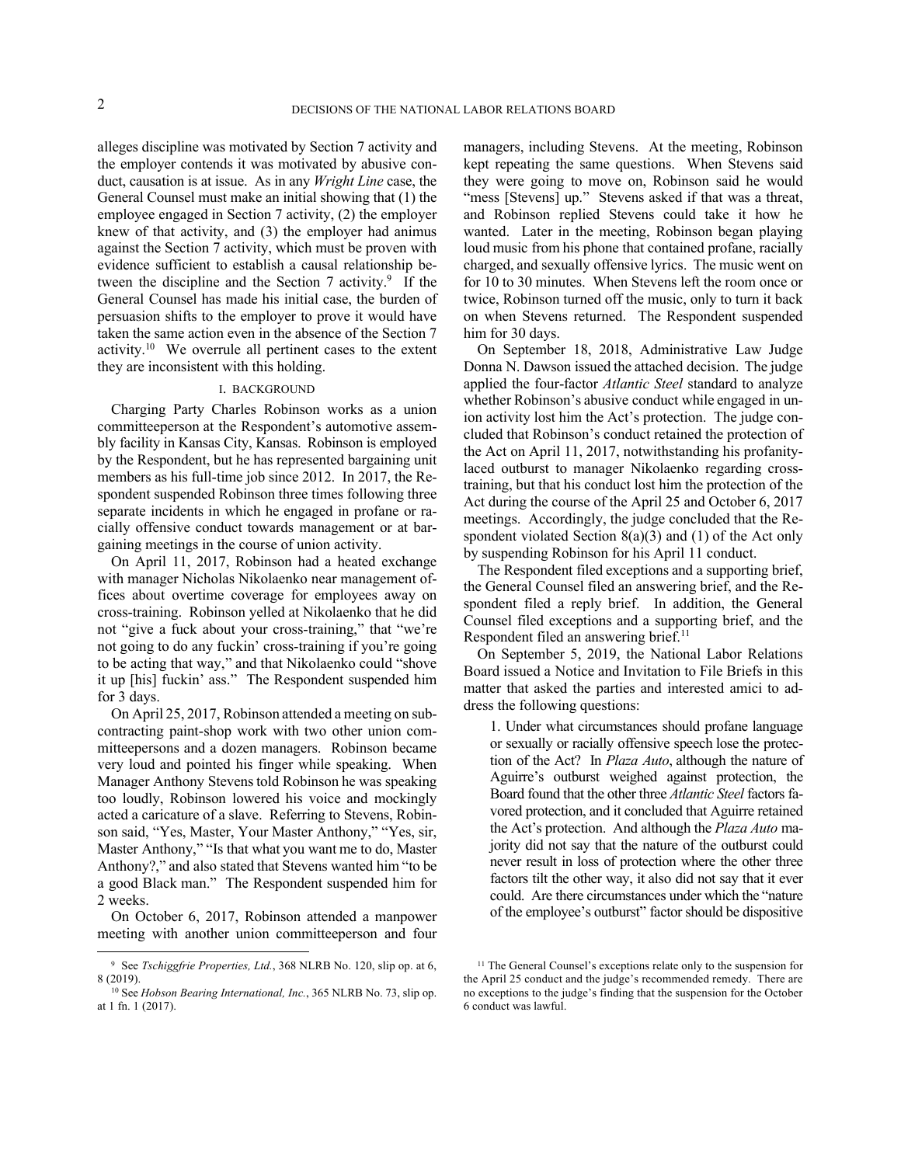alleges discipline was motivated by Section 7 activity and the employer contends it was motivated by abusive conduct, causation is at issue. As in any *Wright Line* case, the General Counsel must make an initial showing that (1) the employee engaged in Section 7 activity, (2) the employer knew of that activity, and (3) the employer had animus against the Section 7 activity, which must be proven with evidence sufficient to establish a causal relationship between the discipline and the Section 7 activity.<sup>9</sup> If the General Counsel has made his initial case, the burden of persuasion shifts to the employer to prove it would have taken the same action even in the absence of the Section 7 activity.<sup>10</sup> We overrule all pertinent cases to the extent they are inconsistent with this holding.

### I. BACKGROUND

Charging Party Charles Robinson works as a union committeeperson at the Respondent's automotive assembly facility in Kansas City, Kansas. Robinson is employed by the Respondent, but he has represented bargaining unit members as his full-time job since 2012. In 2017, the Respondent suspended Robinson three times following three separate incidents in which he engaged in profane or racially offensive conduct towards management or at bargaining meetings in the course of union activity.

On April 11, 2017, Robinson had a heated exchange with manager Nicholas Nikolaenko near management offices about overtime coverage for employees away on cross-training. Robinson yelled at Nikolaenko that he did not "give a fuck about your cross-training," that "we're not going to do any fuckin' cross-training if you're going to be acting that way," and that Nikolaenko could "shove it up [his] fuckin' ass." The Respondent suspended him for 3 days.

On April 25, 2017, Robinson attended a meeting on subcontracting paint-shop work with two other union committeepersons and a dozen managers. Robinson became very loud and pointed his finger while speaking. When Manager Anthony Stevens told Robinson he was speaking too loudly, Robinson lowered his voice and mockingly acted a caricature of a slave. Referring to Stevens, Robinson said, "Yes, Master, Your Master Anthony," "Yes, sir, Master Anthony," "Is that what you want me to do, Master Anthony?," and also stated that Stevens wanted him "to be a good Black man." The Respondent suspended him for 2 weeks.

On October 6, 2017, Robinson attended a manpower meeting with another union committeeperson and four

managers, including Stevens. At the meeting, Robinson kept repeating the same questions. When Stevens said they were going to move on, Robinson said he would "mess [Stevens] up." Stevens asked if that was a threat, and Robinson replied Stevens could take it how he wanted. Later in the meeting, Robinson began playing loud music from his phone that contained profane, racially charged, and sexually offensive lyrics. The music went on for 10 to 30 minutes. When Stevens left the room once or twice, Robinson turned off the music, only to turn it back on when Stevens returned. The Respondent suspended him for 30 days.

On September 18, 2018, Administrative Law Judge Donna N. Dawson issued the attached decision. The judge applied the four-factor *Atlantic Steel* standard to analyze whether Robinson's abusive conduct while engaged in union activity lost him the Act's protection. The judge concluded that Robinson's conduct retained the protection of the Act on April 11, 2017, notwithstanding his profanitylaced outburst to manager Nikolaenko regarding crosstraining, but that his conduct lost him the protection of the Act during the course of the April 25 and October 6, 2017 meetings. Accordingly, the judge concluded that the Respondent violated Section  $8(a)(3)$  and  $(1)$  of the Act only by suspending Robinson for his April 11 conduct.

The Respondent filed exceptions and a supporting brief, the General Counsel filed an answering brief, and the Respondent filed a reply brief. In addition, the General Counsel filed exceptions and a supporting brief, and the Respondent filed an answering brief.<sup>11</sup>

On September 5, 2019, the National Labor Relations Board issued a Notice and Invitation to File Briefs in this matter that asked the parties and interested amici to address the following questions:

1. Under what circumstances should profane language or sexually or racially offensive speech lose the protection of the Act? In *Plaza Auto*, although the nature of Aguirre's outburst weighed against protection, the Board found that the other three *Atlantic Steel* factors favored protection, and it concluded that Aguirre retained the Act's protection. And although the *Plaza Auto* majority did not say that the nature of the outburst could never result in loss of protection where the other three factors tilt the other way, it also did not say that it ever could. Are there circumstances under which the "nature of the employee's outburst" factor should be dispositive

<sup>9</sup> See *Tschiggfrie Properties, Ltd.*, 368 NLRB No. 120, slip op. at 6, 8 (2019).

<sup>&</sup>lt;sup>10</sup> See *Hobson Bearing International, Inc.*, 365 NLRB No. 73, slip op. at 1 fn. 1 (2017).

<sup>&</sup>lt;sup>11</sup> The General Counsel's exceptions relate only to the suspension for the April 25 conduct and the judge's recommended remedy. There are no exceptions to the judge's finding that the suspension for the October 6 conduct was lawful.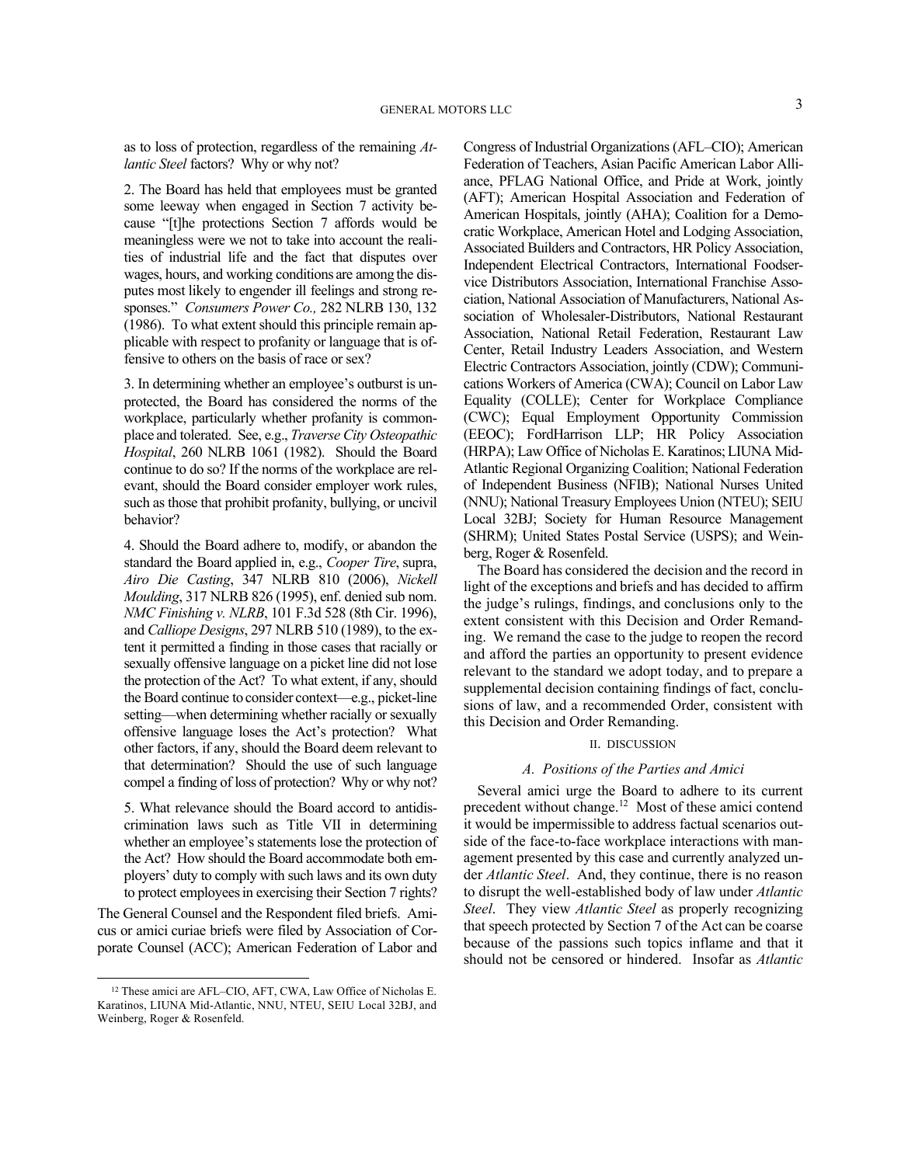as to loss of protection, regardless of the remaining *Atlantic Steel* factors? Why or why not?

2. The Board has held that employees must be granted some leeway when engaged in Section 7 activity because "[t]he protections Section 7 affords would be meaningless were we not to take into account the realities of industrial life and the fact that disputes over wages, hours, and working conditions are among the disputes most likely to engender ill feelings and strong responses." *Consumers Power Co.,* 282 NLRB 130, 132 (1986). To what extent should this principle remain applicable with respect to profanity or language that is offensive to others on the basis of race or sex?

3. In determining whether an employee's outburst is unprotected, the Board has considered the norms of the workplace, particularly whether profanity is commonplace and tolerated. See, e.g., *Traverse City Osteopathic Hospital*, 260 NLRB 1061 (1982). Should the Board continue to do so? If the norms of the workplace are relevant, should the Board consider employer work rules, such as those that prohibit profanity, bullying, or uncivil behavior?

4. Should the Board adhere to, modify, or abandon the standard the Board applied in, e.g., *Cooper Tire*, supra, *Airo Die Casting*, 347 NLRB 810 (2006), *Nickell Moulding*, 317 NLRB 826 (1995), enf. denied sub nom. *NMC Finishing v. NLRB*, 101 F.3d 528 (8th Cir. 1996), and *Calliope Designs*, 297 NLRB 510 (1989), to the extent it permitted a finding in those cases that racially or sexually offensive language on a picket line did not lose the protection of the Act? To what extent, if any, should the Board continue to consider context—e.g., picket-line setting—when determining whether racially or sexually offensive language loses the Act's protection? What other factors, if any, should the Board deem relevant to that determination? Should the use of such language compel a finding of loss of protection? Why or why not?

5. What relevance should the Board accord to antidiscrimination laws such as Title VII in determining whether an employee's statements lose the protection of the Act? How should the Board accommodate both employers' duty to comply with such laws and its own duty to protect employees in exercising their Section 7 rights?

The General Counsel and the Respondent filed briefs. Amicus or amici curiae briefs were filed by Association of Corporate Counsel (ACC); American Federation of Labor and Congress of Industrial Organizations (AFL–CIO); American Federation of Teachers, Asian Pacific American Labor Alliance, PFLAG National Office, and Pride at Work, jointly (AFT); American Hospital Association and Federation of American Hospitals, jointly (AHA); Coalition for a Democratic Workplace, American Hotel and Lodging Association, Associated Builders and Contractors, HR Policy Association, Independent Electrical Contractors, International Foodservice Distributors Association, International Franchise Association, National Association of Manufacturers, National Association of Wholesaler-Distributors, National Restaurant Association, National Retail Federation, Restaurant Law Center, Retail Industry Leaders Association, and Western Electric Contractors Association, jointly (CDW); Communications Workers of America (CWA); Council on Labor Law Equality (COLLE); Center for Workplace Compliance (CWC); Equal Employment Opportunity Commission (EEOC); FordHarrison LLP; HR Policy Association (HRPA); Law Office of Nicholas E. Karatinos; LIUNA Mid-Atlantic Regional Organizing Coalition; National Federation of Independent Business (NFIB); National Nurses United (NNU); National Treasury Employees Union (NTEU); SEIU Local 32BJ; Society for Human Resource Management (SHRM); United States Postal Service (USPS); and Weinberg, Roger & Rosenfeld.

The Board has considered the decision and the record in light of the exceptions and briefs and has decided to affirm the judge's rulings, findings, and conclusions only to the extent consistent with this Decision and Order Remanding. We remand the case to the judge to reopen the record and afford the parties an opportunity to present evidence relevant to the standard we adopt today, and to prepare a supplemental decision containing findings of fact, conclusions of law, and a recommended Order, consistent with this Decision and Order Remanding.

# II. DISCUSSION

# *A. Positions of the Parties and Amici*

Several amici urge the Board to adhere to its current precedent without change.<sup>12</sup> Most of these amici contend it would be impermissible to address factual scenarios outside of the face-to-face workplace interactions with management presented by this case and currently analyzed under *Atlantic Steel*. And, they continue, there is no reason to disrupt the well-established body of law under *Atlantic Steel*. They view *Atlantic Steel* as properly recognizing that speech protected by Section 7 of the Act can be coarse because of the passions such topics inflame and that it should not be censored or hindered. Insofar as *Atlantic* 

<sup>12</sup> These amici are AFL–CIO, AFT, CWA, Law Office of Nicholas E. Karatinos, LIUNA Mid-Atlantic, NNU, NTEU, SEIU Local 32BJ, and Weinberg, Roger & Rosenfeld.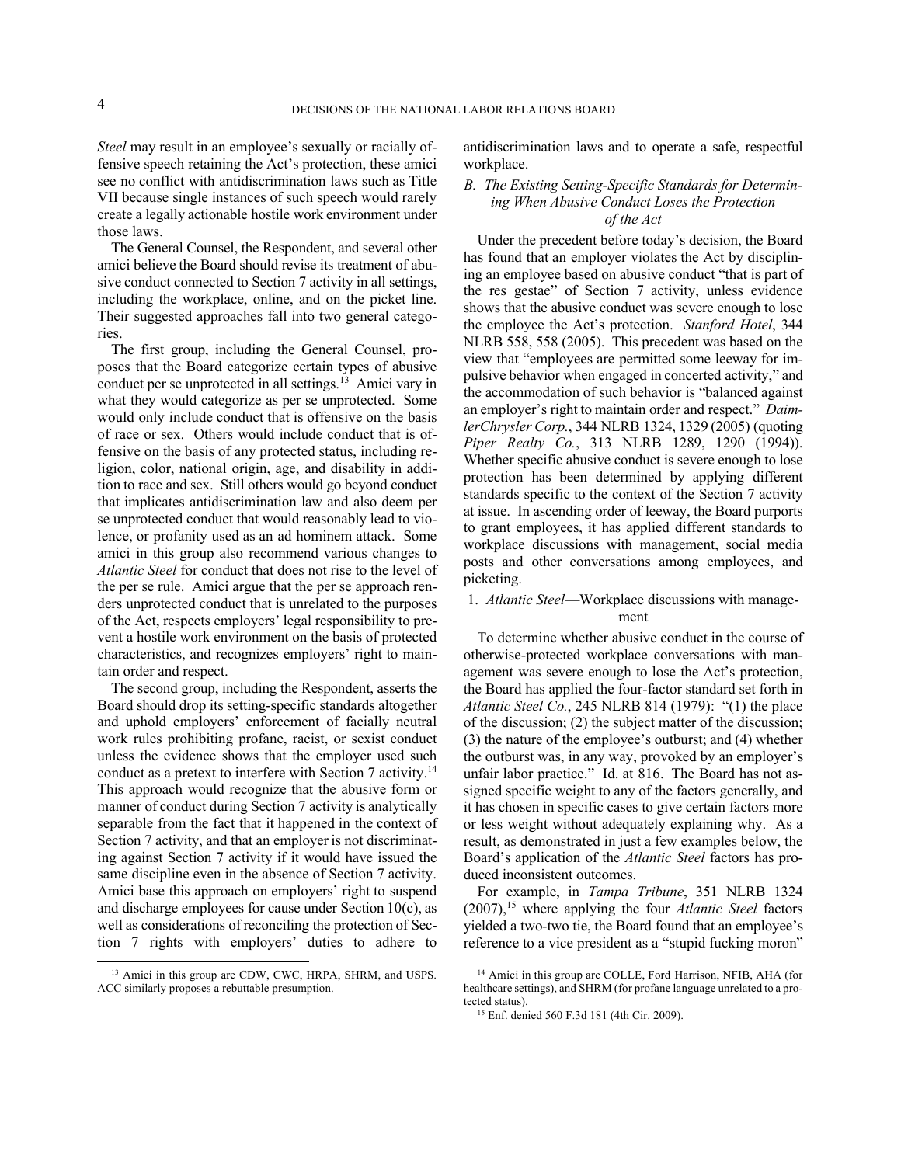*Steel* may result in an employee's sexually or racially offensive speech retaining the Act's protection, these amici see no conflict with antidiscrimination laws such as Title VII because single instances of such speech would rarely create a legally actionable hostile work environment under those laws.

The General Counsel, the Respondent, and several other amici believe the Board should revise its treatment of abusive conduct connected to Section 7 activity in all settings, including the workplace, online, and on the picket line. Their suggested approaches fall into two general categories.

The first group, including the General Counsel, proposes that the Board categorize certain types of abusive conduct per se unprotected in all settings.<sup>13</sup> Amici vary in what they would categorize as per se unprotected. Some would only include conduct that is offensive on the basis of race or sex. Others would include conduct that is offensive on the basis of any protected status, including religion, color, national origin, age, and disability in addition to race and sex. Still others would go beyond conduct that implicates antidiscrimination law and also deem per se unprotected conduct that would reasonably lead to violence, or profanity used as an ad hominem attack. Some amici in this group also recommend various changes to *Atlantic Steel* for conduct that does not rise to the level of the per se rule. Amici argue that the per se approach renders unprotected conduct that is unrelated to the purposes of the Act, respects employers' legal responsibility to prevent a hostile work environment on the basis of protected characteristics, and recognizes employers' right to maintain order and respect.

The second group, including the Respondent, asserts the Board should drop its setting-specific standards altogether and uphold employers' enforcement of facially neutral work rules prohibiting profane, racist, or sexist conduct unless the evidence shows that the employer used such conduct as a pretext to interfere with Section 7 activity.<sup>14</sup> This approach would recognize that the abusive form or manner of conduct during Section 7 activity is analytically separable from the fact that it happened in the context of Section 7 activity, and that an employer is not discriminating against Section 7 activity if it would have issued the same discipline even in the absence of Section 7 activity. Amici base this approach on employers' right to suspend and discharge employees for cause under Section 10(c), as well as considerations of reconciling the protection of Section 7 rights with employers' duties to adhere to

antidiscrimination laws and to operate a safe, respectful workplace.

# *B. The Existing Setting-Specific Standards for Determining When Abusive Conduct Loses the Protection of the Act*

Under the precedent before today's decision, the Board has found that an employer violates the Act by disciplining an employee based on abusive conduct "that is part of the res gestae" of Section 7 activity, unless evidence shows that the abusive conduct was severe enough to lose the employee the Act's protection. *Stanford Hotel*, 344 NLRB 558, 558 (2005). This precedent was based on the view that "employees are permitted some leeway for impulsive behavior when engaged in concerted activity," and the accommodation of such behavior is "balanced against an employer's right to maintain order and respect." *DaimlerChrysler Corp.*, 344 NLRB 1324, 1329 (2005) (quoting *Piper Realty Co.*, 313 NLRB 1289, 1290 (1994)). Whether specific abusive conduct is severe enough to lose protection has been determined by applying different standards specific to the context of the Section 7 activity at issue. In ascending order of leeway, the Board purports to grant employees, it has applied different standards to workplace discussions with management, social media posts and other conversations among employees, and picketing.

# 1. *Atlantic Steel*—Workplace discussions with management

To determine whether abusive conduct in the course of otherwise-protected workplace conversations with management was severe enough to lose the Act's protection, the Board has applied the four-factor standard set forth in *Atlantic Steel Co.*, 245 NLRB 814 (1979): "(1) the place of the discussion; (2) the subject matter of the discussion; (3) the nature of the employee's outburst; and (4) whether the outburst was, in any way, provoked by an employer's unfair labor practice." Id. at 816. The Board has not assigned specific weight to any of the factors generally, and it has chosen in specific cases to give certain factors more or less weight without adequately explaining why. As a result, as demonstrated in just a few examples below, the Board's application of the *Atlantic Steel* factors has produced inconsistent outcomes.

For example, in *Tampa Tribune*, 351 NLRB 1324 (2007),<sup>15</sup> where applying the four *Atlantic Steel* factors yielded a two-two tie, the Board found that an employee's reference to a vice president as a "stupid fucking moron"

<sup>13</sup> Amici in this group are CDW, CWC, HRPA, SHRM, and USPS. ACC similarly proposes a rebuttable presumption.

<sup>14</sup> Amici in this group are COLLE, Ford Harrison, NFIB, AHA (for healthcare settings), and SHRM (for profane language unrelated to a protected status).

<sup>15</sup> Enf. denied 560 F.3d 181 (4th Cir. 2009).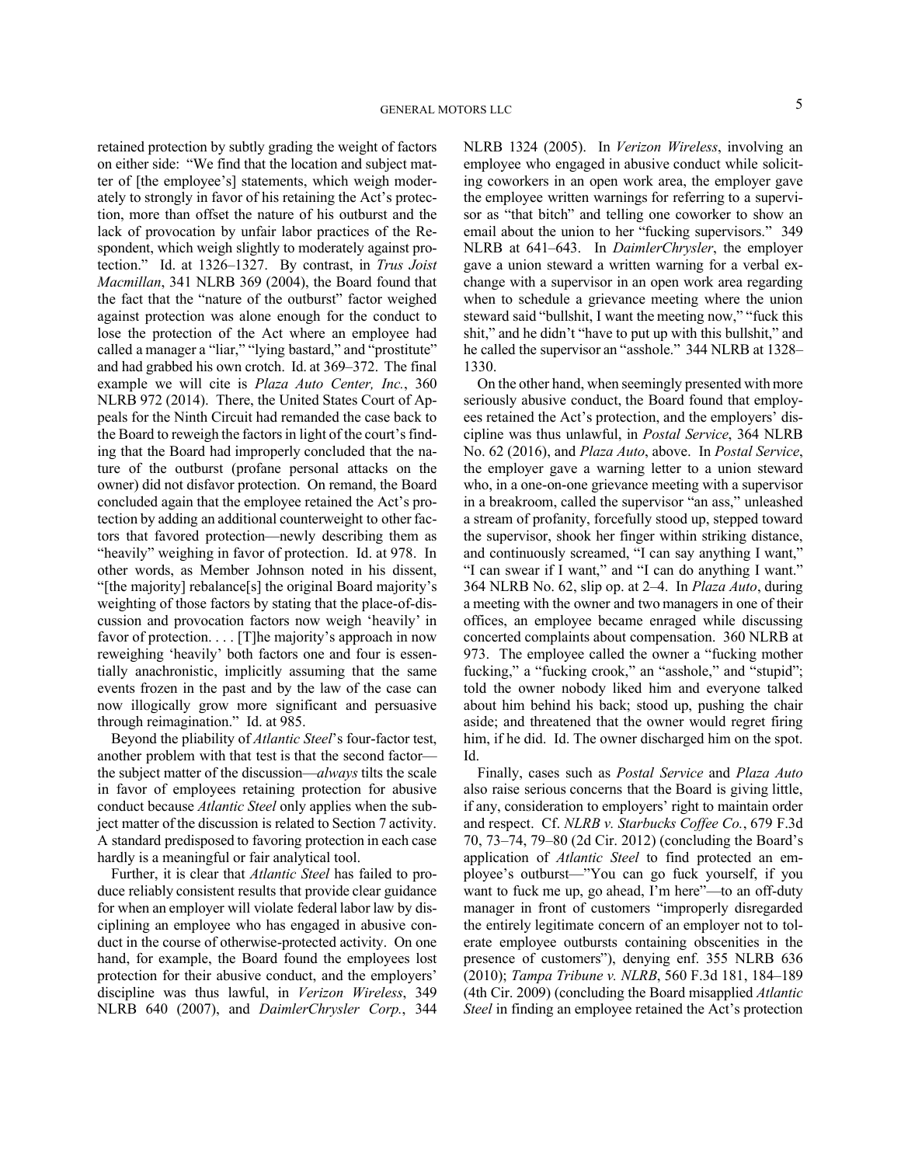retained protection by subtly grading the weight of factors on either side: "We find that the location and subject matter of [the employee's] statements, which weigh moderately to strongly in favor of his retaining the Act's protection, more than offset the nature of his outburst and the lack of provocation by unfair labor practices of the Respondent, which weigh slightly to moderately against protection." Id. at 1326–1327. By contrast, in *Trus Joist Macmillan*, 341 NLRB 369 (2004), the Board found that the fact that the "nature of the outburst" factor weighed against protection was alone enough for the conduct to lose the protection of the Act where an employee had called a manager a "liar," "lying bastard," and "prostitute" and had grabbed his own crotch. Id. at 369–372. The final example we will cite is *Plaza Auto Center, Inc.*, 360 NLRB 972 (2014). There, the United States Court of Appeals for the Ninth Circuit had remanded the case back to the Board to reweigh the factors in light of the court's finding that the Board had improperly concluded that the nature of the outburst (profane personal attacks on the owner) did not disfavor protection. On remand, the Board concluded again that the employee retained the Act's protection by adding an additional counterweight to other factors that favored protection—newly describing them as "heavily" weighing in favor of protection. Id. at 978. In other words, as Member Johnson noted in his dissent, "[the majority] rebalance[s] the original Board majority's weighting of those factors by stating that the place-of-discussion and provocation factors now weigh 'heavily' in favor of protection. . . . [T] he majority's approach in now reweighing 'heavily' both factors one and four is essentially anachronistic, implicitly assuming that the same events frozen in the past and by the law of the case can now illogically grow more significant and persuasive through reimagination." Id. at 985.

Beyond the pliability of *Atlantic Steel*'s four-factor test, another problem with that test is that the second factor the subject matter of the discussion—*always* tilts the scale in favor of employees retaining protection for abusive conduct because *Atlantic Steel* only applies when the subject matter of the discussion is related to Section 7 activity. A standard predisposed to favoring protection in each case hardly is a meaningful or fair analytical tool.

Further, it is clear that *Atlantic Steel* has failed to produce reliably consistent results that provide clear guidance for when an employer will violate federal labor law by disciplining an employee who has engaged in abusive conduct in the course of otherwise-protected activity. On one hand, for example, the Board found the employees lost protection for their abusive conduct, and the employers' discipline was thus lawful, in *Verizon Wireless*, 349 NLRB 640 (2007), and *DaimlerChrysler Corp.*, 344 NLRB 1324 (2005). In *Verizon Wireless*, involving an employee who engaged in abusive conduct while soliciting coworkers in an open work area, the employer gave the employee written warnings for referring to a supervisor as "that bitch" and telling one coworker to show an email about the union to her "fucking supervisors." 349 NLRB at 641–643. In *DaimlerChrysler*, the employer gave a union steward a written warning for a verbal exchange with a supervisor in an open work area regarding when to schedule a grievance meeting where the union steward said "bullshit, I want the meeting now," "fuck this shit," and he didn't "have to put up with this bullshit," and he called the supervisor an "asshole." 344 NLRB at 1328– 1330.

On the other hand, when seemingly presented with more seriously abusive conduct, the Board found that employees retained the Act's protection, and the employers' discipline was thus unlawful, in *Postal Service*, 364 NLRB No. 62 (2016), and *Plaza Auto*, above. In *Postal Service*, the employer gave a warning letter to a union steward who, in a one-on-one grievance meeting with a supervisor in a breakroom, called the supervisor "an ass," unleashed a stream of profanity, forcefully stood up, stepped toward the supervisor, shook her finger within striking distance, and continuously screamed, "I can say anything I want," "I can swear if I want," and "I can do anything I want." 364 NLRB No. 62, slip op. at 2–4. In *Plaza Auto*, during a meeting with the owner and two managers in one of their offices, an employee became enraged while discussing concerted complaints about compensation. 360 NLRB at 973. The employee called the owner a "fucking mother fucking," a "fucking crook," an "asshole," and "stupid"; told the owner nobody liked him and everyone talked about him behind his back; stood up, pushing the chair aside; and threatened that the owner would regret firing him, if he did. Id. The owner discharged him on the spot. Id.

Finally, cases such as *Postal Service* and *Plaza Auto*  also raise serious concerns that the Board is giving little, if any, consideration to employers' right to maintain order and respect. Cf. *NLRB v. Starbucks Coffee Co.*, 679 F.3d 70, 73–74, 79–80 (2d Cir. 2012) (concluding the Board's application of *Atlantic Steel* to find protected an employee's outburst—"You can go fuck yourself, if you want to fuck me up, go ahead, I'm here"—to an off-duty manager in front of customers "improperly disregarded the entirely legitimate concern of an employer not to tolerate employee outbursts containing obscenities in the presence of customers"), denying enf. 355 NLRB 636 (2010); *Tampa Tribune v. NLRB*, 560 F.3d 181, 184–189 (4th Cir. 2009) (concluding the Board misapplied *Atlantic Steel* in finding an employee retained the Act's protection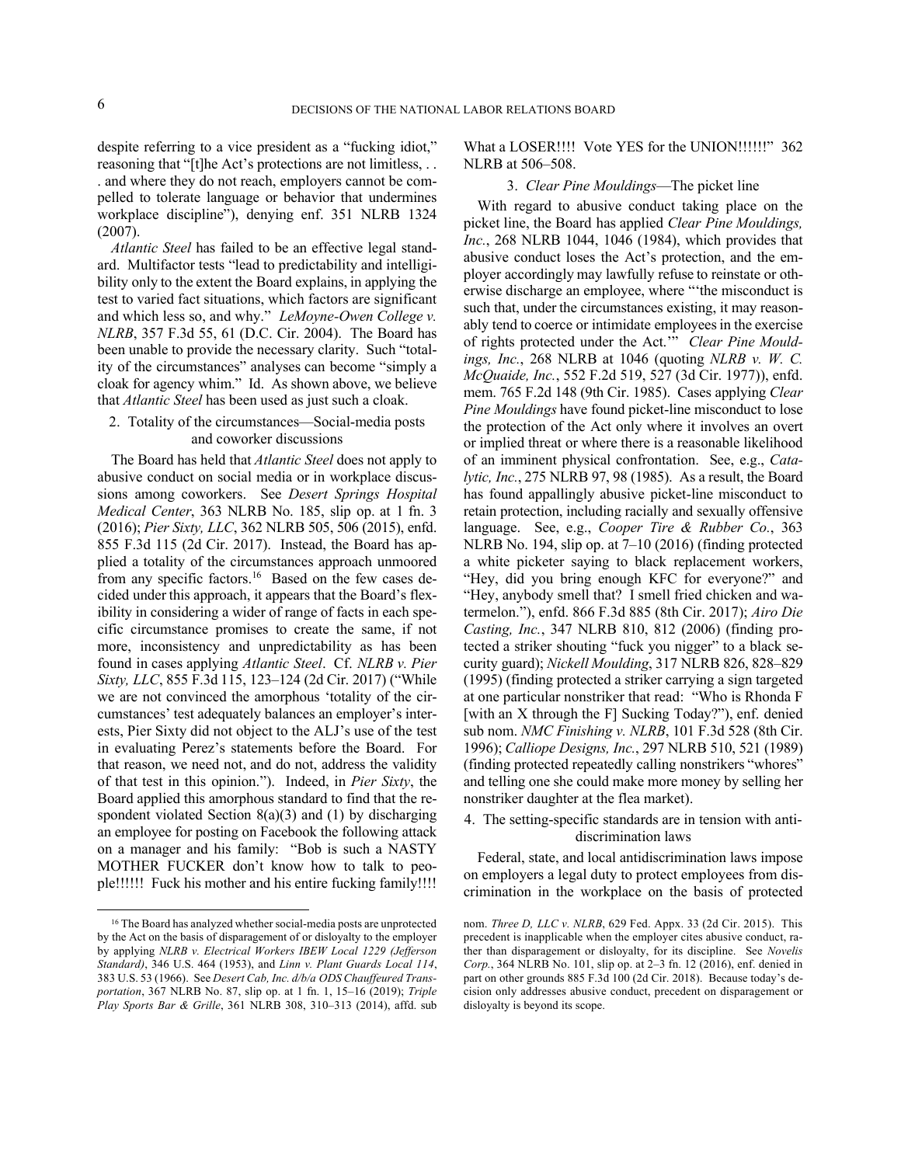despite referring to a vice president as a "fucking idiot," reasoning that "[t]he Act's protections are not limitless, . . . and where they do not reach, employers cannot be compelled to tolerate language or behavior that undermines workplace discipline"), denying enf. 351 NLRB 1324 (2007).

*Atlantic Steel* has failed to be an effective legal standard. Multifactor tests "lead to predictability and intelligibility only to the extent the Board explains, in applying the test to varied fact situations, which factors are significant and which less so, and why." *LeMoyne-Owen College v. NLRB*, 357 F.3d 55, 61 (D.C. Cir. 2004). The Board has been unable to provide the necessary clarity. Such "totality of the circumstances" analyses can become "simply a cloak for agency whim." Id. As shown above, we believe that *Atlantic Steel* has been used as just such a cloak.

# 2. Totality of the circumstances—Social-media posts and coworker discussions

The Board has held that *Atlantic Steel* does not apply to abusive conduct on social media or in workplace discussions among coworkers. See *Desert Springs Hospital Medical Center*, 363 NLRB No. 185, slip op. at 1 fn. 3 (2016); *Pier Sixty, LLC*, 362 NLRB 505, 506 (2015), enfd. 855 F.3d 115 (2d Cir. 2017). Instead, the Board has applied a totality of the circumstances approach unmoored from any specific factors.<sup>16</sup> Based on the few cases decided under this approach, it appears that the Board's flexibility in considering a wider of range of facts in each specific circumstance promises to create the same, if not more, inconsistency and unpredictability as has been found in cases applying *Atlantic Steel*. Cf. *NLRB v. Pier Sixty, LLC*, 855 F.3d 115, 123–124 (2d Cir. 2017) ("While we are not convinced the amorphous 'totality of the circumstances' test adequately balances an employer's interests, Pier Sixty did not object to the ALJ's use of the test in evaluating Perez's statements before the Board. For that reason, we need not, and do not, address the validity of that test in this opinion."). Indeed, in *Pier Sixty*, the Board applied this amorphous standard to find that the respondent violated Section  $8(a)(3)$  and (1) by discharging an employee for posting on Facebook the following attack on a manager and his family: "Bob is such a NASTY MOTHER FUCKER don't know how to talk to people!!!!!! Fuck his mother and his entire fucking family!!!!

What a LOSER!!!! Vote YES for the UNION!!!!!!" 362 NLRB at 506–508.

### 3. *Clear Pine Mouldings*—The picket line

With regard to abusive conduct taking place on the picket line, the Board has applied *Clear Pine Mouldings, Inc.*, 268 NLRB 1044, 1046 (1984), which provides that abusive conduct loses the Act's protection, and the employer accordingly may lawfully refuse to reinstate or otherwise discharge an employee, where "'the misconduct is such that, under the circumstances existing, it may reasonably tend to coerce or intimidate employees in the exercise of rights protected under the Act.'" *Clear Pine Mouldings, Inc.*, 268 NLRB at 1046 (quoting *NLRB v. W. C. McQuaide, Inc.*, 552 F.2d 519, 527 (3d Cir. 1977)), enfd. mem. 765 F.2d 148 (9th Cir. 1985). Cases applying *Clear Pine Mouldings* have found picket-line misconduct to lose the protection of the Act only where it involves an overt or implied threat or where there is a reasonable likelihood of an imminent physical confrontation. See, e.g., *Catalytic, Inc.*, 275 NLRB 97, 98 (1985). As a result, the Board has found appallingly abusive picket-line misconduct to retain protection, including racially and sexually offensive language. See, e.g., *Cooper Tire & Rubber Co.*, 363 NLRB No. 194, slip op. at 7–10 (2016) (finding protected a white picketer saying to black replacement workers, "Hey, did you bring enough KFC for everyone?" and "Hey, anybody smell that? I smell fried chicken and watermelon."), enfd. 866 F.3d 885 (8th Cir. 2017); *Airo Die Casting, Inc.*, 347 NLRB 810, 812 (2006) (finding protected a striker shouting "fuck you nigger" to a black security guard); *Nickell Moulding*, 317 NLRB 826, 828–829 (1995) (finding protected a striker carrying a sign targeted at one particular nonstriker that read: "Who is Rhonda F [with an X through the F] Sucking Today?"), enf. denied sub nom. *NMC Finishing v. NLRB*, 101 F.3d 528 (8th Cir. 1996); *Calliope Designs, Inc.*, 297 NLRB 510, 521 (1989) (finding protected repeatedly calling nonstrikers "whores" and telling one she could make more money by selling her nonstriker daughter at the flea market).

4. The setting-specific standards are in tension with antidiscrimination laws

Federal, state, and local antidiscrimination laws impose on employers a legal duty to protect employees from discrimination in the workplace on the basis of protected

<sup>&</sup>lt;sup>16</sup> The Board has analyzed whether social-media posts are unprotected by the Act on the basis of disparagement of or disloyalty to the employer by applying *NLRB v. Electrical Workers IBEW Local 1229 (Jefferson Standard)*, 346 U.S. 464 (1953), and *Linn v. Plant Guards Local 114*, 383 U.S. 53 (1966). See *Desert Cab, Inc. d/b/a ODS Chauffeured Transportation*, 367 NLRB No. 87, slip op. at 1 fn. 1, 15–16 (2019); *Triple Play Sports Bar & Grille*, 361 NLRB 308, 310–313 (2014), affd. sub

nom. *Three D, LLC v. NLRB*, 629 Fed. Appx. 33 (2d Cir. 2015). This precedent is inapplicable when the employer cites abusive conduct, rather than disparagement or disloyalty, for its discipline. See *Novelis Corp.*, 364 NLRB No. 101, slip op. at 2–3 fn. 12 (2016), enf. denied in part on other grounds 885 F.3d 100 (2d Cir. 2018). Because today's decision only addresses abusive conduct, precedent on disparagement or disloyalty is beyond its scope.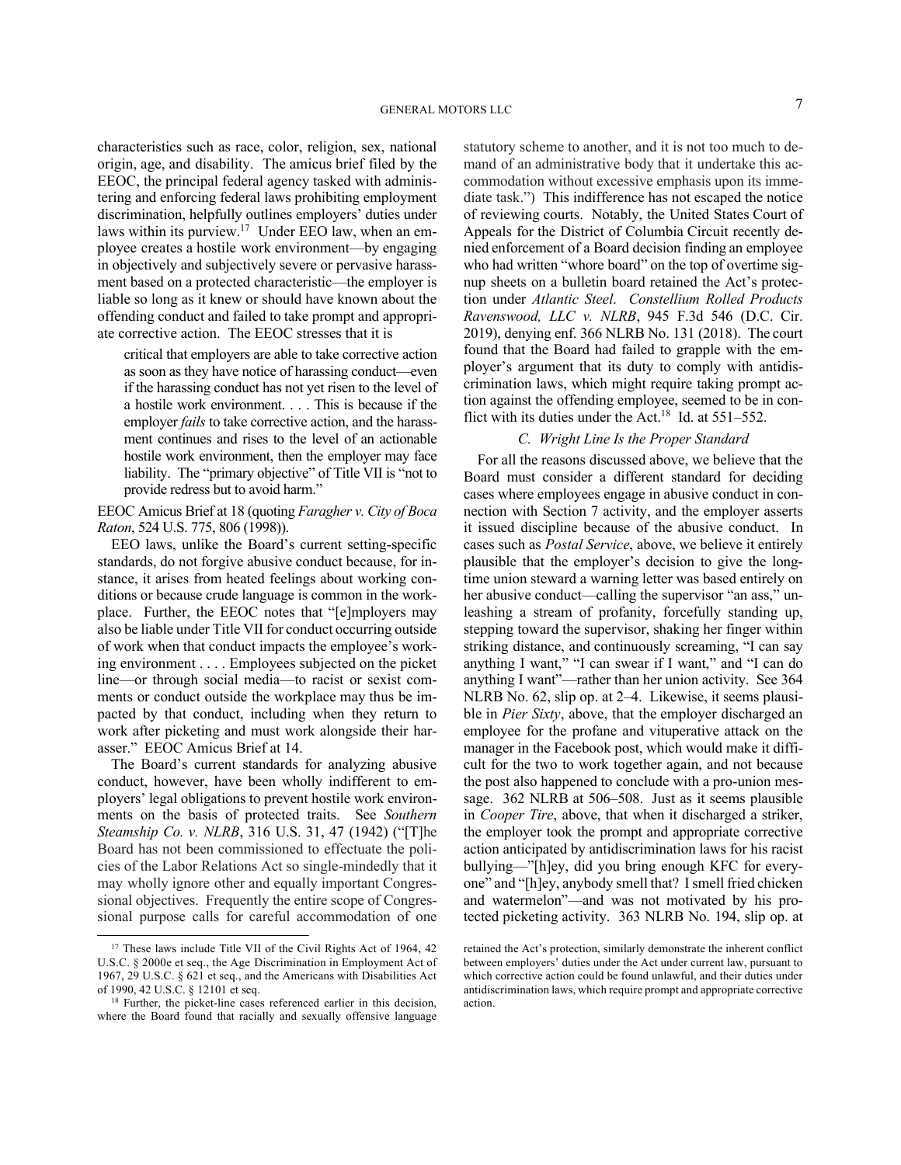characteristics such as race, color, religion, sex, national origin, age, and disability. The amicus brief filed by the EEOC, the principal federal agency tasked with administering and enforcing federal laws prohibiting employment discrimination, helpfully outlines employers' duties under laws within its purview.<sup>17</sup> Under EEO law, when an employee creates a hostile work environment—by engaging in objectively and subjectively severe or pervasive harassment based on a protected characteristic—the employer is liable so long as it knew or should have known about the offending conduct and failed to take prompt and appropriate corrective action. The EEOC stresses that it is

critical that employers are able to take corrective action as soon as they have notice of harassing conduct—even if the harassing conduct has not yet risen to the level of a hostile work environment. . . . This is because if the employer *fails* to take corrective action, and the harassment continues and rises to the level of an actionable hostile work environment, then the employer may face liability. The "primary objective" of Title VII is "not to provide redress but to avoid harm."

EEOC Amicus Brief at 18 (quoting *Faragher v. City of Boca Raton*, 524 U.S. 775, 806 (1998)).

EEO laws, unlike the Board's current setting-specific standards, do not forgive abusive conduct because, for instance, it arises from heated feelings about working conditions or because crude language is common in the workplace. Further, the EEOC notes that "[e]mployers may also be liable under Title VII for conduct occurring outside of work when that conduct impacts the employee's working environment . . . . Employees subjected on the picket line—or through social media—to racist or sexist comments or conduct outside the workplace may thus be impacted by that conduct, including when they return to work after picketing and must work alongside their harasser." EEOC Amicus Brief at 14.

The Board's current standards for analyzing abusive conduct, however, have been wholly indifferent to employers' legal obligations to prevent hostile work environments on the basis of protected traits. See *Southern Steamship Co. v. NLRB*, 316 U.S. 31, 47 (1942) ("[T]he Board has not been commissioned to effectuate the policies of the Labor Relations Act so single-mindedly that it may wholly ignore other and equally important Congressional objectives. Frequently the entire scope of Congressional purpose calls for careful accommodation of one statutory scheme to another, and it is not too much to demand of an administrative body that it undertake this accommodation without excessive emphasis upon its immediate task.") This indifference has not escaped the notice of reviewing courts. Notably, the United States Court of Appeals for the District of Columbia Circuit recently denied enforcement of a Board decision finding an employee who had written "whore board" on the top of overtime signup sheets on a bulletin board retained the Act's protection under *Atlantic Steel*. *Constellium Rolled Products Ravenswood, LLC v. NLRB*, 945 F.3d 546 (D.C. Cir. 2019), denying enf. 366 NLRB No. 131 (2018). The court found that the Board had failed to grapple with the employer's argument that its duty to comply with antidiscrimination laws, which might require taking prompt action against the offending employee, seemed to be in conflict with its duties under the Act.<sup>18</sup> Id. at  $551-552$ .

## *C. Wright Line Is the Proper Standard*

For all the reasons discussed above, we believe that the Board must consider a different standard for deciding cases where employees engage in abusive conduct in connection with Section 7 activity, and the employer asserts it issued discipline because of the abusive conduct. In cases such as *Postal Service*, above, we believe it entirely plausible that the employer's decision to give the longtime union steward a warning letter was based entirely on her abusive conduct—calling the supervisor "an ass," unleashing a stream of profanity, forcefully standing up, stepping toward the supervisor, shaking her finger within striking distance, and continuously screaming, "I can say anything I want," "I can swear if I want," and "I can do anything I want"—rather than her union activity. See 364 NLRB No. 62, slip op. at 2–4. Likewise, it seems plausible in *Pier Sixty*, above, that the employer discharged an employee for the profane and vituperative attack on the manager in the Facebook post, which would make it difficult for the two to work together again, and not because the post also happened to conclude with a pro-union message. 362 NLRB at 506–508. Just as it seems plausible in *Cooper Tire*, above, that when it discharged a striker, the employer took the prompt and appropriate corrective action anticipated by antidiscrimination laws for his racist bullying—"[h]ey, did you bring enough KFC for everyone" and "[h]ey, anybody smell that? I smell fried chicken and watermelon"—and was not motivated by his protected picketing activity. 363 NLRB No. 194, slip op. at

<sup>&</sup>lt;sup>17</sup> These laws include Title VII of the Civil Rights Act of 1964, 42 U.S.C. § 2000e et seq., the Age Discrimination in Employment Act of 1967, 29 U.S.C. § 621 et seq., and the Americans with Disabilities Act of 1990, 42 U.S.C. § 12101 et seq.

<sup>&</sup>lt;sup>18</sup> Further, the picket-line cases referenced earlier in this decision, where the Board found that racially and sexually offensive language

retained the Act's protection, similarly demonstrate the inherent conflict between employers' duties under the Act under current law, pursuant to which corrective action could be found unlawful, and their duties under antidiscrimination laws, which require prompt and appropriate corrective action.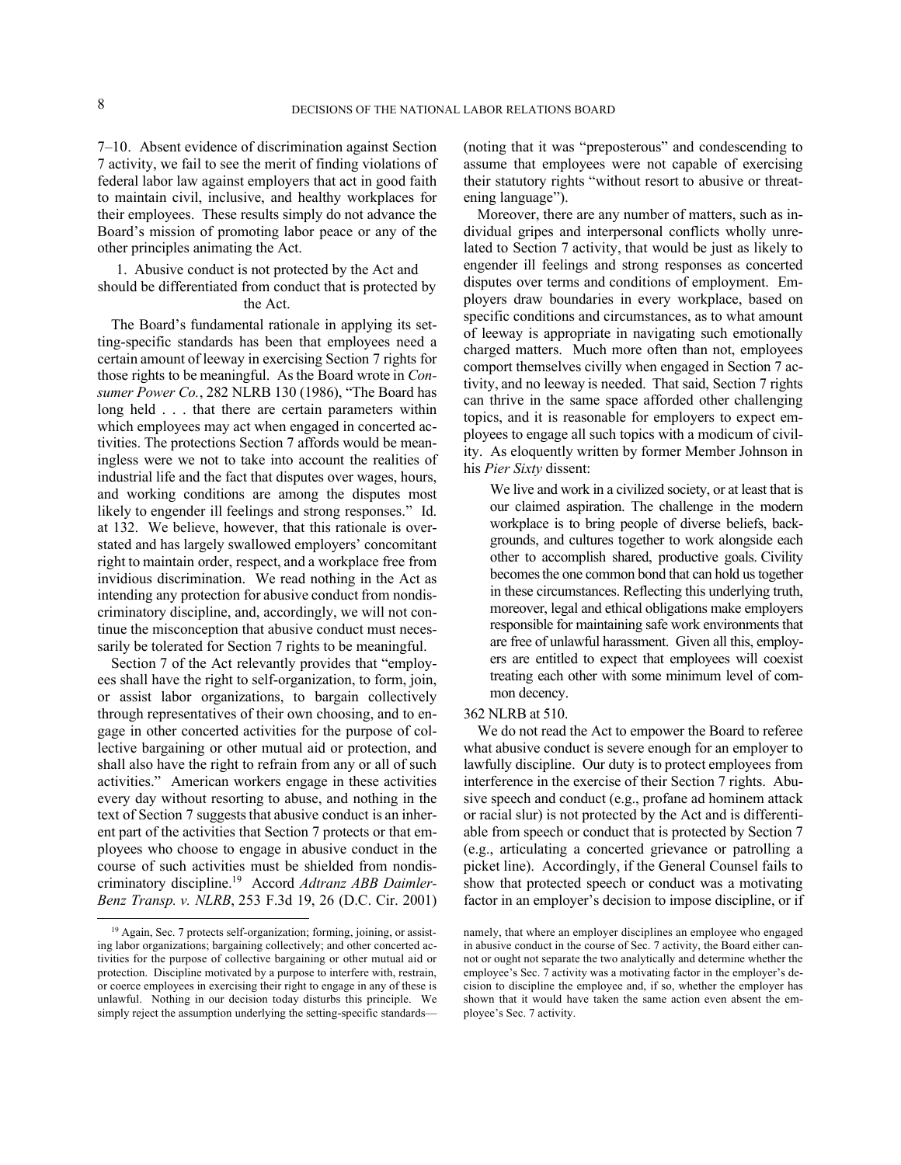7–10. Absent evidence of discrimination against Section 7 activity, we fail to see the merit of finding violations of federal labor law against employers that act in good faith to maintain civil, inclusive, and healthy workplaces for their employees. These results simply do not advance the Board's mission of promoting labor peace or any of the other principles animating the Act.

1. Abusive conduct is not protected by the Act and should be differentiated from conduct that is protected by

# the Act.

The Board's fundamental rationale in applying its setting-specific standards has been that employees need a certain amount of leeway in exercising Section 7 rights for those rights to be meaningful. As the Board wrote in *Consumer Power Co.*, 282 NLRB 130 (1986), "The Board has long held . . . that there are certain parameters within which employees may act when engaged in concerted activities. The protections Section 7 affords would be meaningless were we not to take into account the realities of industrial life and the fact that disputes over wages, hours, and working conditions are among the disputes most likely to engender ill feelings and strong responses." Id. at 132. We believe, however, that this rationale is overstated and has largely swallowed employers' concomitant right to maintain order, respect, and a workplace free from invidious discrimination. We read nothing in the Act as intending any protection for abusive conduct from nondiscriminatory discipline, and, accordingly, we will not continue the misconception that abusive conduct must necessarily be tolerated for Section 7 rights to be meaningful.

Section 7 of the Act relevantly provides that "employees shall have the right to self-organization, to form, join, or assist labor organizations, to bargain collectively through representatives of their own choosing, and to engage in other concerted activities for the purpose of collective bargaining or other mutual aid or protection, and shall also have the right to refrain from any or all of such activities." American workers engage in these activities every day without resorting to abuse, and nothing in the text of Section 7 suggests that abusive conduct is an inherent part of the activities that Section 7 protects or that employees who choose to engage in abusive conduct in the course of such activities must be shielded from nondiscriminatory discipline.<sup>19</sup> Accord *Adtranz ABB Daimler-Benz Transp. v. NLRB*, 253 F.3d 19, 26 (D.C. Cir. 2001) (noting that it was "preposterous" and condescending to assume that employees were not capable of exercising their statutory rights "without resort to abusive or threatening language").

Moreover, there are any number of matters, such as individual gripes and interpersonal conflicts wholly unrelated to Section 7 activity, that would be just as likely to engender ill feelings and strong responses as concerted disputes over terms and conditions of employment. Employers draw boundaries in every workplace, based on specific conditions and circumstances, as to what amount of leeway is appropriate in navigating such emotionally charged matters. Much more often than not, employees comport themselves civilly when engaged in Section 7 activity, and no leeway is needed. That said, Section 7 rights can thrive in the same space afforded other challenging topics, and it is reasonable for employers to expect employees to engage all such topics with a modicum of civility. As eloquently written by former Member Johnson in his *Pier Sixty* dissent:

We live and work in a civilized society, or at least that is our claimed aspiration. The challenge in the modern workplace is to bring people of diverse beliefs, backgrounds, and cultures together to work alongside each other to accomplish shared, productive goals. Civility becomes the one common bond that can hold us together in these circumstances. Reflecting this underlying truth, moreover, legal and ethical obligations make employers responsible for maintaining safe work environments that are free of unlawful harassment. Given all this, employers are entitled to expect that employees will coexist treating each other with some minimum level of common decency.

### 362 NLRB at 510.

We do not read the Act to empower the Board to referee what abusive conduct is severe enough for an employer to lawfully discipline. Our duty is to protect employees from interference in the exercise of their Section 7 rights. Abusive speech and conduct (e.g., profane ad hominem attack or racial slur) is not protected by the Act and is differentiable from speech or conduct that is protected by Section 7 (e.g., articulating a concerted grievance or patrolling a picket line). Accordingly, if the General Counsel fails to show that protected speech or conduct was a motivating factor in an employer's decision to impose discipline, or if

<sup>&</sup>lt;sup>19</sup> Again, Sec. 7 protects self-organization; forming, joining, or assisting labor organizations; bargaining collectively; and other concerted activities for the purpose of collective bargaining or other mutual aid or protection. Discipline motivated by a purpose to interfere with, restrain, or coerce employees in exercising their right to engage in any of these is unlawful. Nothing in our decision today disturbs this principle. We simply reject the assumption underlying the setting-specific standards—

namely, that where an employer disciplines an employee who engaged in abusive conduct in the course of Sec. 7 activity, the Board either cannot or ought not separate the two analytically and determine whether the employee's Sec. 7 activity was a motivating factor in the employer's decision to discipline the employee and, if so, whether the employer has shown that it would have taken the same action even absent the employee's Sec. 7 activity.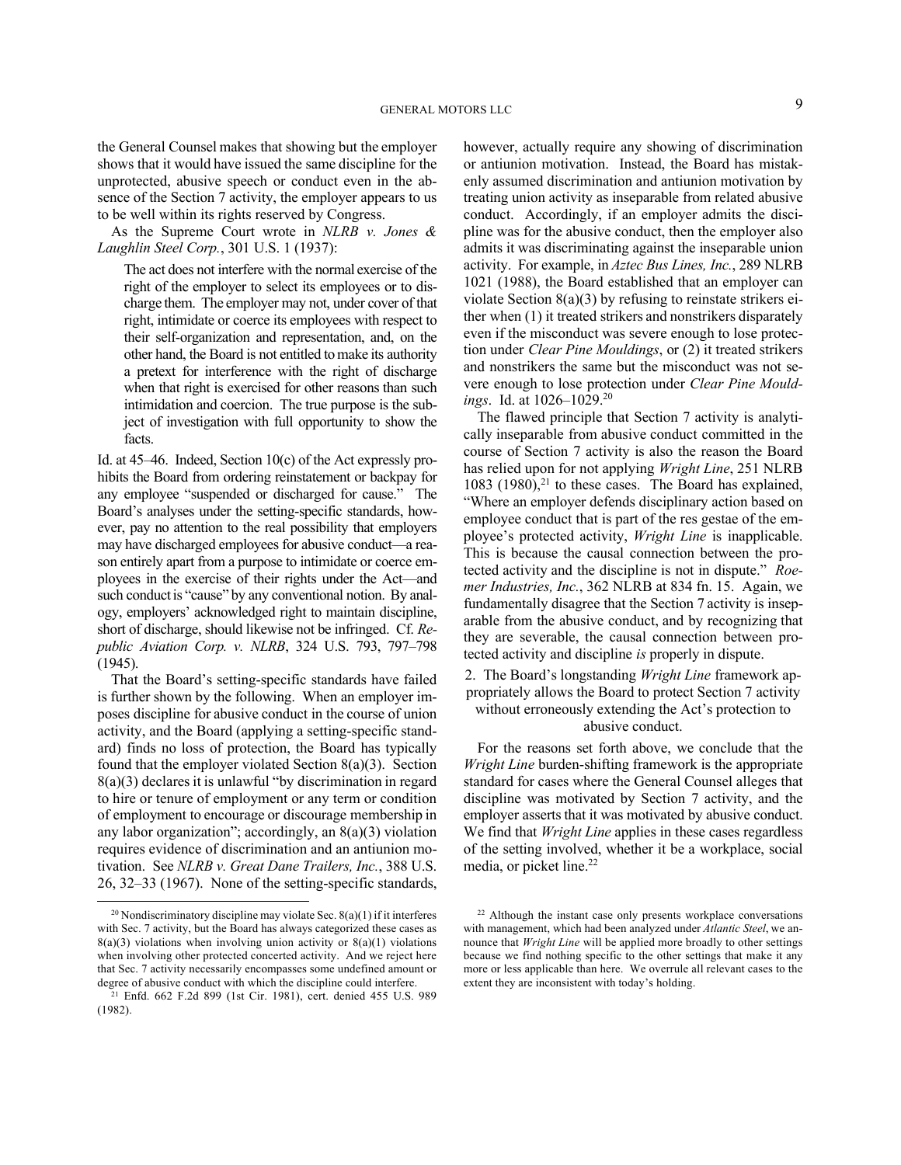the General Counsel makes that showing but the employer shows that it would have issued the same discipline for the unprotected, abusive speech or conduct even in the absence of the Section 7 activity, the employer appears to us to be well within its rights reserved by Congress.

As the Supreme Court wrote in *NLRB v. Jones & Laughlin Steel Corp.*, 301 U.S. 1 (1937):

The act does not interfere with the normal exercise of the right of the employer to select its employees or to discharge them. The employer may not, under cover of that right, intimidate or coerce its employees with respect to their self-organization and representation, and, on the other hand, the Board is not entitled to make its authority a pretext for interference with the right of discharge when that right is exercised for other reasons than such intimidation and coercion. The true purpose is the subject of investigation with full opportunity to show the facts.

Id. at 45–46. Indeed, Section 10(c) of the Act expressly prohibits the Board from ordering reinstatement or backpay for any employee "suspended or discharged for cause." The Board's analyses under the setting-specific standards, however, pay no attention to the real possibility that employers may have discharged employees for abusive conduct—a reason entirely apart from a purpose to intimidate or coerce employees in the exercise of their rights under the Act—and such conduct is "cause" by any conventional notion. By analogy, employers' acknowledged right to maintain discipline, short of discharge, should likewise not be infringed. Cf. *Republic Aviation Corp. v. NLRB*, 324 U.S. 793, 797–798 (1945).

That the Board's setting-specific standards have failed is further shown by the following. When an employer imposes discipline for abusive conduct in the course of union activity, and the Board (applying a setting-specific standard) finds no loss of protection, the Board has typically found that the employer violated Section  $8(a)(3)$ . Section 8(a)(3) declares it is unlawful "by discrimination in regard to hire or tenure of employment or any term or condition of employment to encourage or discourage membership in any labor organization"; accordingly, an 8(a)(3) violation requires evidence of discrimination and an antiunion motivation. See *NLRB v. Great Dane Trailers, Inc.*, 388 U.S. 26, 32–33 (1967). None of the setting-specific standards, however, actually require any showing of discrimination or antiunion motivation. Instead, the Board has mistakenly assumed discrimination and antiunion motivation by treating union activity as inseparable from related abusive conduct. Accordingly, if an employer admits the discipline was for the abusive conduct, then the employer also admits it was discriminating against the inseparable union activity. For example, in *Aztec Bus Lines, Inc.*, 289 NLRB 1021 (1988), the Board established that an employer can violate Section  $8(a)(3)$  by refusing to reinstate strikers either when (1) it treated strikers and nonstrikers disparately even if the misconduct was severe enough to lose protection under *Clear Pine Mouldings*, or (2) it treated strikers and nonstrikers the same but the misconduct was not severe enough to lose protection under *Clear Pine Mouldings*. Id. at 1026–1029.<sup>20</sup>

The flawed principle that Section 7 activity is analytically inseparable from abusive conduct committed in the course of Section 7 activity is also the reason the Board has relied upon for not applying *Wright Line*, 251 NLRB 1083 (1980), $21$  to these cases. The Board has explained, "Where an employer defends disciplinary action based on employee conduct that is part of the res gestae of the employee's protected activity, *Wright Line* is inapplicable. This is because the causal connection between the protected activity and the discipline is not in dispute." *Roemer Industries, Inc.*, 362 NLRB at 834 fn. 15. Again, we fundamentally disagree that the Section 7 activity is inseparable from the abusive conduct, and by recognizing that they are severable, the causal connection between protected activity and discipline *is* properly in dispute.

2. The Board's longstanding *Wright Line* framework appropriately allows the Board to protect Section 7 activity without erroneously extending the Act's protection to

abusive conduct.

For the reasons set forth above, we conclude that the *Wright Line* burden-shifting framework is the appropriate standard for cases where the General Counsel alleges that discipline was motivated by Section 7 activity, and the employer asserts that it was motivated by abusive conduct. We find that *Wright Line* applies in these cases regardless of the setting involved, whether it be a workplace, social media, or picket line.<sup>22</sup>

<sup>&</sup>lt;sup>20</sup> Nondiscriminatory discipline may violate Sec.  $8(a)(1)$  if it interferes with Sec. 7 activity, but the Board has always categorized these cases as  $8(a)(3)$  violations when involving union activity or  $8(a)(1)$  violations when involving other protected concerted activity. And we reject here that Sec. 7 activity necessarily encompasses some undefined amount or degree of abusive conduct with which the discipline could interfere.

<sup>21</sup> Enfd. 662 F.2d 899 (1st Cir. 1981), cert. denied 455 U.S. 989 (1982).

<sup>22</sup> Although the instant case only presents workplace conversations with management, which had been analyzed under *Atlantic Steel*, we announce that *Wright Line* will be applied more broadly to other settings because we find nothing specific to the other settings that make it any more or less applicable than here. We overrule all relevant cases to the extent they are inconsistent with today's holding.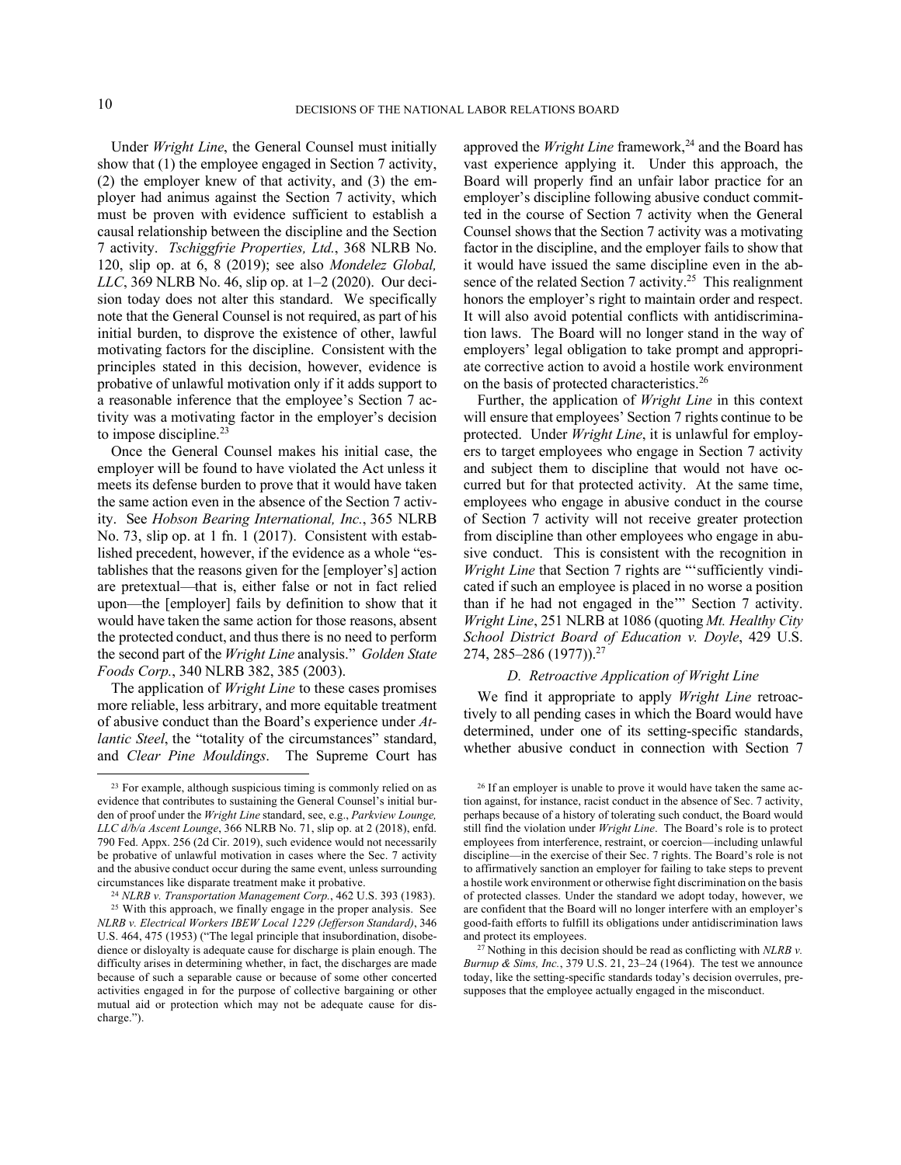Under *Wright Line*, the General Counsel must initially show that (1) the employee engaged in Section 7 activity, (2) the employer knew of that activity, and (3) the employer had animus against the Section 7 activity, which must be proven with evidence sufficient to establish a causal relationship between the discipline and the Section 7 activity. *Tschiggfrie Properties, Ltd.*, 368 NLRB No. 120, slip op. at 6, 8 (2019); see also *Mondelez Global, LLC*, 369 NLRB No. 46, slip op. at 1–2 (2020). Our decision today does not alter this standard. We specifically note that the General Counsel is not required, as part of his initial burden, to disprove the existence of other, lawful motivating factors for the discipline. Consistent with the principles stated in this decision, however, evidence is probative of unlawful motivation only if it adds support to a reasonable inference that the employee's Section 7 activity was a motivating factor in the employer's decision to impose discipline.<sup>23</sup>

Once the General Counsel makes his initial case, the employer will be found to have violated the Act unless it meets its defense burden to prove that it would have taken the same action even in the absence of the Section 7 activity. See *Hobson Bearing International, Inc.*, 365 NLRB No. 73, slip op. at 1 fn. 1 (2017). Consistent with established precedent, however, if the evidence as a whole "establishes that the reasons given for the [employer's] action are pretextual—that is, either false or not in fact relied upon—the [employer] fails by definition to show that it would have taken the same action for those reasons, absent the protected conduct, and thus there is no need to perform the second part of the *Wright Line* analysis." *Golden State Foods Corp.*, 340 NLRB 382, 385 (2003).

The application of *Wright Line* to these cases promises more reliable, less arbitrary, and more equitable treatment of abusive conduct than the Board's experience under *Atlantic Steel*, the "totality of the circumstances" standard, and *Clear Pine Mouldings*. The Supreme Court has approved the *Wright Line* framework,<sup>24</sup> and the Board has vast experience applying it. Under this approach, the Board will properly find an unfair labor practice for an employer's discipline following abusive conduct committed in the course of Section 7 activity when the General Counsel shows that the Section 7 activity was a motivating factor in the discipline, and the employer fails to show that it would have issued the same discipline even in the absence of the related Section 7 activity.<sup>25</sup> This realignment honors the employer's right to maintain order and respect. It will also avoid potential conflicts with antidiscrimination laws. The Board will no longer stand in the way of employers' legal obligation to take prompt and appropriate corrective action to avoid a hostile work environment on the basis of protected characteristics.<sup>26</sup>

Further, the application of *Wright Line* in this context will ensure that employees' Section 7 rights continue to be protected. Under *Wright Line*, it is unlawful for employers to target employees who engage in Section 7 activity and subject them to discipline that would not have occurred but for that protected activity. At the same time, employees who engage in abusive conduct in the course of Section 7 activity will not receive greater protection from discipline than other employees who engage in abusive conduct. This is consistent with the recognition in *Wright Line* that Section 7 rights are "'sufficiently vindicated if such an employee is placed in no worse a position than if he had not engaged in the'" Section 7 activity. *Wright Line*, 251 NLRB at 1086 (quoting *Mt. Healthy City School District Board of Education v. Doyle*, 429 U.S. 274, 285–286 (1977)).<sup>27</sup>

# *D. Retroactive Application of Wright Line*

We find it appropriate to apply *Wright Line* retroactively to all pending cases in which the Board would have determined, under one of its setting-specific standards, whether abusive conduct in connection with Section 7

<sup>&</sup>lt;sup>23</sup> For example, although suspicious timing is commonly relied on as evidence that contributes to sustaining the General Counsel's initial burden of proof under the *Wright Line* standard, see, e.g., *Parkview Lounge, LLC d/b/a Ascent Lounge*, 366 NLRB No. 71, slip op. at 2 (2018), enfd. 790 Fed. Appx. 256 (2d Cir. 2019), such evidence would not necessarily be probative of unlawful motivation in cases where the Sec. 7 activity and the abusive conduct occur during the same event, unless surrounding circumstances like disparate treatment make it probative.

<sup>24</sup> *NLRB v. Transportation Management Corp.*, 462 U.S. 393 (1983). <sup>25</sup> With this approach, we finally engage in the proper analysis. See *NLRB v. Electrical Workers IBEW Local 1229 (Jefferson Standard)*, 346 U.S. 464, 475 (1953) ("The legal principle that insubordination, disobedience or disloyalty is adequate cause for discharge is plain enough. The difficulty arises in determining whether, in fact, the discharges are made because of such a separable cause or because of some other concerted activities engaged in for the purpose of collective bargaining or other mutual aid or protection which may not be adequate cause for discharge.").

<sup>&</sup>lt;sup>26</sup> If an employer is unable to prove it would have taken the same action against, for instance, racist conduct in the absence of Sec. 7 activity, perhaps because of a history of tolerating such conduct, the Board would still find the violation under *Wright Line*. The Board's role is to protect employees from interference, restraint, or coercion—including unlawful discipline—in the exercise of their Sec. 7 rights. The Board's role is not to affirmatively sanction an employer for failing to take steps to prevent a hostile work environment or otherwise fight discrimination on the basis of protected classes. Under the standard we adopt today, however, we are confident that the Board will no longer interfere with an employer's good-faith efforts to fulfill its obligations under antidiscrimination laws and protect its employees.

<sup>27</sup> Nothing in this decision should be read as conflicting with *NLRB v. Burnup & Sims, Inc.*, 379 U.S. 21, 23–24 (1964). The test we announce today, like the setting-specific standards today's decision overrules, presupposes that the employee actually engaged in the misconduct.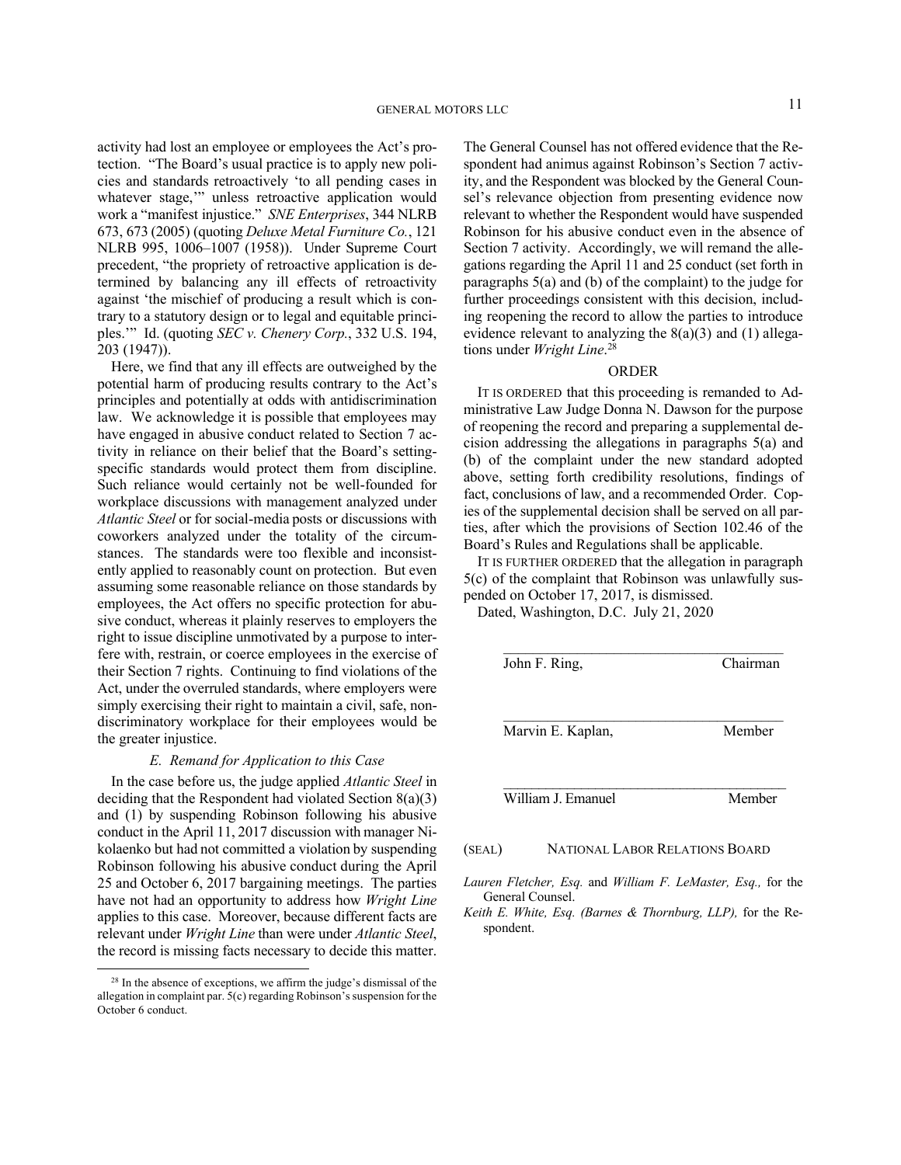activity had lost an employee or employees the Act's protection. "The Board's usual practice is to apply new policies and standards retroactively 'to all pending cases in whatever stage," unless retroactive application would work a "manifest injustice." *SNE Enterprises*, 344 NLRB 673, 673 (2005) (quoting *Deluxe Metal Furniture Co.*, 121 NLRB 995, 1006–1007 (1958)). Under Supreme Court precedent, "the propriety of retroactive application is determined by balancing any ill effects of retroactivity against 'the mischief of producing a result which is contrary to a statutory design or to legal and equitable principles.'" Id. (quoting *SEC v. Chenery Corp.*, 332 U.S. 194, 203 (1947)).

Here, we find that any ill effects are outweighed by the potential harm of producing results contrary to the Act's principles and potentially at odds with antidiscrimination law. We acknowledge it is possible that employees may have engaged in abusive conduct related to Section 7 activity in reliance on their belief that the Board's settingspecific standards would protect them from discipline. Such reliance would certainly not be well-founded for workplace discussions with management analyzed under *Atlantic Steel* or for social-media posts or discussions with coworkers analyzed under the totality of the circumstances. The standards were too flexible and inconsistently applied to reasonably count on protection. But even assuming some reasonable reliance on those standards by employees, the Act offers no specific protection for abusive conduct, whereas it plainly reserves to employers the right to issue discipline unmotivated by a purpose to interfere with, restrain, or coerce employees in the exercise of their Section 7 rights. Continuing to find violations of the Act, under the overruled standards, where employers were simply exercising their right to maintain a civil, safe, nondiscriminatory workplace for their employees would be the greater injustice.

# *E. Remand for Application to this Case*

In the case before us, the judge applied *Atlantic Steel* in deciding that the Respondent had violated Section 8(a)(3) and (1) by suspending Robinson following his abusive conduct in the April 11, 2017 discussion with manager Nikolaenko but had not committed a violation by suspending Robinson following his abusive conduct during the April 25 and October 6, 2017 bargaining meetings. The parties have not had an opportunity to address how *Wright Line*  applies to this case. Moreover, because different facts are relevant under *Wright Line* than were under *Atlantic Steel*, the record is missing facts necessary to decide this matter.

The General Counsel has not offered evidence that the Respondent had animus against Robinson's Section 7 activity, and the Respondent was blocked by the General Counsel's relevance objection from presenting evidence now relevant to whether the Respondent would have suspended Robinson for his abusive conduct even in the absence of Section 7 activity. Accordingly, we will remand the allegations regarding the April 11 and 25 conduct (set forth in paragraphs 5(a) and (b) of the complaint) to the judge for further proceedings consistent with this decision, including reopening the record to allow the parties to introduce evidence relevant to analyzing the  $8(a)(3)$  and (1) allegations under *Wright Line*. 28

## ORDER

IT IS ORDERED that this proceeding is remanded to Administrative Law Judge Donna N. Dawson for the purpose of reopening the record and preparing a supplemental decision addressing the allegations in paragraphs 5(a) and (b) of the complaint under the new standard adopted above, setting forth credibility resolutions, findings of fact, conclusions of law, and a recommended Order. Copies of the supplemental decision shall be served on all parties, after which the provisions of Section 102.46 of the Board's Rules and Regulations shall be applicable.

IT IS FURTHER ORDERED that the allegation in paragraph 5(c) of the complaint that Robinson was unlawfully suspended on October 17, 2017, is dismissed.

Dated, Washington, D.C. July 21, 2020

| John F. Ring,      | Chairman |
|--------------------|----------|
| Marvin E. Kaplan,  | Member   |
| William J. Emanuel | Member   |

### (SEAL) NATIONAL LABOR RELATIONS BOARD

*Lauren Fletcher, Esq.* and *William F. LeMaster, Esq.,* for the General Counsel.

*Keith E. White, Esq. (Barnes & Thornburg, LLP),* for the Respondent.

<sup>28</sup> In the absence of exceptions, we affirm the judge's dismissal of the allegation in complaint par. 5(c) regarding Robinson's suspension for the October 6 conduct.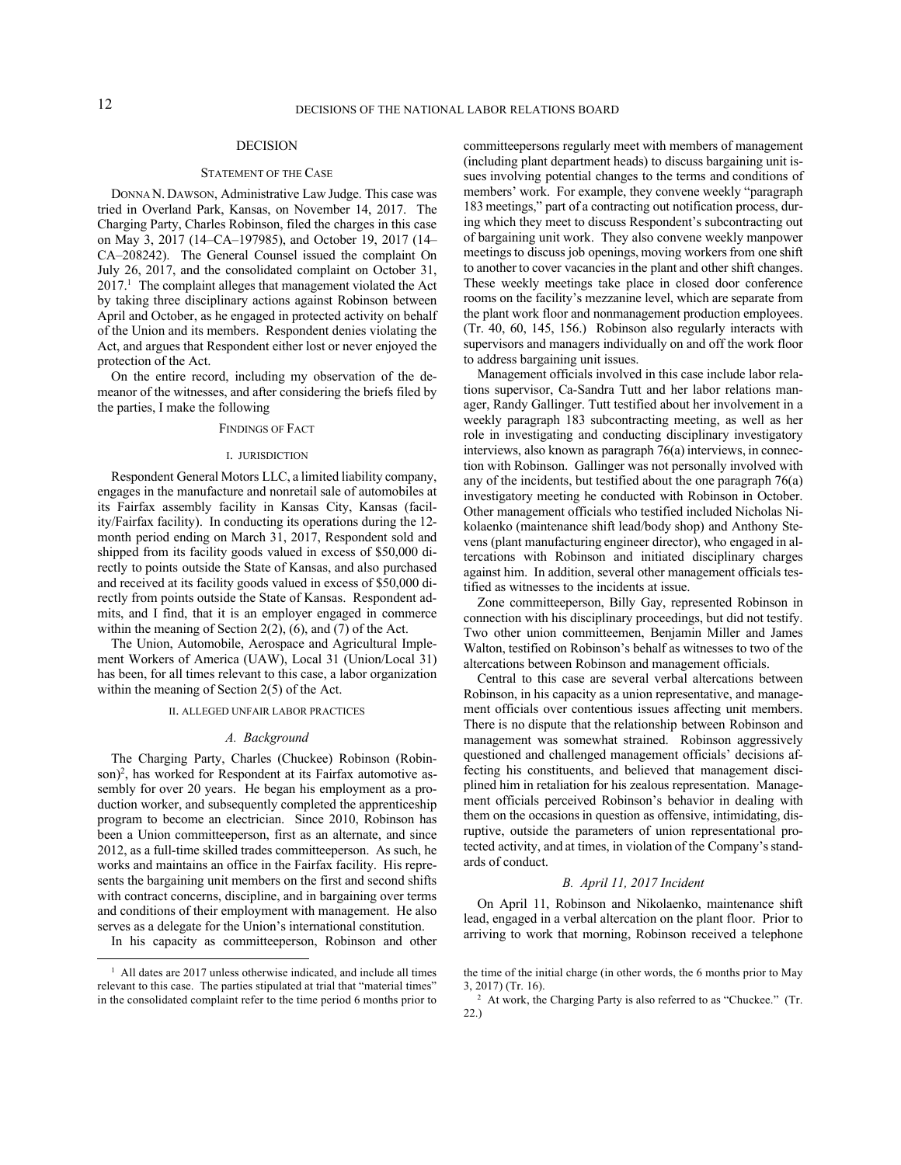### DECISION

#### STATEMENT OF THE CASE

DONNA N. DAWSON, Administrative Law Judge. This case was tried in Overland Park, Kansas, on November 14, 2017. The Charging Party, Charles Robinson, filed the charges in this case on May 3, 2017 (14–CA–197985), and October 19, 2017 (14– CA–208242). The General Counsel issued the complaint On July 26, 2017, and the consolidated complaint on October 31, 2017.<sup>1</sup> The complaint alleges that management violated the Act by taking three disciplinary actions against Robinson between April and October, as he engaged in protected activity on behalf of the Union and its members. Respondent denies violating the Act, and argues that Respondent either lost or never enjoyed the protection of the Act.

On the entire record, including my observation of the demeanor of the witnesses, and after considering the briefs filed by the parties, I make the following

### FINDINGS OF FACT

#### I. JURISDICTION

Respondent General Motors LLC, a limited liability company, engages in the manufacture and nonretail sale of automobiles at its Fairfax assembly facility in Kansas City, Kansas (facility/Fairfax facility). In conducting its operations during the 12 month period ending on March 31, 2017, Respondent sold and shipped from its facility goods valued in excess of \$50,000 directly to points outside the State of Kansas, and also purchased and received at its facility goods valued in excess of \$50,000 directly from points outside the State of Kansas. Respondent admits, and I find, that it is an employer engaged in commerce within the meaning of Section 2(2), (6), and (7) of the Act.

The Union, Automobile, Aerospace and Agricultural Implement Workers of America (UAW), Local 31 (Union/Local 31) has been, for all times relevant to this case, a labor organization within the meaning of Section 2(5) of the Act.

## II. ALLEGED UNFAIR LABOR PRACTICES

#### *A. Background*

The Charging Party, Charles (Chuckee) Robinson (Robinson)<sup>2</sup>, has worked for Respondent at its Fairfax automotive assembly for over 20 years. He began his employment as a production worker, and subsequently completed the apprenticeship program to become an electrician. Since 2010, Robinson has been a Union committeeperson, first as an alternate, and since 2012, as a full-time skilled trades committeeperson. As such, he works and maintains an office in the Fairfax facility. His represents the bargaining unit members on the first and second shifts with contract concerns, discipline, and in bargaining over terms and conditions of their employment with management. He also serves as a delegate for the Union's international constitution.

In his capacity as committeeperson, Robinson and other

committeepersons regularly meet with members of management (including plant department heads) to discuss bargaining unit issues involving potential changes to the terms and conditions of members' work. For example, they convene weekly "paragraph 183 meetings," part of a contracting out notification process, during which they meet to discuss Respondent's subcontracting out of bargaining unit work. They also convene weekly manpower meetings to discuss job openings, moving workers from one shift to another to cover vacancies in the plant and other shift changes. These weekly meetings take place in closed door conference rooms on the facility's mezzanine level, which are separate from the plant work floor and nonmanagement production employees. (Tr. 40, 60, 145, 156.) Robinson also regularly interacts with supervisors and managers individually on and off the work floor to address bargaining unit issues.

Management officials involved in this case include labor relations supervisor, Ca-Sandra Tutt and her labor relations manager, Randy Gallinger. Tutt testified about her involvement in a weekly paragraph 183 subcontracting meeting, as well as her role in investigating and conducting disciplinary investigatory interviews, also known as paragraph 76(a) interviews, in connection with Robinson. Gallinger was not personally involved with any of the incidents, but testified about the one paragraph 76(a) investigatory meeting he conducted with Robinson in October. Other management officials who testified included Nicholas Nikolaenko (maintenance shift lead/body shop) and Anthony Stevens (plant manufacturing engineer director), who engaged in altercations with Robinson and initiated disciplinary charges against him. In addition, several other management officials testified as witnesses to the incidents at issue.

Zone committeeperson, Billy Gay, represented Robinson in connection with his disciplinary proceedings, but did not testify. Two other union committeemen, Benjamin Miller and James Walton, testified on Robinson's behalf as witnesses to two of the altercations between Robinson and management officials.

Central to this case are several verbal altercations between Robinson, in his capacity as a union representative, and management officials over contentious issues affecting unit members. There is no dispute that the relationship between Robinson and management was somewhat strained. Robinson aggressively questioned and challenged management officials' decisions affecting his constituents, and believed that management disciplined him in retaliation for his zealous representation. Management officials perceived Robinson's behavior in dealing with them on the occasions in question as offensive, intimidating, disruptive, outside the parameters of union representational protected activity, and at times, in violation of the Company's standards of conduct.

### *B. April 11, 2017 Incident*

On April 11, Robinson and Nikolaenko, maintenance shift lead, engaged in a verbal altercation on the plant floor. Prior to arriving to work that morning, Robinson received a telephone

<sup>&</sup>lt;sup>1</sup> All dates are 2017 unless otherwise indicated, and include all times relevant to this case. The parties stipulated at trial that "material times" in the consolidated complaint refer to the time period 6 months prior to

the time of the initial charge (in other words, the 6 months prior to May 3, 2017) (Tr. 16).

<sup>&</sup>lt;sup>2</sup> At work, the Charging Party is also referred to as "Chuckee." (Tr. 22.)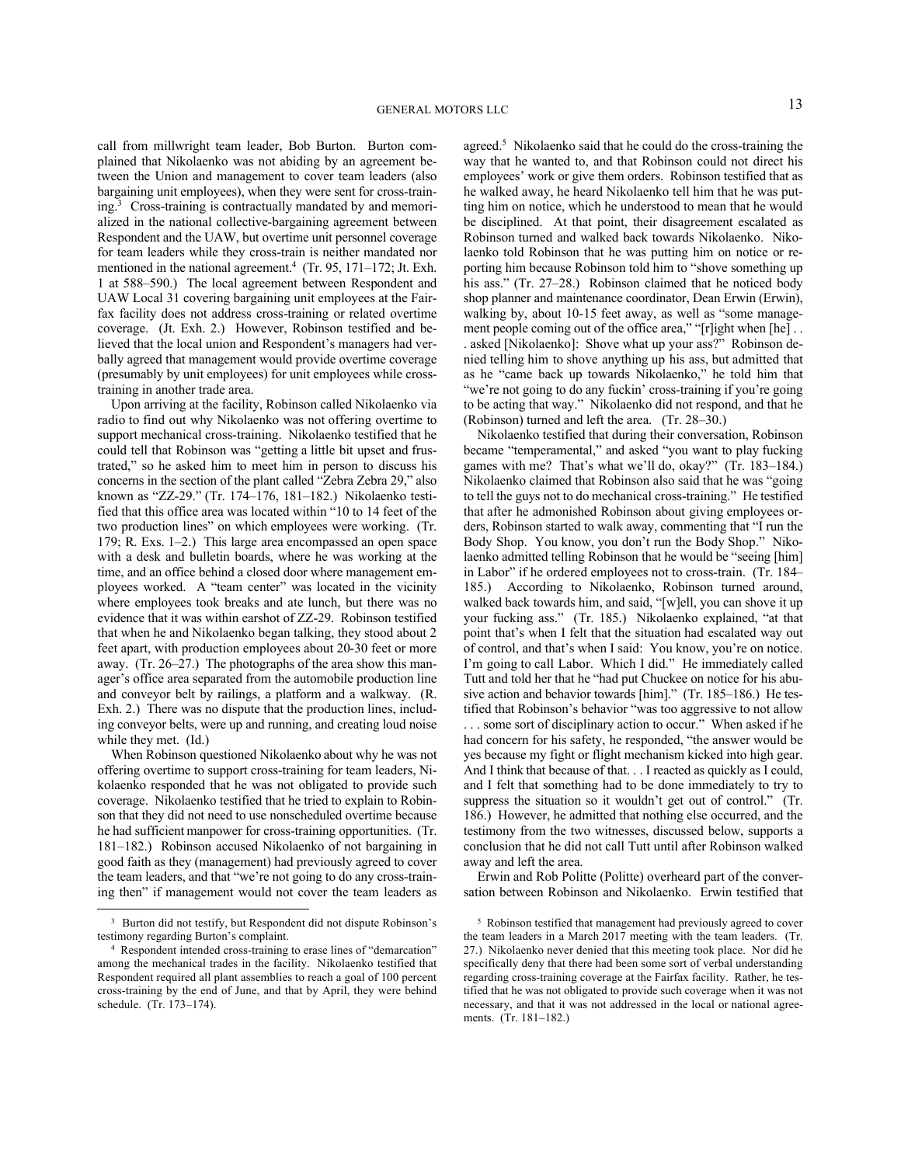call from millwright team leader, Bob Burton. Burton complained that Nikolaenko was not abiding by an agreement between the Union and management to cover team leaders (also bargaining unit employees), when they were sent for cross-training.<sup>3</sup> Cross-training is contractually mandated by and memorialized in the national collective-bargaining agreement between Respondent and the UAW, but overtime unit personnel coverage for team leaders while they cross-train is neither mandated nor mentioned in the national agreement.<sup>4</sup> (Tr. 95, 171–172; Jt. Exh. 1 at 588–590.) The local agreement between Respondent and UAW Local 31 covering bargaining unit employees at the Fairfax facility does not address cross-training or related overtime coverage. (Jt. Exh. 2.) However, Robinson testified and believed that the local union and Respondent's managers had verbally agreed that management would provide overtime coverage (presumably by unit employees) for unit employees while crosstraining in another trade area.

Upon arriving at the facility, Robinson called Nikolaenko via radio to find out why Nikolaenko was not offering overtime to support mechanical cross-training. Nikolaenko testified that he could tell that Robinson was "getting a little bit upset and frustrated," so he asked him to meet him in person to discuss his concerns in the section of the plant called "Zebra Zebra 29," also known as "ZZ-29." (Tr. 174–176, 181–182.) Nikolaenko testified that this office area was located within "10 to 14 feet of the two production lines" on which employees were working. (Tr. 179; R. Exs. 1–2.) This large area encompassed an open space with a desk and bulletin boards, where he was working at the time, and an office behind a closed door where management employees worked. A "team center" was located in the vicinity where employees took breaks and ate lunch, but there was no evidence that it was within earshot of ZZ-29. Robinson testified that when he and Nikolaenko began talking, they stood about 2 feet apart, with production employees about 20-30 feet or more away. (Tr. 26–27.) The photographs of the area show this manager's office area separated from the automobile production line and conveyor belt by railings, a platform and a walkway. (R. Exh. 2.) There was no dispute that the production lines, including conveyor belts, were up and running, and creating loud noise while they met. (Id.)

When Robinson questioned Nikolaenko about why he was not offering overtime to support cross-training for team leaders, Nikolaenko responded that he was not obligated to provide such coverage. Nikolaenko testified that he tried to explain to Robinson that they did not need to use nonscheduled overtime because he had sufficient manpower for cross-training opportunities. (Tr. 181–182.) Robinson accused Nikolaenko of not bargaining in good faith as they (management) had previously agreed to cover the team leaders, and that "we're not going to do any cross-training then" if management would not cover the team leaders as

agreed.<sup>5</sup> Nikolaenko said that he could do the cross-training the way that he wanted to, and that Robinson could not direct his employees' work or give them orders. Robinson testified that as he walked away, he heard Nikolaenko tell him that he was putting him on notice, which he understood to mean that he would be disciplined. At that point, their disagreement escalated as Robinson turned and walked back towards Nikolaenko. Nikolaenko told Robinson that he was putting him on notice or reporting him because Robinson told him to "shove something up his ass." (Tr. 27–28.) Robinson claimed that he noticed body shop planner and maintenance coordinator, Dean Erwin (Erwin), walking by, about 10-15 feet away, as well as "some management people coming out of the office area," "[r]ight when [he]... . asked [Nikolaenko]: Shove what up your ass?" Robinson denied telling him to shove anything up his ass, but admitted that as he "came back up towards Nikolaenko," he told him that "we're not going to do any fuckin' cross-training if you're going to be acting that way." Nikolaenko did not respond, and that he (Robinson) turned and left the area. (Tr. 28–30.)

Nikolaenko testified that during their conversation, Robinson became "temperamental," and asked "you want to play fucking games with me? That's what we'll do, okay?" (Tr. 183–184.) Nikolaenko claimed that Robinson also said that he was "going to tell the guys not to do mechanical cross-training." He testified that after he admonished Robinson about giving employees orders, Robinson started to walk away, commenting that "I run the Body Shop. You know, you don't run the Body Shop." Nikolaenko admitted telling Robinson that he would be "seeing [him] in Labor" if he ordered employees not to cross-train. (Tr. 184– 185.) According to Nikolaenko, Robinson turned around, walked back towards him, and said, "[w]ell, you can shove it up your fucking ass." (Tr. 185.) Nikolaenko explained, "at that point that's when I felt that the situation had escalated way out of control, and that's when I said: You know, you're on notice. I'm going to call Labor. Which I did." He immediately called Tutt and told her that he "had put Chuckee on notice for his abusive action and behavior towards [him]." (Tr. 185–186.) He testified that Robinson's behavior "was too aggressive to not allow . . . some sort of disciplinary action to occur." When asked if he had concern for his safety, he responded, "the answer would be yes because my fight or flight mechanism kicked into high gear. And I think that because of that. . . I reacted as quickly as I could, and I felt that something had to be done immediately to try to suppress the situation so it wouldn't get out of control." (Tr. 186.) However, he admitted that nothing else occurred, and the testimony from the two witnesses, discussed below, supports a conclusion that he did not call Tutt until after Robinson walked away and left the area.

Erwin and Rob Politte (Politte) overheard part of the conversation between Robinson and Nikolaenko. Erwin testified that

<sup>&</sup>lt;sup>3</sup> Burton did not testify, but Respondent did not dispute Robinson's testimony regarding Burton's complaint.

<sup>4</sup> Respondent intended cross-training to erase lines of "demarcation" among the mechanical trades in the facility. Nikolaenko testified that Respondent required all plant assemblies to reach a goal of 100 percent cross-training by the end of June, and that by April, they were behind schedule. (Tr. 173–174).

<sup>&</sup>lt;sup>5</sup> Robinson testified that management had previously agreed to cover the team leaders in a March 2017 meeting with the team leaders. (Tr. 27.) Nikolaenko never denied that this meeting took place. Nor did he specifically deny that there had been some sort of verbal understanding regarding cross-training coverage at the Fairfax facility. Rather, he testified that he was not obligated to provide such coverage when it was not necessary, and that it was not addressed in the local or national agreements. (Tr. 181–182.)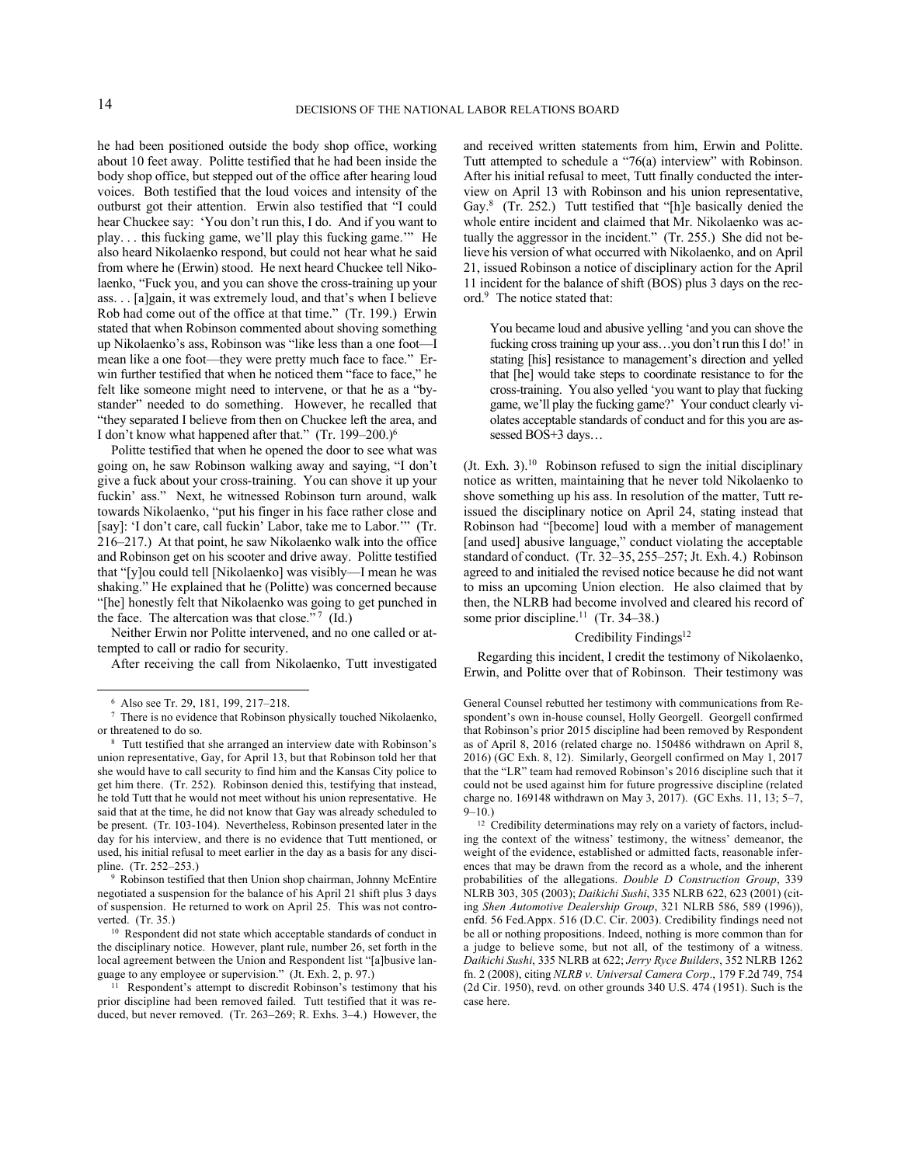he had been positioned outside the body shop office, working about 10 feet away. Politte testified that he had been inside the body shop office, but stepped out of the office after hearing loud voices. Both testified that the loud voices and intensity of the outburst got their attention. Erwin also testified that "I could hear Chuckee say: 'You don't run this, I do. And if you want to play. . . this fucking game, we'll play this fucking game.'" He also heard Nikolaenko respond, but could not hear what he said from where he (Erwin) stood. He next heard Chuckee tell Nikolaenko, "Fuck you, and you can shove the cross-training up your ass. . . [a]gain, it was extremely loud, and that's when I believe Rob had come out of the office at that time." (Tr. 199.) Erwin stated that when Robinson commented about shoving something up Nikolaenko's ass, Robinson was "like less than a one foot—I mean like a one foot—they were pretty much face to face." Erwin further testified that when he noticed them "face to face," he felt like someone might need to intervene, or that he as a "bystander" needed to do something. However, he recalled that "they separated I believe from then on Chuckee left the area, and I don't know what happened after that." (Tr. 199-200.)<sup>6</sup>

Politte testified that when he opened the door to see what was going on, he saw Robinson walking away and saying, "I don't give a fuck about your cross-training. You can shove it up your fuckin' ass." Next, he witnessed Robinson turn around, walk towards Nikolaenko, "put his finger in his face rather close and [say]: 'I don't care, call fuckin' Labor, take me to Labor.'" (Tr. 216–217.) At that point, he saw Nikolaenko walk into the office and Robinson get on his scooter and drive away. Politte testified that "[y]ou could tell [Nikolaenko] was visibly—I mean he was shaking." He explained that he (Politte) was concerned because "[he] honestly felt that Nikolaenko was going to get punched in the face. The altercation was that close."<sup>7</sup> (Id.)

Neither Erwin nor Politte intervened, and no one called or attempted to call or radio for security.

After receiving the call from Nikolaenko, Tutt investigated

9 Robinson testified that then Union shop chairman, Johnny McEntire negotiated a suspension for the balance of his April 21 shift plus 3 days of suspension. He returned to work on April 25. This was not controverted. (Tr. 35.)

<sup>10</sup> Respondent did not state which acceptable standards of conduct in the disciplinary notice. However, plant rule, number 26, set forth in the local agreement between the Union and Respondent list "[a]busive language to any employee or supervision." (Jt. Exh. 2, p. 97.)

<sup>11</sup> Respondent's attempt to discredit Robinson's testimony that his prior discipline had been removed failed. Tutt testified that it was reduced, but never removed. (Tr. 263–269; R. Exhs. 3–4.) However, the

and received written statements from him, Erwin and Politte. Tutt attempted to schedule a "76(a) interview" with Robinson. After his initial refusal to meet, Tutt finally conducted the interview on April 13 with Robinson and his union representative, Gay.<sup>8</sup> (Tr. 252.) Tutt testified that "[h]e basically denied the whole entire incident and claimed that Mr. Nikolaenko was actually the aggressor in the incident." (Tr. 255.) She did not believe his version of what occurred with Nikolaenko, and on April 21, issued Robinson a notice of disciplinary action for the April 11 incident for the balance of shift (BOS) plus 3 days on the record.<sup>9</sup> The notice stated that:

You became loud and abusive yelling 'and you can shove the fucking cross training up your ass…you don't run this I do!' in stating [his] resistance to management's direction and yelled that [he] would take steps to coordinate resistance to for the cross-training. You also yelled 'you want to play that fucking game, we'll play the fucking game?' Your conduct clearly violates acceptable standards of conduct and for this you are assessed BOS+3 days...

 $($  Jt. Exh. 3 $)$ .<sup>10</sup> Robinson refused to sign the initial disciplinary notice as written, maintaining that he never told Nikolaenko to shove something up his ass. In resolution of the matter, Tutt reissued the disciplinary notice on April 24, stating instead that Robinson had "[become] loud with a member of management [and used] abusive language," conduct violating the acceptable standard of conduct. (Tr. 32–35, 255–257; Jt. Exh. 4.) Robinson agreed to and initialed the revised notice because he did not want to miss an upcoming Union election. He also claimed that by then, the NLRB had become involved and cleared his record of some prior discipline.<sup>11</sup> (Tr. 34–38.)

#### Credibility Findings<sup>12</sup>

Regarding this incident, I credit the testimony of Nikolaenko, Erwin, and Politte over that of Robinson. Their testimony was

General Counsel rebutted her testimony with communications from Respondent's own in-house counsel, Holly Georgell. Georgell confirmed that Robinson's prior 2015 discipline had been removed by Respondent as of April 8, 2016 (related charge no. 150486 withdrawn on April 8, 2016) (GC Exh. 8, 12). Similarly, Georgell confirmed on May 1, 2017 that the "LR" team had removed Robinson's 2016 discipline such that it could not be used against him for future progressive discipline (related charge no. 169148 withdrawn on May 3, 2017). (GC Exhs. 11, 13; 5–7,  $9-10.$ )

<sup>6</sup> Also see Tr. 29, 181, 199, 217–218.

<sup>&</sup>lt;sup>7</sup> There is no evidence that Robinson physically touched Nikolaenko, or threatened to do so.

<sup>8</sup> Tutt testified that she arranged an interview date with Robinson's union representative, Gay, for April 13, but that Robinson told her that she would have to call security to find him and the Kansas City police to get him there. (Tr. 252). Robinson denied this, testifying that instead, he told Tutt that he would not meet without his union representative. He said that at the time, he did not know that Gay was already scheduled to be present. (Tr. 103-104). Nevertheless, Robinson presented later in the day for his interview, and there is no evidence that Tutt mentioned, or used, his initial refusal to meet earlier in the day as a basis for any discipline. (Tr. 252–253.)

<sup>&</sup>lt;sup>12</sup> Credibility determinations may rely on a variety of factors, including the context of the witness' testimony, the witness' demeanor, the weight of the evidence, established or admitted facts, reasonable inferences that may be drawn from the record as a whole, and the inherent probabilities of the allegations. *Double D Construction Group*, 339 NLRB 303, 305 (2003); *Daikichi Sushi*, 335 NLRB 622, 623 (2001) (citing *Shen Automotive Dealership Group*, 321 NLRB 586, 589 (1996)), enfd. 56 Fed.Appx. 516 (D.C. Cir. 2003). Credibility findings need not be all or nothing propositions. Indeed, nothing is more common than for a judge to believe some, but not all, of the testimony of a witness. *Daikichi Sushi*, 335 NLRB at 622; *Jerry Ryce Builders*, 352 NLRB 1262 fn. 2 (2008), citing *NLRB v. Universal Camera Corp*., 179 F.2d 749, 754 (2d Cir. 1950), revd. on other grounds 340 U.S. 474 (1951). Such is the case here.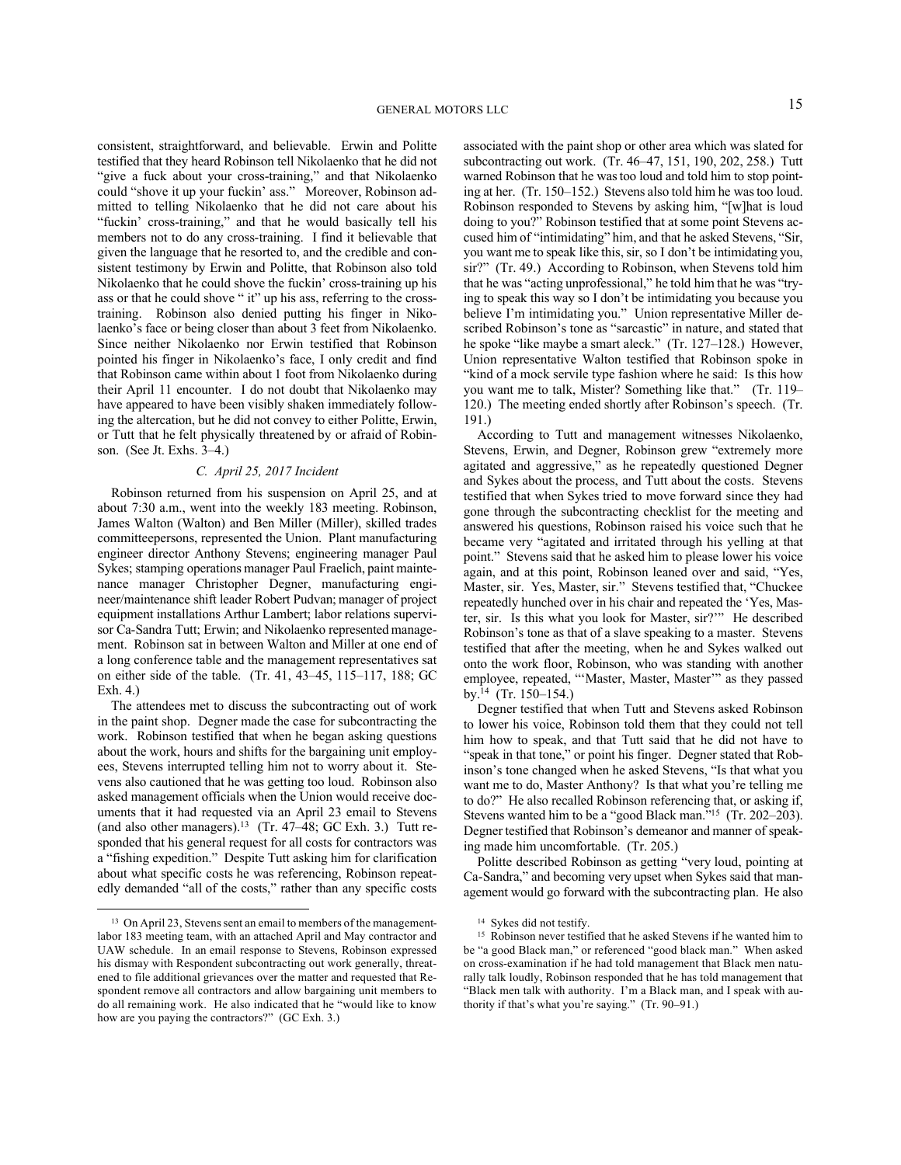consistent, straightforward, and believable. Erwin and Politte testified that they heard Robinson tell Nikolaenko that he did not "give a fuck about your cross-training," and that Nikolaenko could "shove it up your fuckin' ass." Moreover, Robinson admitted to telling Nikolaenko that he did not care about his "fuckin' cross-training," and that he would basically tell his members not to do any cross-training. I find it believable that given the language that he resorted to, and the credible and consistent testimony by Erwin and Politte, that Robinson also told Nikolaenko that he could shove the fuckin' cross-training up his ass or that he could shove " it" up his ass, referring to the crosstraining. Robinson also denied putting his finger in Nikolaenko's face or being closer than about 3 feet from Nikolaenko. Since neither Nikolaenko nor Erwin testified that Robinson pointed his finger in Nikolaenko's face, I only credit and find that Robinson came within about 1 foot from Nikolaenko during their April 11 encounter. I do not doubt that Nikolaenko may have appeared to have been visibly shaken immediately following the altercation, but he did not convey to either Politte, Erwin, or Tutt that he felt physically threatened by or afraid of Robinson. (See Jt. Exhs. 3–4.)

## *C. April 25, 2017 Incident*

Robinson returned from his suspension on April 25, and at about 7:30 a.m., went into the weekly 183 meeting. Robinson, James Walton (Walton) and Ben Miller (Miller), skilled trades committeepersons, represented the Union. Plant manufacturing engineer director Anthony Stevens; engineering manager Paul Sykes; stamping operations manager Paul Fraelich, paint maintenance manager Christopher Degner, manufacturing engineer/maintenance shift leader Robert Pudvan; manager of project equipment installations Arthur Lambert; labor relations supervisor Ca-Sandra Tutt; Erwin; and Nikolaenko represented management. Robinson sat in between Walton and Miller at one end of a long conference table and the management representatives sat on either side of the table. (Tr. 41, 43–45, 115–117, 188; GC Exh. 4.)

The attendees met to discuss the subcontracting out of work in the paint shop. Degner made the case for subcontracting the work. Robinson testified that when he began asking questions about the work, hours and shifts for the bargaining unit employees, Stevens interrupted telling him not to worry about it. Stevens also cautioned that he was getting too loud. Robinson also asked management officials when the Union would receive documents that it had requested via an April 23 email to Stevens (and also other managers).<sup>13</sup> (Tr. 47-48; GC Exh. 3.) Tutt responded that his general request for all costs for contractors was a "fishing expedition." Despite Tutt asking him for clarification about what specific costs he was referencing, Robinson repeatedly demanded "all of the costs," rather than any specific costs associated with the paint shop or other area which was slated for subcontracting out work. (Tr. 46–47, 151, 190, 202, 258.) Tutt warned Robinson that he was too loud and told him to stop pointing at her. (Tr. 150–152.) Stevens also told him he was too loud. Robinson responded to Stevens by asking him, "[w]hat is loud doing to you?" Robinson testified that at some point Stevens accused him of "intimidating" him, and that he asked Stevens, "Sir, you want me to speak like this, sir, so I don't be intimidating you, sir?" (Tr. 49.) According to Robinson, when Stevens told him that he was "acting unprofessional," he told him that he was "trying to speak this way so I don't be intimidating you because you believe I'm intimidating you." Union representative Miller described Robinson's tone as "sarcastic" in nature, and stated that he spoke "like maybe a smart aleck." (Tr. 127–128.) However, Union representative Walton testified that Robinson spoke in "kind of a mock servile type fashion where he said: Is this how you want me to talk, Mister? Something like that." (Tr. 119– 120.) The meeting ended shortly after Robinson's speech. (Tr. 191.)

According to Tutt and management witnesses Nikolaenko, Stevens, Erwin, and Degner, Robinson grew "extremely more agitated and aggressive," as he repeatedly questioned Degner and Sykes about the process, and Tutt about the costs. Stevens testified that when Sykes tried to move forward since they had gone through the subcontracting checklist for the meeting and answered his questions, Robinson raised his voice such that he became very "agitated and irritated through his yelling at that point." Stevens said that he asked him to please lower his voice again, and at this point, Robinson leaned over and said, "Yes, Master, sir. Yes, Master, sir." Stevens testified that, "Chuckee repeatedly hunched over in his chair and repeated the 'Yes, Master, sir. Is this what you look for Master, sir?'" He described Robinson's tone as that of a slave speaking to a master. Stevens testified that after the meeting, when he and Sykes walked out onto the work floor, Robinson, who was standing with another employee, repeated, "'Master, Master, Master'" as they passed by.<sup>14</sup> (Tr. 150–154.)

Degner testified that when Tutt and Stevens asked Robinson to lower his voice, Robinson told them that they could not tell him how to speak, and that Tutt said that he did not have to "speak in that tone," or point his finger. Degner stated that Robinson's tone changed when he asked Stevens, "Is that what you want me to do, Master Anthony? Is that what you're telling me to do?" He also recalled Robinson referencing that, or asking if, Stevens wanted him to be a "good Black man."<sup>15</sup> (Tr. 202–203). Degner testified that Robinson's demeanor and manner of speaking made him uncomfortable. (Tr. 205.)

Politte described Robinson as getting "very loud, pointing at Ca-Sandra," and becoming very upset when Sykes said that management would go forward with the subcontracting plan. He also

<sup>&</sup>lt;sup>13</sup> On April 23, Stevens sent an email to members of the managementlabor 183 meeting team, with an attached April and May contractor and UAW schedule. In an email response to Stevens, Robinson expressed his dismay with Respondent subcontracting out work generally, threatened to file additional grievances over the matter and requested that Respondent remove all contractors and allow bargaining unit members to do all remaining work. He also indicated that he "would like to know how are you paying the contractors?" (GC Exh. 3.)

<sup>&</sup>lt;sup>14</sup> Sykes did not testify.

<sup>&</sup>lt;sup>15</sup> Robinson never testified that he asked Stevens if he wanted him to be "a good Black man," or referenced "good black man." When asked on cross-examination if he had told management that Black men naturally talk loudly, Robinson responded that he has told management that "Black men talk with authority. I'm a Black man, and I speak with authority if that's what you're saying." (Tr. 90–91.)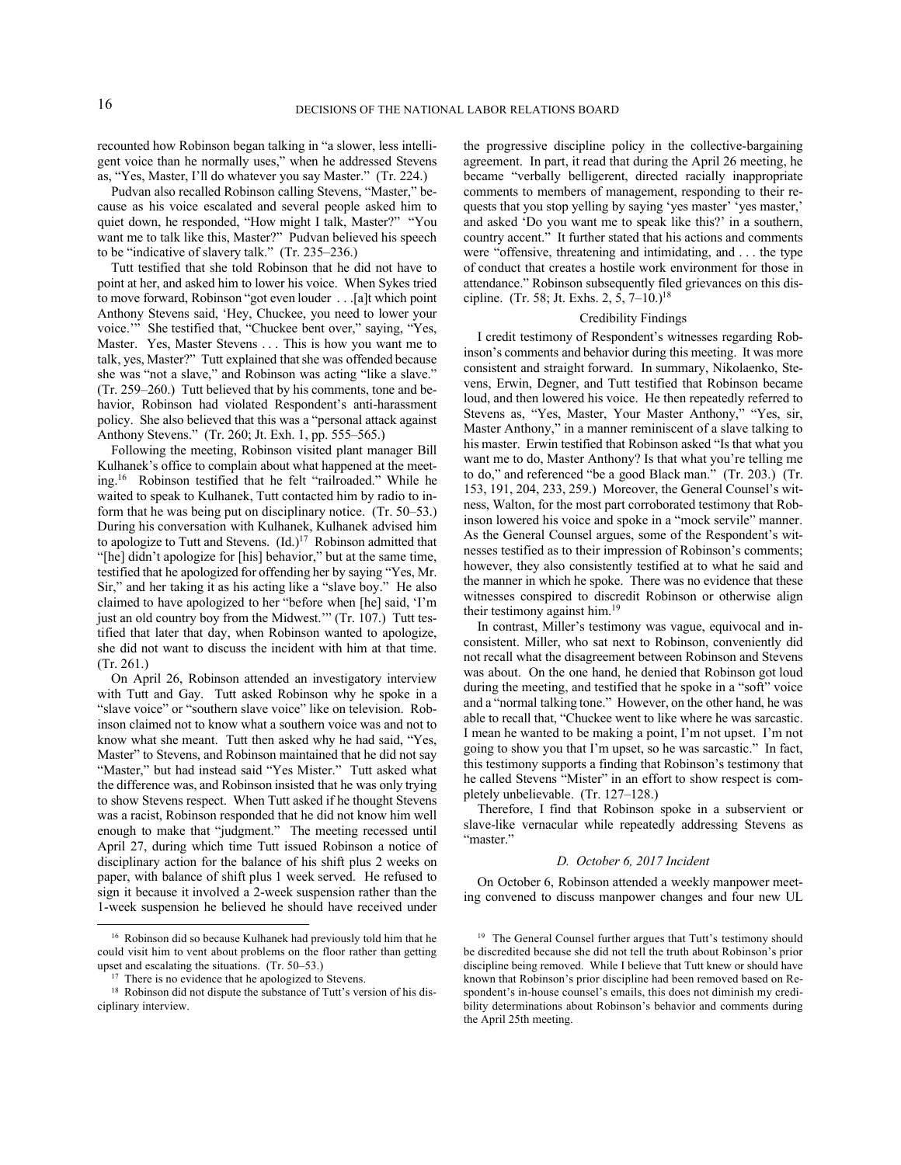recounted how Robinson began talking in "a slower, less intelligent voice than he normally uses," when he addressed Stevens as, "Yes, Master, I'll do whatever you say Master." (Tr. 224.)

Pudvan also recalled Robinson calling Stevens, "Master," because as his voice escalated and several people asked him to quiet down, he responded, "How might I talk, Master?" "You want me to talk like this, Master?" Pudvan believed his speech to be "indicative of slavery talk." (Tr. 235–236.)

Tutt testified that she told Robinson that he did not have to point at her, and asked him to lower his voice. When Sykes tried to move forward, Robinson "got even louder . . .[a]t which point Anthony Stevens said, 'Hey, Chuckee, you need to lower your voice.'" She testified that, "Chuckee bent over," saying, "Yes, Master. Yes, Master Stevens . . . This is how you want me to talk, yes, Master?" Tutt explained that she was offended because she was "not a slave," and Robinson was acting "like a slave." (Tr. 259–260.) Tutt believed that by his comments, tone and behavior, Robinson had violated Respondent's anti-harassment policy. She also believed that this was a "personal attack against Anthony Stevens." (Tr. 260; Jt. Exh. 1, pp. 555–565.)

Following the meeting, Robinson visited plant manager Bill Kulhanek's office to complain about what happened at the meeting.<sup>16</sup> Robinson testified that he felt "railroaded." While he waited to speak to Kulhanek, Tutt contacted him by radio to inform that he was being put on disciplinary notice. (Tr. 50–53.) During his conversation with Kulhanek, Kulhanek advised him to apologize to Tutt and Stevens.  $(Id.)^{17}$  Robinson admitted that "[he] didn't apologize for [his] behavior," but at the same time, testified that he apologized for offending her by saying "Yes, Mr. Sir," and her taking it as his acting like a "slave boy." He also claimed to have apologized to her "before when [he] said, 'I'm just an old country boy from the Midwest." (Tr. 107.) Tutt testified that later that day, when Robinson wanted to apologize, she did not want to discuss the incident with him at that time. (Tr. 261.)

On April 26, Robinson attended an investigatory interview with Tutt and Gay. Tutt asked Robinson why he spoke in a "slave voice" or "southern slave voice" like on television. Robinson claimed not to know what a southern voice was and not to know what she meant. Tutt then asked why he had said, "Yes, Master" to Stevens, and Robinson maintained that he did not say "Master," but had instead said "Yes Mister." Tutt asked what the difference was, and Robinson insisted that he was only trying to show Stevens respect. When Tutt asked if he thought Stevens was a racist, Robinson responded that he did not know him well enough to make that "judgment." The meeting recessed until April 27, during which time Tutt issued Robinson a notice of disciplinary action for the balance of his shift plus 2 weeks on paper, with balance of shift plus 1 week served. He refused to sign it because it involved a 2-week suspension rather than the 1-week suspension he believed he should have received under

the progressive discipline policy in the collective-bargaining agreement. In part, it read that during the April 26 meeting, he became "verbally belligerent, directed racially inappropriate comments to members of management, responding to their requests that you stop yelling by saying 'yes master' 'yes master,' and asked 'Do you want me to speak like this?' in a southern, country accent." It further stated that his actions and comments were "offensive, threatening and intimidating, and . . . the type of conduct that creates a hostile work environment for those in attendance." Robinson subsequently filed grievances on this discipline. (Tr. 58; Jt. Exhs. 2, 5,  $7-10.$ )<sup>18</sup>

#### Credibility Findings

I credit testimony of Respondent's witnesses regarding Robinson's comments and behavior during this meeting. It was more consistent and straight forward. In summary, Nikolaenko, Stevens, Erwin, Degner, and Tutt testified that Robinson became loud, and then lowered his voice. He then repeatedly referred to Stevens as, "Yes, Master, Your Master Anthony," "Yes, sir, Master Anthony," in a manner reminiscent of a slave talking to his master. Erwin testified that Robinson asked "Is that what you want me to do, Master Anthony? Is that what you're telling me to do," and referenced "be a good Black man." (Tr. 203.) (Tr. 153, 191, 204, 233, 259.) Moreover, the General Counsel's witness, Walton, for the most part corroborated testimony that Robinson lowered his voice and spoke in a "mock servile" manner. As the General Counsel argues, some of the Respondent's witnesses testified as to their impression of Robinson's comments; however, they also consistently testified at to what he said and the manner in which he spoke. There was no evidence that these witnesses conspired to discredit Robinson or otherwise align their testimony against him.<sup>19</sup>

In contrast, Miller's testimony was vague, equivocal and inconsistent. Miller, who sat next to Robinson, conveniently did not recall what the disagreement between Robinson and Stevens was about. On the one hand, he denied that Robinson got loud during the meeting, and testified that he spoke in a "soft" voice and a "normal talking tone." However, on the other hand, he was able to recall that, "Chuckee went to like where he was sarcastic. I mean he wanted to be making a point, I'm not upset. I'm not going to show you that I'm upset, so he was sarcastic." In fact, this testimony supports a finding that Robinson's testimony that he called Stevens "Mister" in an effort to show respect is completely unbelievable. (Tr. 127–128.)

Therefore, I find that Robinson spoke in a subservient or slave-like vernacular while repeatedly addressing Stevens as "master."

### *D. October 6, 2017 Incident*

On October 6, Robinson attended a weekly manpower meeting convened to discuss manpower changes and four new UL

<sup>16</sup> Robinson did so because Kulhanek had previously told him that he could visit him to vent about problems on the floor rather than getting upset and escalating the situations. (Tr. 50–53.)

<sup>&</sup>lt;sup>17</sup> There is no evidence that he apologized to Stevens.

<sup>&</sup>lt;sup>18</sup> Robinson did not dispute the substance of Tutt's version of his disciplinary interview.

<sup>&</sup>lt;sup>19</sup> The General Counsel further argues that Tutt's testimony should be discredited because she did not tell the truth about Robinson's prior discipline being removed. While I believe that Tutt knew or should have known that Robinson's prior discipline had been removed based on Respondent's in-house counsel's emails, this does not diminish my credibility determinations about Robinson's behavior and comments during the April 25th meeting.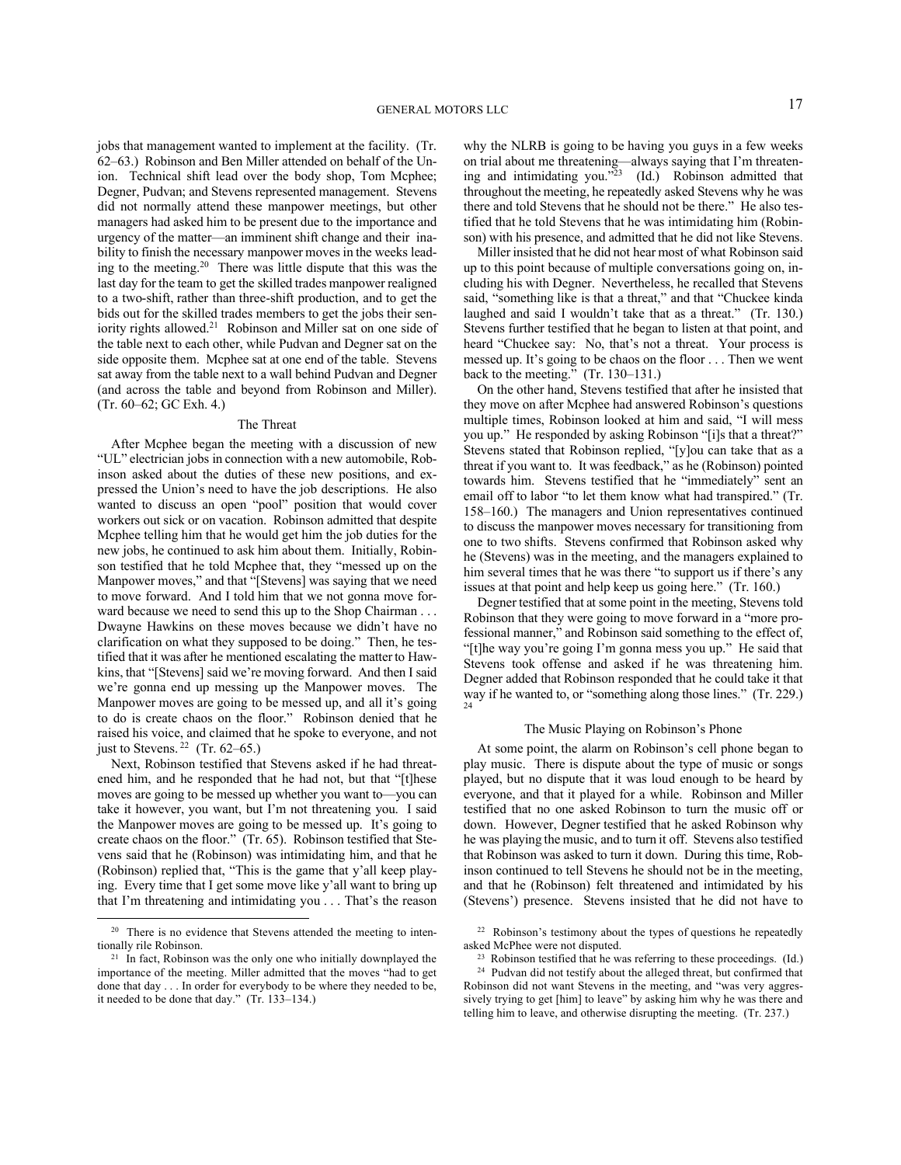jobs that management wanted to implement at the facility. (Tr. 62–63.) Robinson and Ben Miller attended on behalf of the Union. Technical shift lead over the body shop, Tom Mcphee; Degner, Pudvan; and Stevens represented management. Stevens did not normally attend these manpower meetings, but other managers had asked him to be present due to the importance and urgency of the matter—an imminent shift change and their inability to finish the necessary manpower moves in the weeks leading to the meeting.<sup>20</sup> There was little dispute that this was the last day for the team to get the skilled trades manpower realigned to a two-shift, rather than three-shift production, and to get the bids out for the skilled trades members to get the jobs their seniority rights allowed.<sup>21</sup> Robinson and Miller sat on one side of the table next to each other, while Pudvan and Degner sat on the side opposite them. Mcphee sat at one end of the table. Stevens sat away from the table next to a wall behind Pudvan and Degner (and across the table and beyond from Robinson and Miller). (Tr. 60–62; GC Exh. 4.)

#### The Threat

After Mcphee began the meeting with a discussion of new "UL" electrician jobs in connection with a new automobile, Robinson asked about the duties of these new positions, and expressed the Union's need to have the job descriptions. He also wanted to discuss an open "pool" position that would cover workers out sick or on vacation. Robinson admitted that despite Mcphee telling him that he would get him the job duties for the new jobs, he continued to ask him about them. Initially, Robinson testified that he told Mcphee that, they "messed up on the Manpower moves," and that "[Stevens] was saying that we need to move forward. And I told him that we not gonna move forward because we need to send this up to the Shop Chairman . . . Dwayne Hawkins on these moves because we didn't have no clarification on what they supposed to be doing." Then, he testified that it was after he mentioned escalating the matter to Hawkins, that "[Stevens] said we're moving forward. And then I said we're gonna end up messing up the Manpower moves. The Manpower moves are going to be messed up, and all it's going to do is create chaos on the floor." Robinson denied that he raised his voice, and claimed that he spoke to everyone, and not just to Stevens.  $22$  (Tr. 62–65.)

Next, Robinson testified that Stevens asked if he had threatened him, and he responded that he had not, but that "[t]hese moves are going to be messed up whether you want to—you can take it however, you want, but I'm not threatening you. I said the Manpower moves are going to be messed up. It's going to create chaos on the floor." (Tr. 65). Robinson testified that Stevens said that he (Robinson) was intimidating him, and that he (Robinson) replied that, "This is the game that y'all keep playing. Every time that I get some move like y'all want to bring up that I'm threatening and intimidating you . . . That's the reason why the NLRB is going to be having you guys in a few weeks on trial about me threatening—always saying that I'm threatening and intimidating you."<sup>23</sup> (Id.) Robinson admitted that throughout the meeting, he repeatedly asked Stevens why he was there and told Stevens that he should not be there." He also testified that he told Stevens that he was intimidating him (Robinson) with his presence, and admitted that he did not like Stevens.

Miller insisted that he did not hear most of what Robinson said up to this point because of multiple conversations going on, including his with Degner. Nevertheless, he recalled that Stevens said, "something like is that a threat," and that "Chuckee kinda laughed and said I wouldn't take that as a threat." (Tr. 130.) Stevens further testified that he began to listen at that point, and heard "Chuckee say: No, that's not a threat. Your process is messed up. It's going to be chaos on the floor . . . Then we went back to the meeting." (Tr. 130–131.)

On the other hand, Stevens testified that after he insisted that they move on after Mcphee had answered Robinson's questions multiple times, Robinson looked at him and said, "I will mess you up." He responded by asking Robinson "[i]s that a threat?" Stevens stated that Robinson replied, "[y]ou can take that as a threat if you want to. It was feedback," as he (Robinson) pointed towards him. Stevens testified that he "immediately" sent an email off to labor "to let them know what had transpired." (Tr. 158–160.) The managers and Union representatives continued to discuss the manpower moves necessary for transitioning from one to two shifts. Stevens confirmed that Robinson asked why he (Stevens) was in the meeting, and the managers explained to him several times that he was there "to support us if there's any issues at that point and help keep us going here." (Tr. 160.)

Degner testified that at some point in the meeting, Stevens told Robinson that they were going to move forward in a "more professional manner," and Robinson said something to the effect of, "[t]he way you're going I'm gonna mess you up." He said that Stevens took offense and asked if he was threatening him. Degner added that Robinson responded that he could take it that way if he wanted to, or "something along those lines." (Tr. 229.) 24

#### The Music Playing on Robinson's Phone

At some point, the alarm on Robinson's cell phone began to play music. There is dispute about the type of music or songs played, but no dispute that it was loud enough to be heard by everyone, and that it played for a while. Robinson and Miller testified that no one asked Robinson to turn the music off or down. However, Degner testified that he asked Robinson why he was playing the music, and to turn it off. Stevens also testified that Robinson was asked to turn it down. During this time, Robinson continued to tell Stevens he should not be in the meeting, and that he (Robinson) felt threatened and intimidated by his (Stevens') presence. Stevens insisted that he did not have to

<sup>&</sup>lt;sup>20</sup> There is no evidence that Stevens attended the meeting to intentionally rile Robinson.

<sup>&</sup>lt;sup>21</sup> In fact, Robinson was the only one who initially downplayed the importance of the meeting. Miller admitted that the moves "had to get done that day . . . In order for everybody to be where they needed to be, it needed to be done that day." (Tr. 133–134.)

<sup>&</sup>lt;sup>22</sup> Robinson's testimony about the types of questions he repeatedly asked McPhee were not disputed.

<sup>&</sup>lt;sup>23</sup> Robinson testified that he was referring to these proceedings. (Id.) <sup>24</sup> Pudvan did not testify about the alleged threat, but confirmed that Robinson did not want Stevens in the meeting, and "was very aggressively trying to get [him] to leave" by asking him why he was there and telling him to leave, and otherwise disrupting the meeting. (Tr. 237.)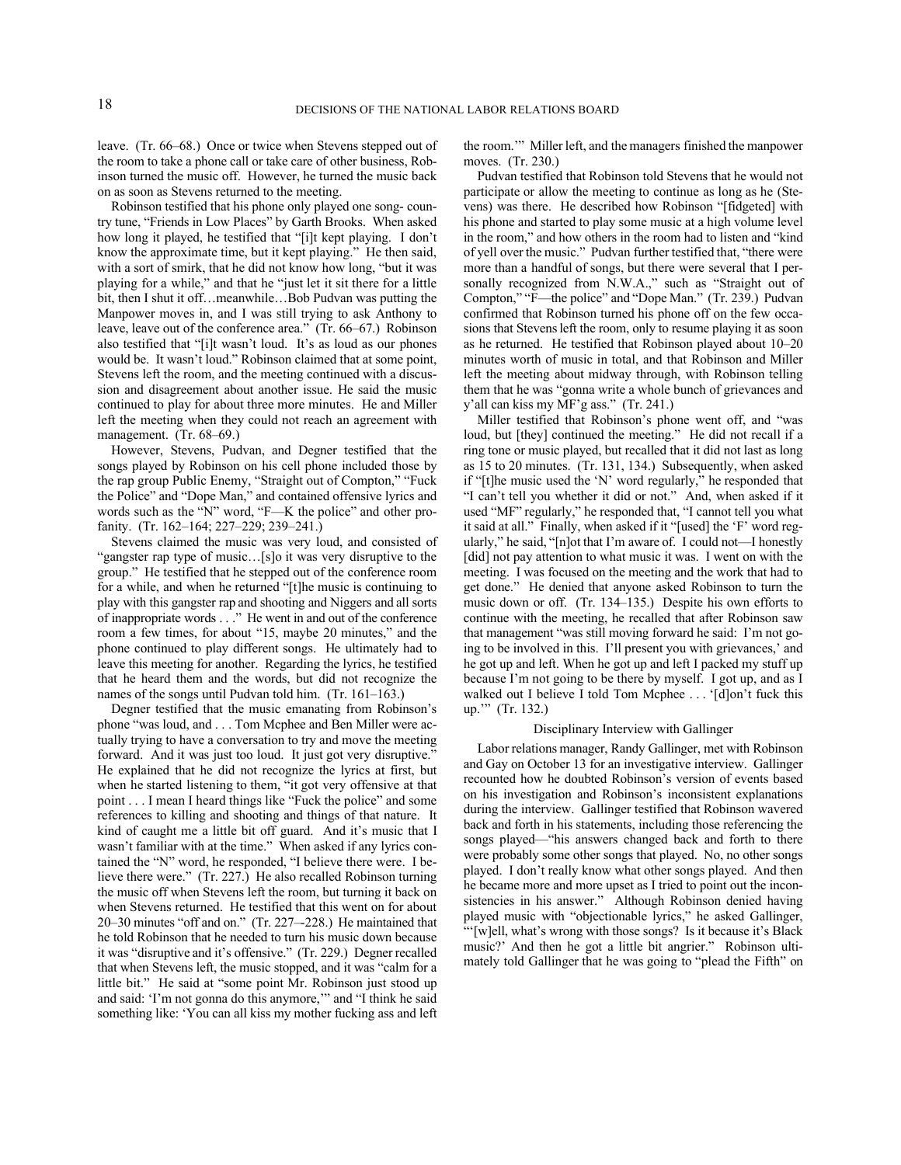leave. (Tr. 66–68.) Once or twice when Stevens stepped out of the room to take a phone call or take care of other business, Robinson turned the music off. However, he turned the music back on as soon as Stevens returned to the meeting.

Robinson testified that his phone only played one song- country tune, "Friends in Low Places" by Garth Brooks. When asked how long it played, he testified that "[i]t kept playing. I don't know the approximate time, but it kept playing." He then said, with a sort of smirk, that he did not know how long, "but it was playing for a while," and that he "just let it sit there for a little bit, then I shut it off…meanwhile…Bob Pudvan was putting the Manpower moves in, and I was still trying to ask Anthony to leave, leave out of the conference area." (Tr. 66–67.) Robinson also testified that "[i]t wasn't loud. It's as loud as our phones would be. It wasn't loud." Robinson claimed that at some point, Stevens left the room, and the meeting continued with a discussion and disagreement about another issue. He said the music continued to play for about three more minutes. He and Miller left the meeting when they could not reach an agreement with management. (Tr. 68–69.)

However, Stevens, Pudvan, and Degner testified that the songs played by Robinson on his cell phone included those by the rap group Public Enemy, "Straight out of Compton," "Fuck the Police" and "Dope Man," and contained offensive lyrics and words such as the "N" word, "F—K the police" and other profanity. (Tr. 162–164; 227–229; 239–241.)

Stevens claimed the music was very loud, and consisted of "gangster rap type of music…[s]o it was very disruptive to the group." He testified that he stepped out of the conference room for a while, and when he returned "[t]he music is continuing to play with this gangster rap and shooting and Niggers and all sorts of inappropriate words . . ." He went in and out of the conference room a few times, for about "15, maybe 20 minutes," and the phone continued to play different songs. He ultimately had to leave this meeting for another. Regarding the lyrics, he testified that he heard them and the words, but did not recognize the names of the songs until Pudvan told him. (Tr. 161–163.)

Degner testified that the music emanating from Robinson's phone "was loud, and . . . Tom Mcphee and Ben Miller were actually trying to have a conversation to try and move the meeting forward. And it was just too loud. It just got very disruptive." He explained that he did not recognize the lyrics at first, but when he started listening to them, "it got very offensive at that point . . . I mean I heard things like "Fuck the police" and some references to killing and shooting and things of that nature. It kind of caught me a little bit off guard. And it's music that I wasn't familiar with at the time." When asked if any lyrics contained the "N" word, he responded, "I believe there were. I believe there were." (Tr. 227.) He also recalled Robinson turning the music off when Stevens left the room, but turning it back on when Stevens returned. He testified that this went on for about 20–30 minutes "off and on." (Tr. 227–-228.) He maintained that he told Robinson that he needed to turn his music down because it was "disruptive and it's offensive." (Tr. 229.) Degner recalled that when Stevens left, the music stopped, and it was "calm for a little bit." He said at "some point Mr. Robinson just stood up and said: 'I'm not gonna do this anymore,'" and "I think he said something like: 'You can all kiss my mother fucking ass and left the room.'" Miller left, and the managers finished the manpower moves. (Tr. 230.)

Pudvan testified that Robinson told Stevens that he would not participate or allow the meeting to continue as long as he (Stevens) was there. He described how Robinson "[fidgeted] with his phone and started to play some music at a high volume level in the room," and how others in the room had to listen and "kind of yell over the music." Pudvan further testified that, "there were more than a handful of songs, but there were several that I personally recognized from N.W.A.," such as "Straight out of Compton," "F—the police" and "Dope Man." (Tr. 239.) Pudvan confirmed that Robinson turned his phone off on the few occasions that Stevens left the room, only to resume playing it as soon as he returned. He testified that Robinson played about 10–20 minutes worth of music in total, and that Robinson and Miller left the meeting about midway through, with Robinson telling them that he was "gonna write a whole bunch of grievances and y'all can kiss my MF'g ass." (Tr. 241.)

Miller testified that Robinson's phone went off, and "was loud, but [they] continued the meeting." He did not recall if a ring tone or music played, but recalled that it did not last as long as 15 to 20 minutes. (Tr. 131, 134.) Subsequently, when asked if "[t]he music used the 'N' word regularly," he responded that "I can't tell you whether it did or not." And, when asked if it used "MF" regularly," he responded that, "I cannot tell you what it said at all." Finally, when asked if it "[used] the 'F' word regularly," he said, "[n]ot that I'm aware of. I could not—I honestly [did] not pay attention to what music it was. I went on with the meeting. I was focused on the meeting and the work that had to get done." He denied that anyone asked Robinson to turn the music down or off. (Tr. 134–135.) Despite his own efforts to continue with the meeting, he recalled that after Robinson saw that management "was still moving forward he said: I'm not going to be involved in this. I'll present you with grievances,' and he got up and left. When he got up and left I packed my stuff up because I'm not going to be there by myself. I got up, and as I walked out I believe I told Tom Mcphee . . . '[d]on't fuck this up.'" (Tr. 132.)

#### Disciplinary Interview with Gallinger

Labor relations manager, Randy Gallinger, met with Robinson and Gay on October 13 for an investigative interview. Gallinger recounted how he doubted Robinson's version of events based on his investigation and Robinson's inconsistent explanations during the interview. Gallinger testified that Robinson wavered back and forth in his statements, including those referencing the songs played—"his answers changed back and forth to there were probably some other songs that played. No, no other songs played. I don't really know what other songs played. And then he became more and more upset as I tried to point out the inconsistencies in his answer." Although Robinson denied having played music with "objectionable lyrics," he asked Gallinger, "'[w]ell, what's wrong with those songs? Is it because it's Black music?' And then he got a little bit angrier." Robinson ultimately told Gallinger that he was going to "plead the Fifth" on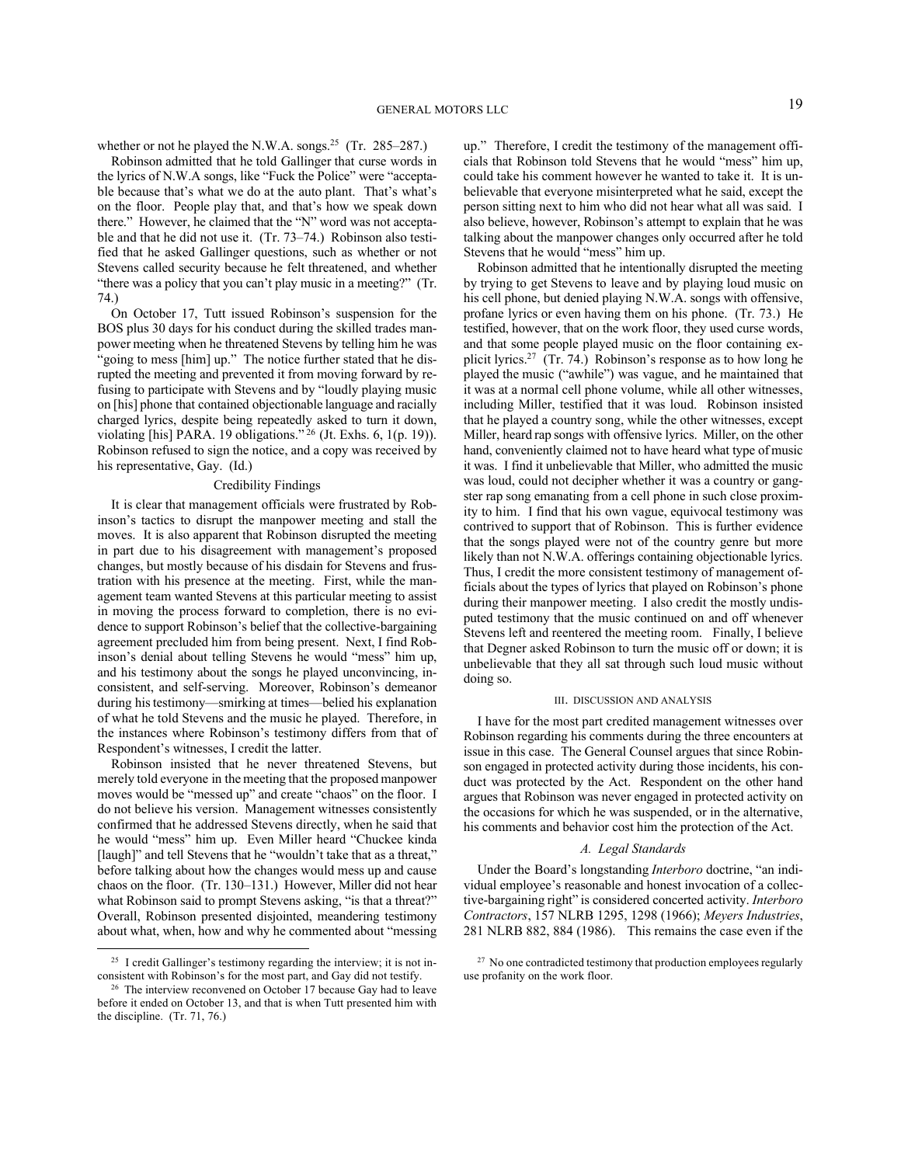whether or not he played the N.W.A. songs.<sup>25</sup> (Tr. 285–287.)

Robinson admitted that he told Gallinger that curse words in the lyrics of N.W.A songs, like "Fuck the Police" were "acceptable because that's what we do at the auto plant. That's what's on the floor. People play that, and that's how we speak down there." However, he claimed that the "N" word was not acceptable and that he did not use it. (Tr. 73–74.) Robinson also testified that he asked Gallinger questions, such as whether or not Stevens called security because he felt threatened, and whether "there was a policy that you can't play music in a meeting?" (Tr. 74.)

On October 17, Tutt issued Robinson's suspension for the BOS plus 30 days for his conduct during the skilled trades manpower meeting when he threatened Stevens by telling him he was "going to mess [him] up." The notice further stated that he disrupted the meeting and prevented it from moving forward by refusing to participate with Stevens and by "loudly playing music on [his] phone that contained objectionable language and racially charged lyrics, despite being repeatedly asked to turn it down, violating [his] PARA. 19 obligations." <sup>26</sup> (Jt. Exhs. 6, 1(p. 19)). Robinson refused to sign the notice, and a copy was received by his representative, Gay. (Id.)

### Credibility Findings

It is clear that management officials were frustrated by Robinson's tactics to disrupt the manpower meeting and stall the moves. It is also apparent that Robinson disrupted the meeting in part due to his disagreement with management's proposed changes, but mostly because of his disdain for Stevens and frustration with his presence at the meeting. First, while the management team wanted Stevens at this particular meeting to assist in moving the process forward to completion, there is no evidence to support Robinson's belief that the collective-bargaining agreement precluded him from being present. Next, I find Robinson's denial about telling Stevens he would "mess" him up, and his testimony about the songs he played unconvincing, inconsistent, and self-serving. Moreover, Robinson's demeanor during his testimony—smirking at times—belied his explanation of what he told Stevens and the music he played. Therefore, in the instances where Robinson's testimony differs from that of Respondent's witnesses, I credit the latter.

Robinson insisted that he never threatened Stevens, but merely told everyone in the meeting that the proposed manpower moves would be "messed up" and create "chaos" on the floor. I do not believe his version. Management witnesses consistently confirmed that he addressed Stevens directly, when he said that he would "mess" him up. Even Miller heard "Chuckee kinda [laugh]" and tell Stevens that he "wouldn't take that as a threat," before talking about how the changes would mess up and cause chaos on the floor. (Tr. 130–131.) However, Miller did not hear what Robinson said to prompt Stevens asking, "is that a threat?" Overall, Robinson presented disjointed, meandering testimony about what, when, how and why he commented about "messing

up." Therefore, I credit the testimony of the management officials that Robinson told Stevens that he would "mess" him up, could take his comment however he wanted to take it. It is unbelievable that everyone misinterpreted what he said, except the person sitting next to him who did not hear what all was said. I also believe, however, Robinson's attempt to explain that he was talking about the manpower changes only occurred after he told Stevens that he would "mess" him up.

Robinson admitted that he intentionally disrupted the meeting by trying to get Stevens to leave and by playing loud music on his cell phone, but denied playing N.W.A. songs with offensive, profane lyrics or even having them on his phone. (Tr. 73.) He testified, however, that on the work floor, they used curse words, and that some people played music on the floor containing explicit lyrics.<sup>27</sup> (Tr. 74.) Robinson's response as to how long he played the music ("awhile") was vague, and he maintained that it was at a normal cell phone volume, while all other witnesses, including Miller, testified that it was loud. Robinson insisted that he played a country song, while the other witnesses, except Miller, heard rap songs with offensive lyrics. Miller, on the other hand, conveniently claimed not to have heard what type of music it was. I find it unbelievable that Miller, who admitted the music was loud, could not decipher whether it was a country or gangster rap song emanating from a cell phone in such close proximity to him. I find that his own vague, equivocal testimony was contrived to support that of Robinson. This is further evidence that the songs played were not of the country genre but more likely than not N.W.A. offerings containing objectionable lyrics. Thus, I credit the more consistent testimony of management officials about the types of lyrics that played on Robinson's phone during their manpower meeting. I also credit the mostly undisputed testimony that the music continued on and off whenever Stevens left and reentered the meeting room. Finally, I believe that Degner asked Robinson to turn the music off or down; it is unbelievable that they all sat through such loud music without doing so.

#### III. DISCUSSION AND ANALYSIS

I have for the most part credited management witnesses over Robinson regarding his comments during the three encounters at issue in this case. The General Counsel argues that since Robinson engaged in protected activity during those incidents, his conduct was protected by the Act. Respondent on the other hand argues that Robinson was never engaged in protected activity on the occasions for which he was suspended, or in the alternative, his comments and behavior cost him the protection of the Act.

### *A. Legal Standards*

Under the Board's longstanding *Interboro* doctrine, "an individual employee's reasonable and honest invocation of a collective-bargaining right" is considered concerted activity. *Interboro Contractors*, 157 NLRB 1295, 1298 (1966); *Meyers Industries*, 281 NLRB 882, 884 (1986). This remains the case even if the

<sup>&</sup>lt;sup>25</sup> I credit Gallinger's testimony regarding the interview; it is not inconsistent with Robinson's for the most part, and Gay did not testify.

<sup>&</sup>lt;sup>26</sup> The interview reconvened on October 17 because Gay had to leave before it ended on October 13, and that is when Tutt presented him with the discipline. (Tr. 71, 76.)

<sup>&</sup>lt;sup>27</sup> No one contradicted testimony that production employees regularly use profanity on the work floor.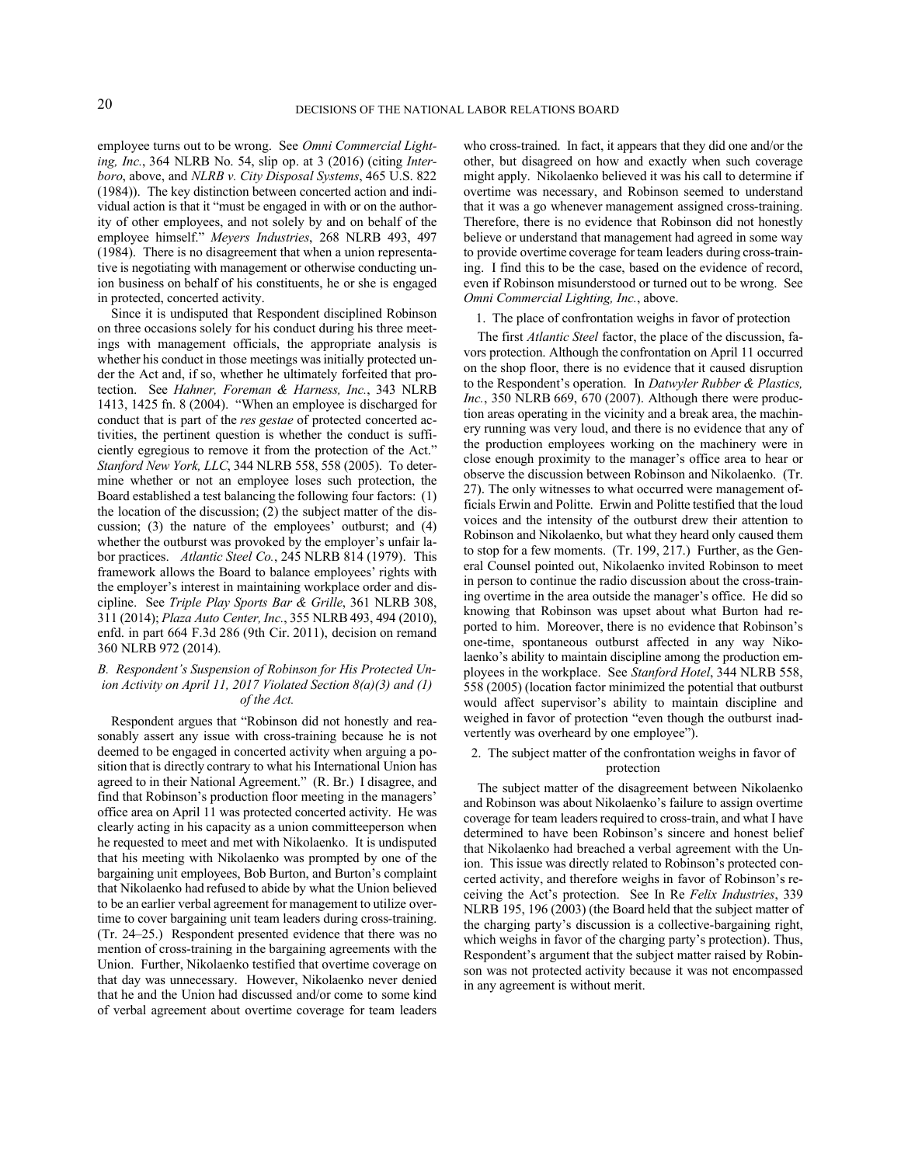employee turns out to be wrong. See *Omni Commercial Lighting, Inc.*, 364 NLRB No. 54, slip op. at 3 (2016) (citing *Interboro*, above, and *NLRB v. City Disposal Systems*, 465 U.S. 822 (1984)). The key distinction between concerted action and individual action is that it "must be engaged in with or on the authority of other employees, and not solely by and on behalf of the employee himself." *Meyers Industries*, 268 NLRB 493, 497 (1984). There is no disagreement that when a union representative is negotiating with management or otherwise conducting union business on behalf of his constituents, he or she is engaged in protected, concerted activity.

Since it is undisputed that Respondent disciplined Robinson on three occasions solely for his conduct during his three meetings with management officials, the appropriate analysis is whether his conduct in those meetings was initially protected under the Act and, if so, whether he ultimately forfeited that protection. See *Hahner, Foreman & Harness, Inc.*, 343 NLRB 1413, 1425 fn. 8 (2004). "When an employee is discharged for conduct that is part of the *res gestae* of protected concerted activities, the pertinent question is whether the conduct is sufficiently egregious to remove it from the protection of the Act." *Stanford New York, LLC*, 344 NLRB 558, 558 (2005). To determine whether or not an employee loses such protection, the Board established a test balancing the following four factors: (1) the location of the discussion; (2) the subject matter of the discussion; (3) the nature of the employees' outburst; and (4) whether the outburst was provoked by the employer's unfair labor practices. *Atlantic Steel Co.*, 245 NLRB 814 (1979). This framework allows the Board to balance employees' rights with the employer's interest in maintaining workplace order and discipline. See *Triple Play Sports Bar & Grille*, 361 NLRB 308, 311 (2014); *Plaza Auto Center, Inc.*, 355 NLRB 493, 494 (2010), enfd. in part 664 F.3d 286 (9th Cir. 2011), decision on remand 360 NLRB 972 (2014).

### *B. Respondent's Suspension of Robinson for His Protected Union Activity on April 11, 2017 Violated Section 8(a)(3) and (1) of the Act.*

Respondent argues that "Robinson did not honestly and reasonably assert any issue with cross-training because he is not deemed to be engaged in concerted activity when arguing a position that is directly contrary to what his International Union has agreed to in their National Agreement." (R. Br.) I disagree, and find that Robinson's production floor meeting in the managers' office area on April 11 was protected concerted activity. He was clearly acting in his capacity as a union committeeperson when he requested to meet and met with Nikolaenko. It is undisputed that his meeting with Nikolaenko was prompted by one of the bargaining unit employees, Bob Burton, and Burton's complaint that Nikolaenko had refused to abide by what the Union believed to be an earlier verbal agreement for management to utilize overtime to cover bargaining unit team leaders during cross-training. (Tr. 24–25.) Respondent presented evidence that there was no mention of cross-training in the bargaining agreements with the Union. Further, Nikolaenko testified that overtime coverage on that day was unnecessary. However, Nikolaenko never denied that he and the Union had discussed and/or come to some kind of verbal agreement about overtime coverage for team leaders who cross-trained. In fact, it appears that they did one and/or the other, but disagreed on how and exactly when such coverage might apply. Nikolaenko believed it was his call to determine if overtime was necessary, and Robinson seemed to understand that it was a go whenever management assigned cross-training. Therefore, there is no evidence that Robinson did not honestly believe or understand that management had agreed in some way to provide overtime coverage for team leaders during cross-training. I find this to be the case, based on the evidence of record, even if Robinson misunderstood or turned out to be wrong. See *Omni Commercial Lighting, Inc.*, above.

#### 1. The place of confrontation weighs in favor of protection

The first *Atlantic Steel* factor, the place of the discussion, favors protection. Although the confrontation on April 11 occurred on the shop floor, there is no evidence that it caused disruption to the Respondent's operation. In *Datwyler Rubber & Plastics, Inc.*, 350 NLRB 669, 670 (2007). Although there were production areas operating in the vicinity and a break area, the machinery running was very loud, and there is no evidence that any of the production employees working on the machinery were in close enough proximity to the manager's office area to hear or observe the discussion between Robinson and Nikolaenko. (Tr. 27). The only witnesses to what occurred were management officials Erwin and Politte. Erwin and Politte testified that the loud voices and the intensity of the outburst drew their attention to Robinson and Nikolaenko, but what they heard only caused them to stop for a few moments. (Tr. 199, 217.) Further, as the General Counsel pointed out, Nikolaenko invited Robinson to meet in person to continue the radio discussion about the cross-training overtime in the area outside the manager's office. He did so knowing that Robinson was upset about what Burton had reported to him. Moreover, there is no evidence that Robinson's one-time, spontaneous outburst affected in any way Nikolaenko's ability to maintain discipline among the production employees in the workplace. See *Stanford Hotel*, 344 NLRB 558, 558 (2005) (location factor minimized the potential that outburst would affect supervisor's ability to maintain discipline and weighed in favor of protection "even though the outburst inadvertently was overheard by one employee").

# 2. The subject matter of the confrontation weighs in favor of protection

The subject matter of the disagreement between Nikolaenko and Robinson was about Nikolaenko's failure to assign overtime coverage for team leaders required to cross-train, and what I have determined to have been Robinson's sincere and honest belief that Nikolaenko had breached a verbal agreement with the Union. This issue was directly related to Robinson's protected concerted activity, and therefore weighs in favor of Robinson's receiving the Act's protection. See In Re *Felix Industries*, 339 NLRB 195, 196 (2003) (the Board held that the subject matter of the charging party's discussion is a collective-bargaining right, which weighs in favor of the charging party's protection). Thus, Respondent's argument that the subject matter raised by Robinson was not protected activity because it was not encompassed in any agreement is without merit.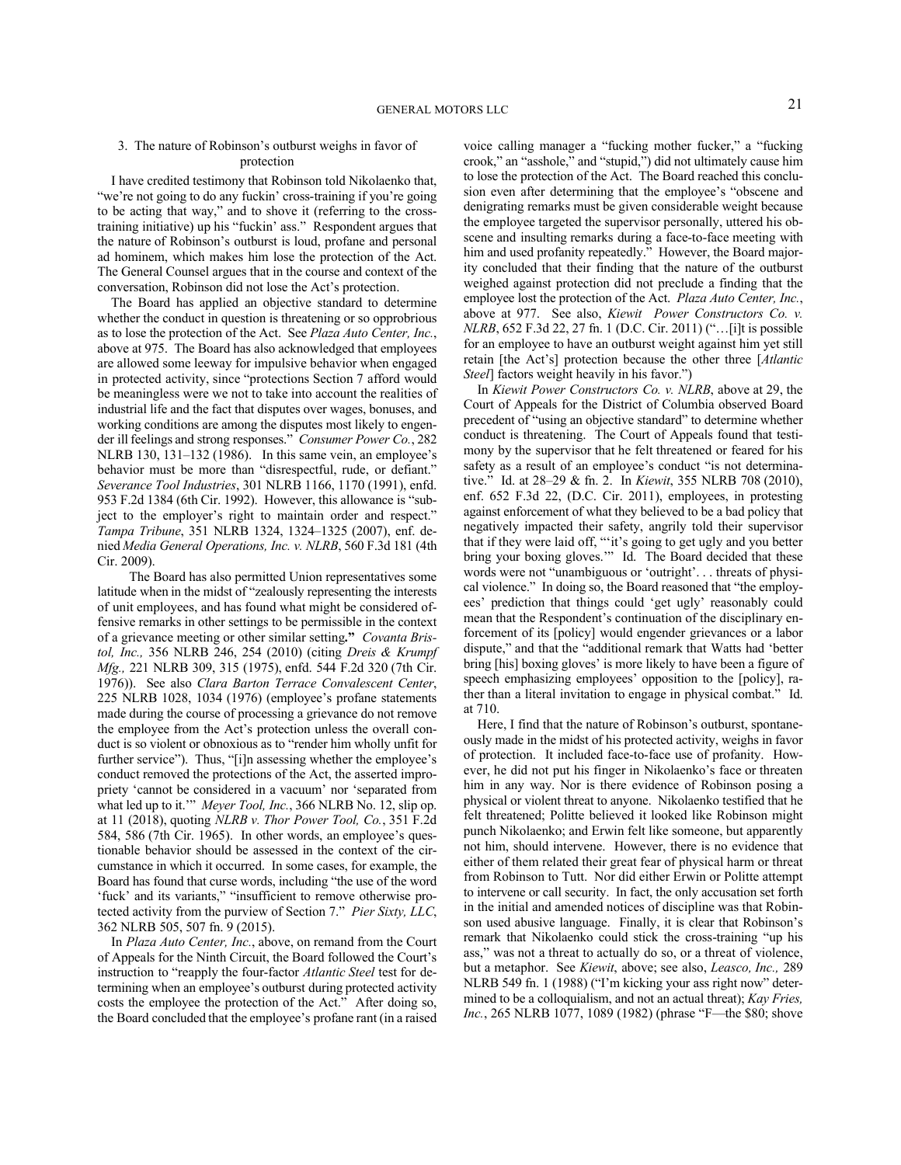# 3. The nature of Robinson's outburst weighs in favor of protection

I have credited testimony that Robinson told Nikolaenko that, "we're not going to do any fuckin' cross-training if you're going to be acting that way," and to shove it (referring to the crosstraining initiative) up his "fuckin' ass." Respondent argues that the nature of Robinson's outburst is loud, profane and personal ad hominem, which makes him lose the protection of the Act. The General Counsel argues that in the course and context of the conversation, Robinson did not lose the Act's protection.

The Board has applied an objective standard to determine whether the conduct in question is threatening or so opprobrious as to lose the protection of the Act. See *Plaza Auto Center, Inc.*, above at 975. The Board has also acknowledged that employees are allowed some leeway for impulsive behavior when engaged in protected activity, since "protections Section 7 afford would be meaningless were we not to take into account the realities of industrial life and the fact that disputes over wages, bonuses, and working conditions are among the disputes most likely to engender ill feelings and strong responses." *Consumer Power Co.*, 282 NLRB 130, 131–132 (1986). In this same vein, an employee's behavior must be more than "disrespectful, rude, or defiant." *Severance Tool Industries*, 301 NLRB 1166, 1170 (1991), enfd. 953 F.2d 1384 (6th Cir. 1992). However, this allowance is "subject to the employer's right to maintain order and respect." *Tampa Tribune*, 351 NLRB 1324, 1324–1325 (2007), enf. denied *Media General Operations, Inc. v. NLRB*, 560 F.3d 181 (4th Cir. 2009).

The Board has also permitted Union representatives some latitude when in the midst of "zealously representing the interests of unit employees, and has found what might be considered offensive remarks in other settings to be permissible in the context of a grievance meeting or other similar setting**."** *Covanta Bristol, Inc.,* 356 NLRB 246, 254 (2010) (citing *Dreis & Krumpf Mfg.,* 221 NLRB 309, 315 (1975), enfd. 544 F.2d 320 (7th Cir. 1976)). See also *Clara Barton Terrace Convalescent Center*, 225 NLRB 1028, 1034 (1976) (employee's profane statements made during the course of processing a grievance do not remove the employee from the Act's protection unless the overall conduct is so violent or obnoxious as to "render him wholly unfit for further service"). Thus, "[i]n assessing whether the employee's conduct removed the protections of the Act, the asserted impropriety 'cannot be considered in a vacuum' nor 'separated from what led up to it.'" *Meyer Tool, Inc.*, 366 NLRB No. 12, slip op. at 11 (2018), quoting *NLRB v. Thor Power Tool, Co.*, 351 F.2d 584, 586 (7th Cir. 1965). In other words, an employee's questionable behavior should be assessed in the context of the circumstance in which it occurred. In some cases, for example, the Board has found that curse words, including "the use of the word 'fuck' and its variants," "insufficient to remove otherwise protected activity from the purview of Section 7." *Pier Sixty, LLC*, 362 NLRB 505, 507 fn. 9 (2015).

In *Plaza Auto Center, Inc.*, above, on remand from the Court of Appeals for the Ninth Circuit, the Board followed the Court's instruction to "reapply the four-factor *Atlantic Steel* test for determining when an employee's outburst during protected activity costs the employee the protection of the Act." After doing so, the Board concluded that the employee's profane rant (in a raised voice calling manager a "fucking mother fucker," a "fucking crook," an "asshole," and "stupid,") did not ultimately cause him to lose the protection of the Act. The Board reached this conclusion even after determining that the employee's "obscene and denigrating remarks must be given considerable weight because the employee targeted the supervisor personally, uttered his obscene and insulting remarks during a face-to-face meeting with him and used profanity repeatedly." However, the Board majority concluded that their finding that the nature of the outburst weighed against protection did not preclude a finding that the employee lost the protection of the Act. *Plaza Auto Center, Inc.*, above at 977. See also, *Kiewit Power Constructors Co. v. NLRB*, 652 F.3d 22, 27 fn. 1 (D.C. Cir. 2011) ("…[i]t is possible for an employee to have an outburst weight against him yet still retain [the Act's] protection because the other three [*Atlantic Steel*] factors weight heavily in his favor.")

In *Kiewit Power Constructors Co. v. NLRB*, above at 29, the Court of Appeals for the District of Columbia observed Board precedent of "using an objective standard" to determine whether conduct is threatening. The Court of Appeals found that testimony by the supervisor that he felt threatened or feared for his safety as a result of an employee's conduct "is not determinative." Id. at 28–29 & fn. 2. In *Kiewit*, 355 NLRB 708 (2010), enf. 652 F.3d 22, (D.C. Cir. 2011), employees, in protesting against enforcement of what they believed to be a bad policy that negatively impacted their safety, angrily told their supervisor that if they were laid off, "'it's going to get ugly and you better bring your boxing gloves.'" Id. The Board decided that these words were not "unambiguous or 'outright'. . . threats of physical violence." In doing so, the Board reasoned that "the employees' prediction that things could 'get ugly' reasonably could mean that the Respondent's continuation of the disciplinary enforcement of its [policy] would engender grievances or a labor dispute," and that the "additional remark that Watts had 'better bring [his] boxing gloves' is more likely to have been a figure of speech emphasizing employees' opposition to the [policy], rather than a literal invitation to engage in physical combat." Id. at 710.

Here, I find that the nature of Robinson's outburst, spontaneously made in the midst of his protected activity, weighs in favor of protection. It included face-to-face use of profanity. However, he did not put his finger in Nikolaenko's face or threaten him in any way. Nor is there evidence of Robinson posing a physical or violent threat to anyone. Nikolaenko testified that he felt threatened; Politte believed it looked like Robinson might punch Nikolaenko; and Erwin felt like someone, but apparently not him, should intervene. However, there is no evidence that either of them related their great fear of physical harm or threat from Robinson to Tutt. Nor did either Erwin or Politte attempt to intervene or call security. In fact, the only accusation set forth in the initial and amended notices of discipline was that Robinson used abusive language. Finally, it is clear that Robinson's remark that Nikolaenko could stick the cross-training "up his ass," was not a threat to actually do so, or a threat of violence, but a metaphor. See *Kiewit*, above; see also, *Leasco, Inc.,* 289 NLRB 549 fn. 1 (1988) ("I'm kicking your ass right now" determined to be a colloquialism, and not an actual threat); *Kay Fries, Inc.*, 265 NLRB 1077, 1089 (1982) (phrase "F—the \$80; shove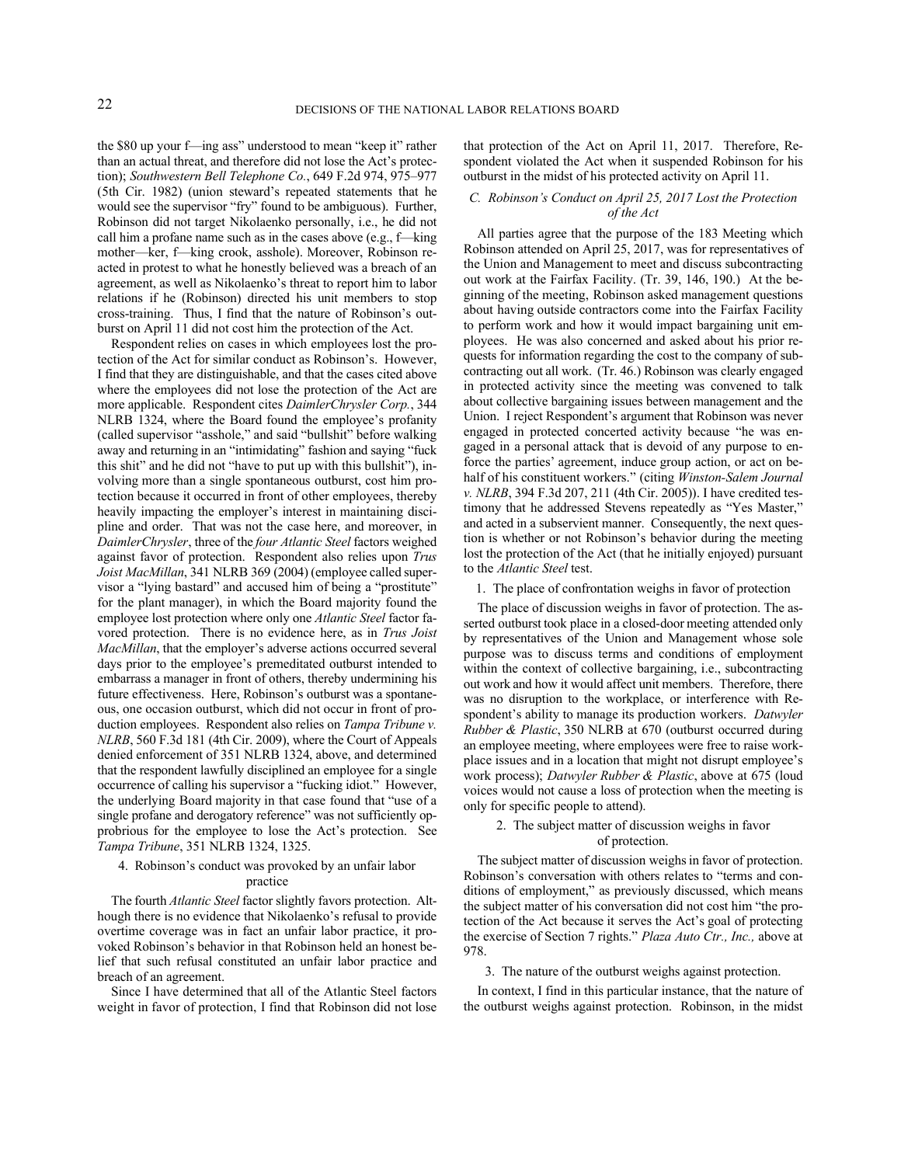the \$80 up your f—ing ass" understood to mean "keep it" rather than an actual threat, and therefore did not lose the Act's protection); *Southwestern Bell Telephone Co.*, 649 F.2d 974, 975–977 (5th Cir. 1982) (union steward's repeated statements that he would see the supervisor "fry" found to be ambiguous). Further, Robinson did not target Nikolaenko personally, i.e., he did not call him a profane name such as in the cases above (e.g., f—king mother—ker, f—king crook, asshole). Moreover, Robinson reacted in protest to what he honestly believed was a breach of an agreement, as well as Nikolaenko's threat to report him to labor relations if he (Robinson) directed his unit members to stop cross-training. Thus, I find that the nature of Robinson's outburst on April 11 did not cost him the protection of the Act.

Respondent relies on cases in which employees lost the protection of the Act for similar conduct as Robinson's. However, I find that they are distinguishable, and that the cases cited above where the employees did not lose the protection of the Act are more applicable. Respondent cites *DaimlerChrysler Corp.*, 344 NLRB 1324, where the Board found the employee's profanity (called supervisor "asshole," and said "bullshit" before walking away and returning in an "intimidating" fashion and saying "fuck this shit" and he did not "have to put up with this bullshit"), involving more than a single spontaneous outburst, cost him protection because it occurred in front of other employees, thereby heavily impacting the employer's interest in maintaining discipline and order. That was not the case here, and moreover, in *DaimlerChrysler*, three of the *four Atlantic Steel* factors weighed against favor of protection. Respondent also relies upon *Trus Joist MacMillan*, 341 NLRB 369 (2004) (employee called supervisor a "lying bastard" and accused him of being a "prostitute" for the plant manager), in which the Board majority found the employee lost protection where only one *Atlantic Steel* factor favored protection. There is no evidence here, as in *Trus Joist MacMillan*, that the employer's adverse actions occurred several days prior to the employee's premeditated outburst intended to embarrass a manager in front of others, thereby undermining his future effectiveness. Here, Robinson's outburst was a spontaneous, one occasion outburst, which did not occur in front of production employees. Respondent also relies on *Tampa Tribune v. NLRB*, 560 F.3d 181 (4th Cir. 2009), where the Court of Appeals denied enforcement of 351 NLRB 1324, above, and determined that the respondent lawfully disciplined an employee for a single occurrence of calling his supervisor a "fucking idiot." However, the underlying Board majority in that case found that "use of a single profane and derogatory reference" was not sufficiently opprobrious for the employee to lose the Act's protection. See *Tampa Tribune*, 351 NLRB 1324, 1325.

# 4. Robinson's conduct was provoked by an unfair labor practice

The fourth *Atlantic Steel* factor slightly favors protection. Although there is no evidence that Nikolaenko's refusal to provide overtime coverage was in fact an unfair labor practice, it provoked Robinson's behavior in that Robinson held an honest belief that such refusal constituted an unfair labor practice and breach of an agreement.

Since I have determined that all of the Atlantic Steel factors weight in favor of protection, I find that Robinson did not lose that protection of the Act on April 11, 2017. Therefore, Respondent violated the Act when it suspended Robinson for his outburst in the midst of his protected activity on April 11.

## *C. Robinson's Conduct on April 25, 2017 Lost the Protection of the Act*

All parties agree that the purpose of the 183 Meeting which Robinson attended on April 25, 2017, was for representatives of the Union and Management to meet and discuss subcontracting out work at the Fairfax Facility. (Tr. 39, 146, 190.) At the beginning of the meeting, Robinson asked management questions about having outside contractors come into the Fairfax Facility to perform work and how it would impact bargaining unit employees. He was also concerned and asked about his prior requests for information regarding the cost to the company of subcontracting out all work. (Tr. 46.) Robinson was clearly engaged in protected activity since the meeting was convened to talk about collective bargaining issues between management and the Union. I reject Respondent's argument that Robinson was never engaged in protected concerted activity because "he was engaged in a personal attack that is devoid of any purpose to enforce the parties' agreement, induce group action, or act on behalf of his constituent workers." (citing *Winston-Salem Journal v. NLRB*, 394 F.3d 207, 211 (4th Cir. 2005)). I have credited testimony that he addressed Stevens repeatedly as "Yes Master," and acted in a subservient manner. Consequently, the next question is whether or not Robinson's behavior during the meeting lost the protection of the Act (that he initially enjoyed) pursuant to the *Atlantic Steel* test.

1. The place of confrontation weighs in favor of protection

The place of discussion weighs in favor of protection. The asserted outburst took place in a closed-door meeting attended only by representatives of the Union and Management whose sole purpose was to discuss terms and conditions of employment within the context of collective bargaining, i.e., subcontracting out work and how it would affect unit members. Therefore, there was no disruption to the workplace, or interference with Respondent's ability to manage its production workers. *Datwyler Rubber & Plastic*, 350 NLRB at 670 (outburst occurred during an employee meeting, where employees were free to raise workplace issues and in a location that might not disrupt employee's work process); *Datwyler Rubber & Plastic*, above at 675 (loud voices would not cause a loss of protection when the meeting is only for specific people to attend).

# 2. The subject matter of discussion weighs in favor of protection.

The subject matter of discussion weighs in favor of protection. Robinson's conversation with others relates to "terms and conditions of employment," as previously discussed, which means the subject matter of his conversation did not cost him "the protection of the Act because it serves the Act's goal of protecting the exercise of Section 7 rights." *Plaza Auto Ctr., Inc.,* above at 978.

# 3. The nature of the outburst weighs against protection.

In context, I find in this particular instance, that the nature of the outburst weighs against protection. Robinson, in the midst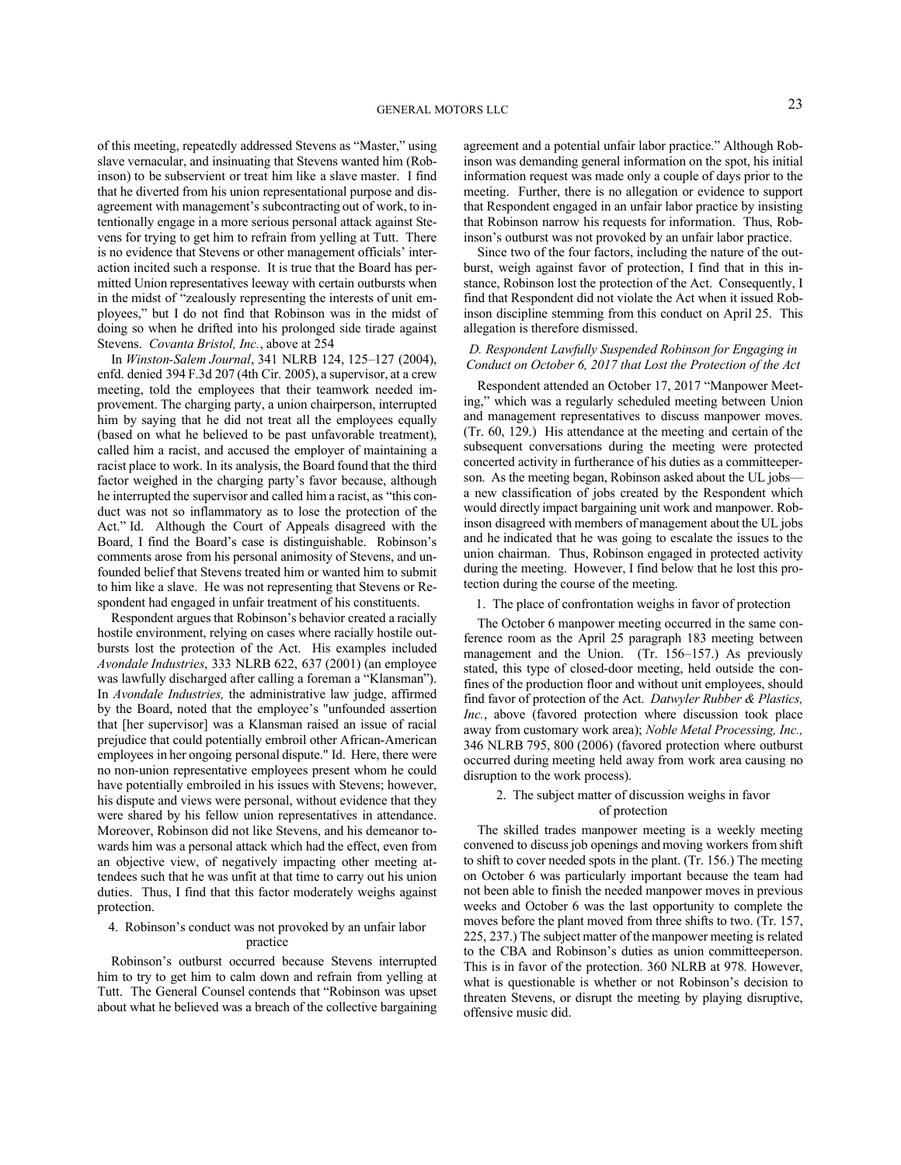of this meeting, repeatedly addressed Stevens as "Master," using slave vernacular, and insinuating that Stevens wanted him (Robinson) to be subservient or treat him like a slave master. I find that he diverted from his union representational purpose and disagreement with management's subcontracting out of work, to intentionally engage in a more serious personal attack against Stevens for trying to get him to refrain from yelling at Tutt. There is no evidence that Stevens or other management officials' interaction incited such a response. It is true that the Board has permitted Union representatives leeway with certain outbursts when in the midst of "zealously representing the interests of unit employees," but I do not find that Robinson was in the midst of doing so when he drifted into his prolonged side tirade against Stevens. *Covanta Bristol, Inc.*, above at 254

In *Winston-Salem Journal*, 341 NLRB 124, 125–127 (2004), enfd. denied 394 F.3d 207 (4th Cir. 2005), a supervisor, at a crew meeting, told the employees that their teamwork needed improvement. The charging party, a union chairperson, interrupted him by saying that he did not treat all the employees equally (based on what he believed to be past unfavorable treatment), called him a racist, and accused the employer of maintaining a racist place to work. In its analysis, the Board found that the third factor weighed in the charging party's favor because, although he interrupted the supervisor and called him a racist, as "this conduct was not so inflammatory as to lose the protection of the Act." Id. Although the Court of Appeals disagreed with the Board, I find the Board's case is distinguishable. Robinson's comments arose from his personal animosity of Stevens, and unfounded belief that Stevens treated him or wanted him to submit to him like a slave. He was not representing that Stevens or Respondent had engaged in unfair treatment of his constituents.

Respondent argues that Robinson's behavior created a racially hostile environment, relying on cases where racially hostile outbursts lost the protection of the Act. His examples included *Avondale Industries*, 333 NLRB 622, 637 (2001) (an employee was lawfully discharged after calling a foreman a "Klansman"). In *Avondale Industries,* the administrative law judge, affirmed by the Board, noted that the employee's "unfounded assertion that [her supervisor] was a Klansman raised an issue of racial prejudice that could potentially embroil other African-American employees in her ongoing personal dispute." Id. Here, there were no non-union representative employees present whom he could have potentially embroiled in his issues with Stevens; however, his dispute and views were personal, without evidence that they were shared by his fellow union representatives in attendance. Moreover, Robinson did not like Stevens, and his demeanor towards him was a personal attack which had the effect, even from an objective view, of negatively impacting other meeting attendees such that he was unfit at that time to carry out his union duties. Thus, I find that this factor moderately weighs against protection.

## 4. Robinson's conduct was not provoked by an unfair labor practice

Robinson's outburst occurred because Stevens interrupted him to try to get him to calm down and refrain from yelling at Tutt. The General Counsel contends that "Robinson was upset about what he believed was a breach of the collective bargaining agreement and a potential unfair labor practice." Although Robinson was demanding general information on the spot, his initial information request was made only a couple of days prior to the meeting. Further, there is no allegation or evidence to support that Respondent engaged in an unfair labor practice by insisting that Robinson narrow his requests for information. Thus, Robinson's outburst was not provoked by an unfair labor practice.

Since two of the four factors, including the nature of the outburst, weigh against favor of protection, I find that in this instance, Robinson lost the protection of the Act. Consequently, I find that Respondent did not violate the Act when it issued Robinson discipline stemming from this conduct on April 25. This allegation is therefore dismissed.

# *D. Respondent Lawfully Suspended Robinson for Engaging in Conduct on October 6, 2017 that Lost the Protection of the Act*

Respondent attended an October 17, 2017 "Manpower Meeting," which was a regularly scheduled meeting between Union and management representatives to discuss manpower moves. (Tr. 60, 129.) His attendance at the meeting and certain of the subsequent conversations during the meeting were protected concerted activity in furtherance of his duties as a committeeperson. As the meeting began, Robinson asked about the UL jobs a new classification of jobs created by the Respondent which would directly impact bargaining unit work and manpower. Robinson disagreed with members of management about the UL jobs and he indicated that he was going to escalate the issues to the union chairman. Thus, Robinson engaged in protected activity during the meeting. However, I find below that he lost this protection during the course of the meeting.

1. The place of confrontation weighs in favor of protection

The October 6 manpower meeting occurred in the same conference room as the April 25 paragraph 183 meeting between management and the Union. (Tr. 156–157.) As previously stated, this type of closed-door meeting, held outside the confines of the production floor and without unit employees, should find favor of protection of the Act. *Datwyler Rubber & Plastics, Inc.*, above (favored protection where discussion took place away from customary work area); *Noble Metal Processing, Inc.,* 346 NLRB 795, 800 (2006) (favored protection where outburst occurred during meeting held away from work area causing no disruption to the work process).

### 2. The subject matter of discussion weighs in favor of protection

The skilled trades manpower meeting is a weekly meeting convened to discuss job openings and moving workers from shift to shift to cover needed spots in the plant. (Tr. 156.) The meeting on October 6 was particularly important because the team had not been able to finish the needed manpower moves in previous weeks and October 6 was the last opportunity to complete the moves before the plant moved from three shifts to two. (Tr. 157, 225, 237.) The subject matter of the manpower meeting is related to the CBA and Robinson's duties as union committeeperson. This is in favor of the protection. 360 NLRB at 978. However, what is questionable is whether or not Robinson's decision to threaten Stevens, or disrupt the meeting by playing disruptive, offensive music did.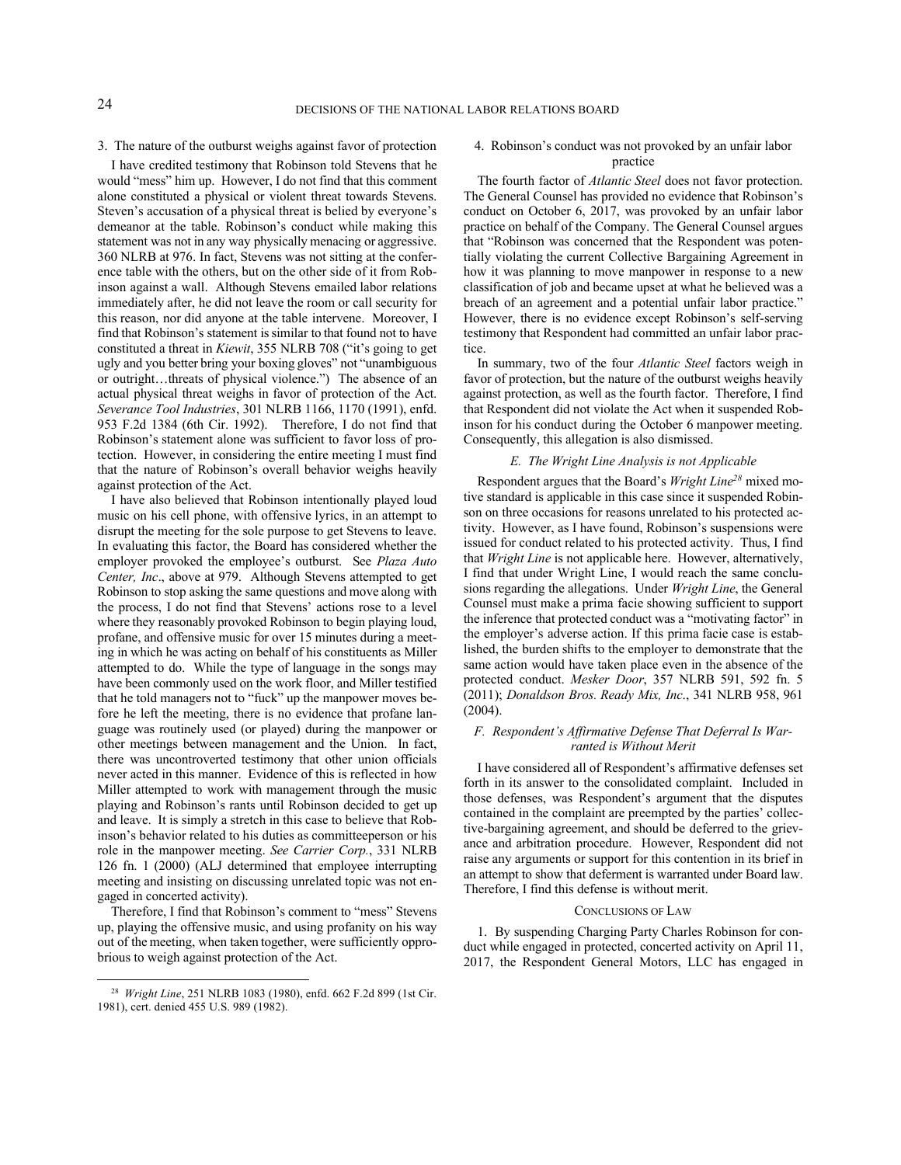### 3. The nature of the outburst weighs against favor of protection

I have credited testimony that Robinson told Stevens that he would "mess" him up. However, I do not find that this comment alone constituted a physical or violent threat towards Stevens. Steven's accusation of a physical threat is belied by everyone's demeanor at the table. Robinson's conduct while making this statement was not in any way physically menacing or aggressive. 360 NLRB at 976. In fact, Stevens was not sitting at the conference table with the others, but on the other side of it from Robinson against a wall. Although Stevens emailed labor relations immediately after, he did not leave the room or call security for this reason, nor did anyone at the table intervene. Moreover, I find that Robinson's statement is similar to that found not to have constituted a threat in *Kiewit*, 355 NLRB 708 ("it's going to get ugly and you better bring your boxing gloves" not "unambiguous or outright…threats of physical violence.") The absence of an actual physical threat weighs in favor of protection of the Act. *Severance Tool Industries*, 301 NLRB 1166, 1170 (1991), enfd. 953 F.2d 1384 (6th Cir. 1992). Therefore, I do not find that Robinson's statement alone was sufficient to favor loss of protection. However, in considering the entire meeting I must find that the nature of Robinson's overall behavior weighs heavily against protection of the Act.

I have also believed that Robinson intentionally played loud music on his cell phone, with offensive lyrics, in an attempt to disrupt the meeting for the sole purpose to get Stevens to leave. In evaluating this factor, the Board has considered whether the employer provoked the employee's outburst. See *Plaza Auto Center, Inc*., above at 979. Although Stevens attempted to get Robinson to stop asking the same questions and move along with the process, I do not find that Stevens' actions rose to a level where they reasonably provoked Robinson to begin playing loud, profane, and offensive music for over 15 minutes during a meeting in which he was acting on behalf of his constituents as Miller attempted to do. While the type of language in the songs may have been commonly used on the work floor, and Miller testified that he told managers not to "fuck" up the manpower moves before he left the meeting, there is no evidence that profane language was routinely used (or played) during the manpower or other meetings between management and the Union. In fact, there was uncontroverted testimony that other union officials never acted in this manner. Evidence of this is reflected in how Miller attempted to work with management through the music playing and Robinson's rants until Robinson decided to get up and leave. It is simply a stretch in this case to believe that Robinson's behavior related to his duties as committeeperson or his role in the manpower meeting. *See Carrier Corp.*, 331 NLRB 126 fn. 1 (2000) (ALJ determined that employee interrupting meeting and insisting on discussing unrelated topic was not engaged in concerted activity).

Therefore, I find that Robinson's comment to "mess" Stevens up, playing the offensive music, and using profanity on his way out of the meeting, when taken together, were sufficiently opprobrious to weigh against protection of the Act.

# 4. Robinson's conduct was not provoked by an unfair labor practice

The fourth factor of *Atlantic Steel* does not favor protection. The General Counsel has provided no evidence that Robinson's conduct on October 6, 2017, was provoked by an unfair labor practice on behalf of the Company. The General Counsel argues that "Robinson was concerned that the Respondent was potentially violating the current Collective Bargaining Agreement in how it was planning to move manpower in response to a new classification of job and became upset at what he believed was a breach of an agreement and a potential unfair labor practice." However, there is no evidence except Robinson's self-serving testimony that Respondent had committed an unfair labor practice.

In summary, two of the four *Atlantic Steel* factors weigh in favor of protection, but the nature of the outburst weighs heavily against protection, as well as the fourth factor. Therefore, I find that Respondent did not violate the Act when it suspended Robinson for his conduct during the October 6 manpower meeting. Consequently, this allegation is also dismissed.

# *E. The Wright Line Analysis is not Applicable*

Respondent argues that the Board's *Wright Line<sup>28</sup>* mixed motive standard is applicable in this case since it suspended Robinson on three occasions for reasons unrelated to his protected activity. However, as I have found, Robinson's suspensions were issued for conduct related to his protected activity. Thus, I find that *Wright Line* is not applicable here. However, alternatively, I find that under Wright Line, I would reach the same conclusions regarding the allegations. Under *Wright Line*, the General Counsel must make a prima facie showing sufficient to support the inference that protected conduct was a "motivating factor" in the employer's adverse action. If this prima facie case is established, the burden shifts to the employer to demonstrate that the same action would have taken place even in the absence of the protected conduct. *Mesker Door*, 357 NLRB 591, 592 fn. 5 (2011); *Donaldson Bros. Ready Mix, Inc*., 341 NLRB 958, 961 (2004).

# *F. Respondent's Affirmative Defense That Deferral Is Warranted is Without Merit*

I have considered all of Respondent's affirmative defenses set forth in its answer to the consolidated complaint. Included in those defenses, was Respondent's argument that the disputes contained in the complaint are preempted by the parties' collective-bargaining agreement, and should be deferred to the grievance and arbitration procedure. However, Respondent did not raise any arguments or support for this contention in its brief in an attempt to show that deferment is warranted under Board law. Therefore, I find this defense is without merit.

#### CONCLUSIONS OF LAW

1. By suspending Charging Party Charles Robinson for conduct while engaged in protected, concerted activity on April 11, 2017, the Respondent General Motors, LLC has engaged in

<sup>28</sup> *Wright Line*, 251 NLRB 1083 (1980), enfd. 662 F.2d 899 (1st Cir. 1981), cert. denied 455 U.S. 989 (1982).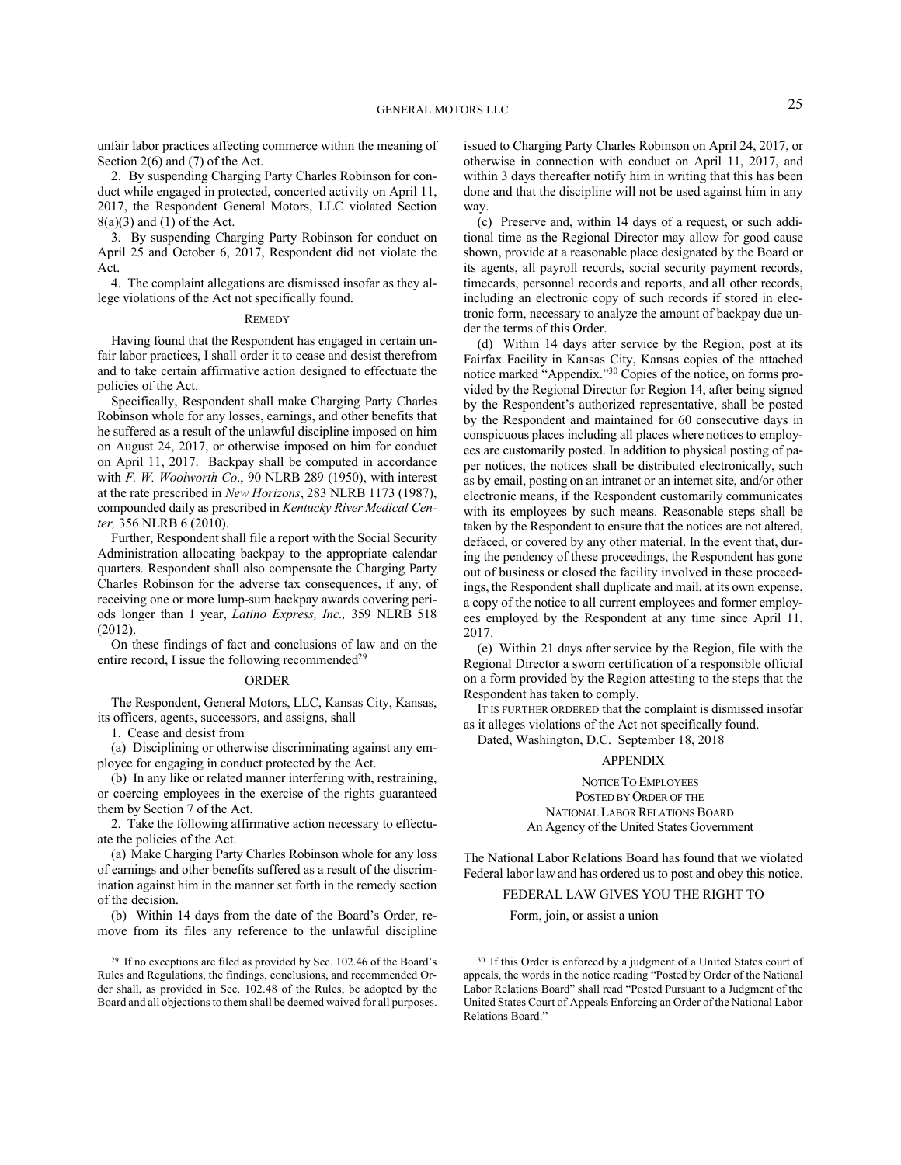unfair labor practices affecting commerce within the meaning of Section 2(6) and (7) of the Act.

2. By suspending Charging Party Charles Robinson for conduct while engaged in protected, concerted activity on April 11, 2017, the Respondent General Motors, LLC violated Section  $8(a)(3)$  and  $(1)$  of the Act.

3. By suspending Charging Party Robinson for conduct on April 25 and October 6, 2017, Respondent did not violate the Act.

4. The complaint allegations are dismissed insofar as they allege violations of the Act not specifically found.

#### **REMEDY**

Having found that the Respondent has engaged in certain unfair labor practices, I shall order it to cease and desist therefrom and to take certain affirmative action designed to effectuate the policies of the Act.

Specifically, Respondent shall make Charging Party Charles Robinson whole for any losses, earnings, and other benefits that he suffered as a result of the unlawful discipline imposed on him on August 24, 2017, or otherwise imposed on him for conduct on April 11, 2017. Backpay shall be computed in accordance with *F. W. Woolworth Co*., 90 NLRB 289 (1950), with interest at the rate prescribed in *New Horizons*, 283 NLRB 1173 (1987), compounded daily as prescribed in *Kentucky River Medical Center,* 356 NLRB 6 (2010).

Further, Respondent shall file a report with the Social Security Administration allocating backpay to the appropriate calendar quarters. Respondent shall also compensate the Charging Party Charles Robinson for the adverse tax consequences, if any, of receiving one or more lump-sum backpay awards covering periods longer than 1 year, *Latino Express, Inc.,* 359 NLRB 518 (2012).

On these findings of fact and conclusions of law and on the entire record, I issue the following recommended<sup>29</sup>

# ORDER

The Respondent, General Motors, LLC, Kansas City, Kansas, its officers, agents, successors, and assigns, shall

1. Cease and desist from

(a) Disciplining or otherwise discriminating against any employee for engaging in conduct protected by the Act.

(b) In any like or related manner interfering with, restraining, or coercing employees in the exercise of the rights guaranteed them by Section 7 of the Act.

2. Take the following affirmative action necessary to effectuate the policies of the Act.

(a) Make Charging Party Charles Robinson whole for any loss of earnings and other benefits suffered as a result of the discrimination against him in the manner set forth in the remedy section of the decision.

(b) Within 14 days from the date of the Board's Order, remove from its files any reference to the unlawful discipline issued to Charging Party Charles Robinson on April 24, 2017, or otherwise in connection with conduct on April 11, 2017, and within 3 days thereafter notify him in writing that this has been done and that the discipline will not be used against him in any way.

(c) Preserve and, within 14 days of a request, or such additional time as the Regional Director may allow for good cause shown, provide at a reasonable place designated by the Board or its agents, all payroll records, social security payment records, timecards, personnel records and reports, and all other records, including an electronic copy of such records if stored in electronic form, necessary to analyze the amount of backpay due under the terms of this Order.

(d) Within 14 days after service by the Region, post at its Fairfax Facility in Kansas City, Kansas copies of the attached notice marked "Appendix." <sup>30</sup> Copies of the notice, on forms provided by the Regional Director for Region 14, after being signed by the Respondent's authorized representative, shall be posted by the Respondent and maintained for 60 consecutive days in conspicuous places including all places where notices to employees are customarily posted. In addition to physical posting of paper notices, the notices shall be distributed electronically, such as by email, posting on an intranet or an internet site, and/or other electronic means, if the Respondent customarily communicates with its employees by such means. Reasonable steps shall be taken by the Respondent to ensure that the notices are not altered, defaced, or covered by any other material. In the event that, during the pendency of these proceedings, the Respondent has gone out of business or closed the facility involved in these proceedings, the Respondent shall duplicate and mail, at its own expense, a copy of the notice to all current employees and former employees employed by the Respondent at any time since April 11, 2017.

(e) Within 21 days after service by the Region, file with the Regional Director a sworn certification of a responsible official on a form provided by the Region attesting to the steps that the Respondent has taken to comply.

IT IS FURTHER ORDERED that the complaint is dismissed insofar as it alleges violations of the Act not specifically found.

Dated, Washington, D.C. September 18, 2018

### APPENDIX

NOTICE TO EMPLOYEES POSTED BY ORDER OF THE NATIONAL LABOR RELATIONS BOARD An Agency of the United States Government

The National Labor Relations Board has found that we violated Federal labor law and has ordered us to post and obey this notice.

# FEDERAL LAW GIVES YOU THE RIGHT TO

Form, join, or assist a union

<sup>29</sup> If no exceptions are filed as provided by Sec. 102.46 of the Board's Rules and Regulations, the findings, conclusions, and recommended Order shall, as provided in Sec. 102.48 of the Rules, be adopted by the Board and all objections to them shall be deemed waived for all purposes.

<sup>30</sup> If this Order is enforced by a judgment of a United States court of appeals, the words in the notice reading "Posted by Order of the National Labor Relations Board" shall read "Posted Pursuant to a Judgment of the United States Court of Appeals Enforcing an Order of the National Labor Relations Board."